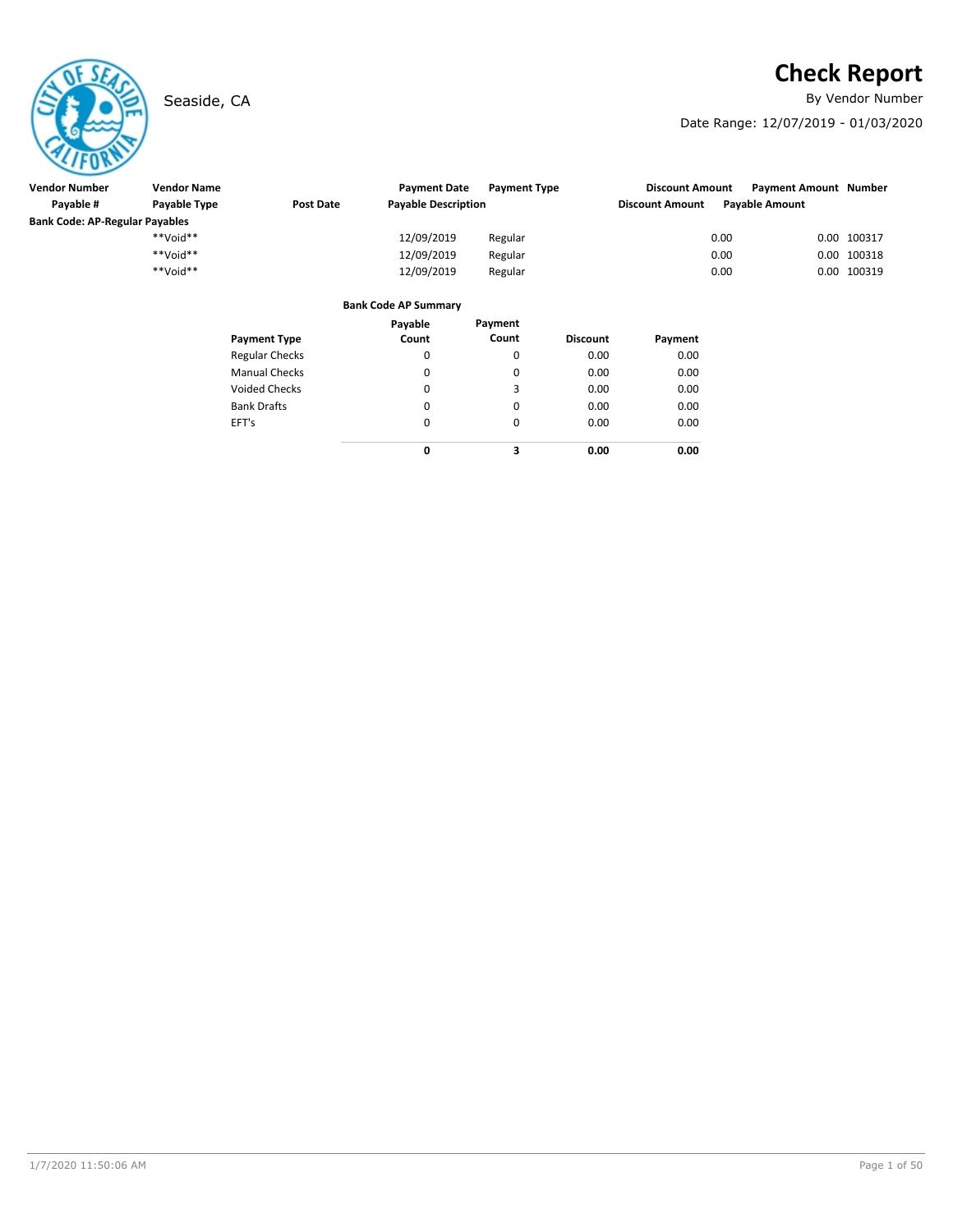# **Check Report**

Seaside, CA **By Vendor Number** 

Date Range: 12/07/2019 - 01/03/2020

| $\sim$ . $\sim$                       |                    |                       |                             |                     |                 |                        |      |                              |             |
|---------------------------------------|--------------------|-----------------------|-----------------------------|---------------------|-----------------|------------------------|------|------------------------------|-------------|
| <b>Vendor Number</b>                  | <b>Vendor Name</b> |                       | <b>Payment Date</b>         | <b>Payment Type</b> |                 | <b>Discount Amount</b> |      | <b>Payment Amount Number</b> |             |
| Payable #                             | Payable Type       | <b>Post Date</b>      | <b>Payable Description</b>  |                     |                 | <b>Discount Amount</b> |      | <b>Payable Amount</b>        |             |
| <b>Bank Code: AP-Regular Payables</b> |                    |                       |                             |                     |                 |                        |      |                              |             |
|                                       | **Void**           |                       | 12/09/2019                  | Regular             |                 |                        | 0.00 |                              | 0.00 100317 |
|                                       | $**$ Noid**        |                       | 12/09/2019                  | Regular             |                 |                        | 0.00 |                              | 0.00 100318 |
|                                       | **Void**           |                       | 12/09/2019                  | Regular             |                 |                        | 0.00 |                              | 0.00 100319 |
|                                       |                    |                       | <b>Bank Code AP Summary</b> |                     |                 |                        |      |                              |             |
|                                       |                    |                       | Payable                     | Payment             |                 |                        |      |                              |             |
|                                       |                    | <b>Payment Type</b>   | Count                       | Count               | <b>Discount</b> | Payment                |      |                              |             |
|                                       |                    | <b>Regular Checks</b> | 0                           | 0                   | 0.00            | 0.00                   |      |                              |             |
|                                       |                    | <b>Manual Checks</b>  | 0                           | 0                   | 0.00            | 0.00                   |      |                              |             |
|                                       |                    | <b>Voided Checks</b>  | 0                           | 3                   | 0.00            | 0.00                   |      |                              |             |
|                                       |                    | <b>Bank Drafts</b>    | 0                           | 0                   | 0.00            | 0.00                   |      |                              |             |
|                                       |                    | EFT's                 | 0                           | 0                   | 0.00            | 0.00                   |      |                              |             |

**0**

**3 0.00**

**0.00**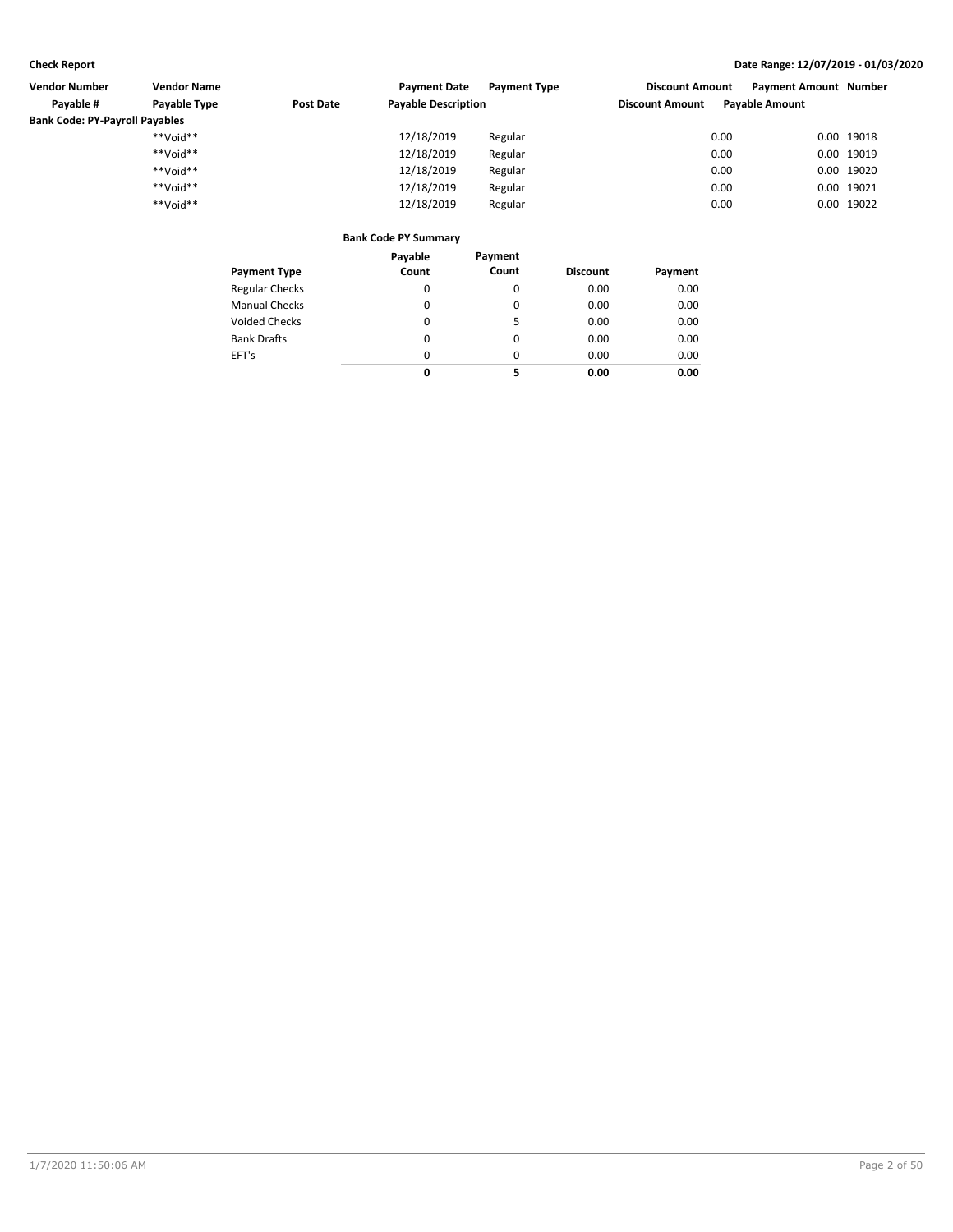| <b>Vendor Number</b><br><b>Vendor Name</b> |              | <b>Payment Date</b> | <b>Payment Type</b>                 | <b>Payment Amount Number</b><br><b>Discount Amount</b> |                        |                       |  |            |
|--------------------------------------------|--------------|---------------------|-------------------------------------|--------------------------------------------------------|------------------------|-----------------------|--|------------|
| Payable #                                  | Payable Type | Post Date           | <b>Payable Description</b>          |                                                        | <b>Discount Amount</b> | <b>Payable Amount</b> |  |            |
| <b>Bank Code: PY-Payroll Payables</b>      |              |                     |                                     |                                                        |                        |                       |  |            |
|                                            | **Void**     |                     | 12/18/2019                          | Regular                                                |                        | 0.00                  |  | 0.00 19018 |
|                                            | **Void**     |                     | 12/18/2019                          | Regular                                                |                        | 0.00                  |  | 0.00 19019 |
|                                            | **Void**     |                     | 12/18/2019                          | Regular                                                |                        | 0.00                  |  | 0.00 19020 |
|                                            | **Void**     |                     | 12/18/2019                          | Regular                                                |                        | 0.00                  |  | 0.00 19021 |
|                                            | **Void**     |                     | 12/18/2019                          | Regular                                                |                        | 0.00                  |  | 0.00 19022 |
|                                            |              |                     |                                     |                                                        |                        |                       |  |            |
|                                            |              |                     | Branda Brand an BM Brown and a more |                                                        |                        |                       |  |            |

|                       | Payable | Payment  |                 |         |
|-----------------------|---------|----------|-----------------|---------|
| <b>Payment Type</b>   | Count   | Count    | <b>Discount</b> | Payment |
| <b>Regular Checks</b> | 0       | 0        | 0.00            | 0.00    |
| <b>Manual Checks</b>  | 0       | 0        | 0.00            | 0.00    |
| <b>Voided Checks</b>  | 0       | 5        | 0.00            | 0.00    |
| <b>Bank Drafts</b>    | 0       | $\Omega$ | 0.00            | 0.00    |
| EFT's                 | 0       | 0        | 0.00            | 0.00    |
|                       | 0       | 5        | 0.00            | 0.00    |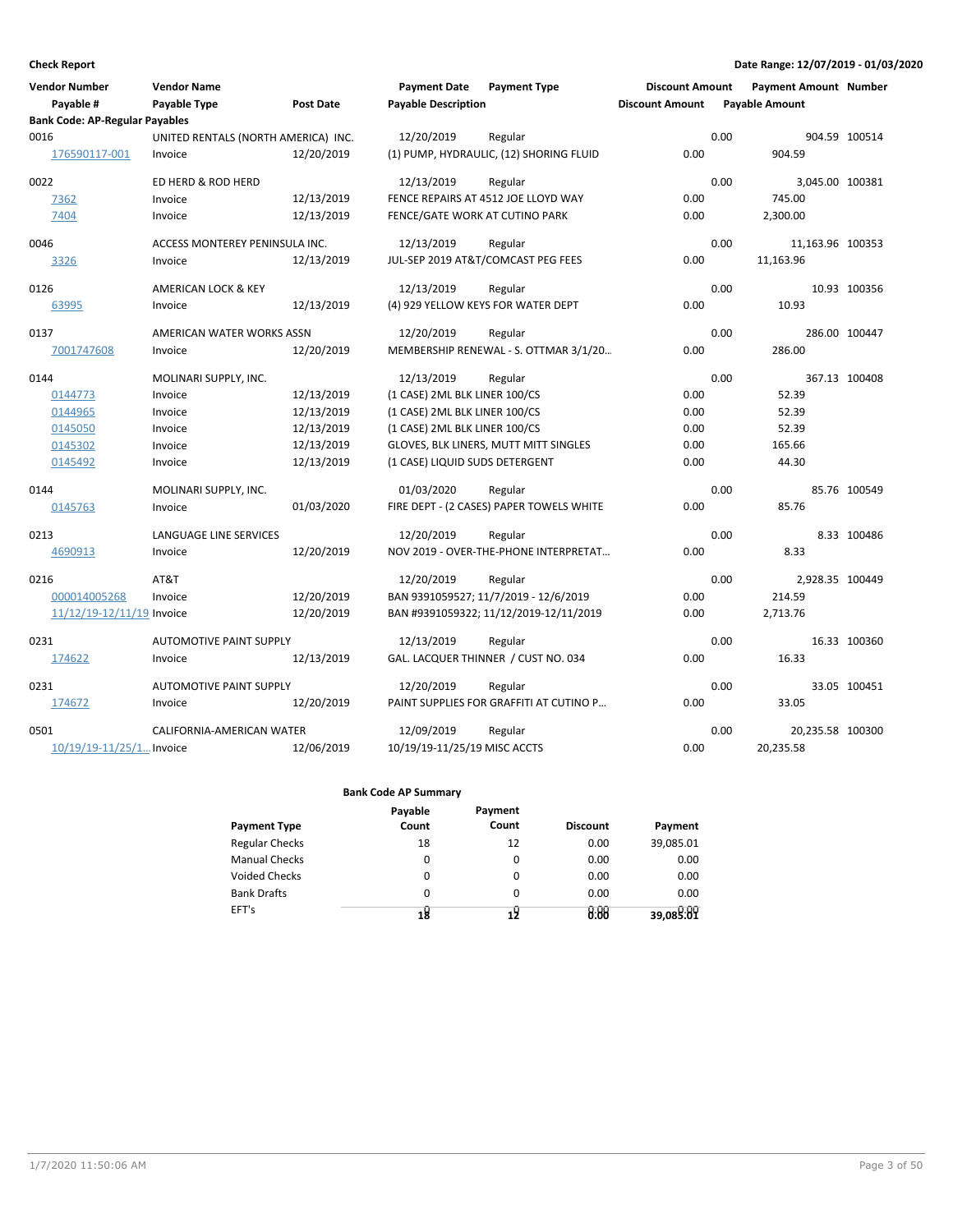| <b>Vendor Number</b><br>Payable #     | <b>Vendor Name</b><br>Payable Type  | <b>Post Date</b> | <b>Payment Date</b><br><b>Payable Description</b> | <b>Payment Type</b>                      | <b>Discount Amount</b><br><b>Discount Amount</b> |      | Payment Amount Number<br><b>Payable Amount</b> |               |
|---------------------------------------|-------------------------------------|------------------|---------------------------------------------------|------------------------------------------|--------------------------------------------------|------|------------------------------------------------|---------------|
| <b>Bank Code: AP-Regular Payables</b> |                                     |                  |                                                   |                                          |                                                  |      |                                                |               |
| 0016                                  | UNITED RENTALS (NORTH AMERICA) INC. |                  | 12/20/2019                                        | Regular                                  |                                                  | 0.00 |                                                | 904.59 100514 |
| 176590117-001                         | Invoice                             | 12/20/2019       |                                                   | (1) PUMP, HYDRAULIC, (12) SHORING FLUID  | 0.00                                             |      | 904.59                                         |               |
| 0022                                  | ED HERD & ROD HERD                  |                  | 12/13/2019                                        | Regular                                  |                                                  | 0.00 | 3,045.00 100381                                |               |
| 7362                                  | Invoice                             | 12/13/2019       |                                                   | FENCE REPAIRS AT 4512 JOE LLOYD WAY      | 0.00                                             |      | 745.00                                         |               |
| 7404                                  | Invoice                             | 12/13/2019       | FENCE/GATE WORK AT CUTINO PARK                    |                                          | 0.00                                             |      | 2,300.00                                       |               |
| 0046                                  | ACCESS MONTEREY PENINSULA INC.      |                  | 12/13/2019                                        | Regular                                  |                                                  | 0.00 | 11,163.96 100353                               |               |
| 3326                                  | Invoice                             | 12/13/2019       |                                                   | JUL-SEP 2019 AT&T/COMCAST PEG FEES       | 0.00                                             |      | 11,163.96                                      |               |
| 0126                                  | AMERICAN LOCK & KEY                 |                  | 12/13/2019                                        | Regular                                  |                                                  | 0.00 |                                                | 10.93 100356  |
| 63995                                 | Invoice                             | 12/13/2019       |                                                   | (4) 929 YELLOW KEYS FOR WATER DEPT       | 0.00                                             |      | 10.93                                          |               |
| 0137                                  | AMERICAN WATER WORKS ASSN           |                  | 12/20/2019                                        | Regular                                  |                                                  | 0.00 |                                                | 286.00 100447 |
| 7001747608                            | Invoice                             | 12/20/2019       |                                                   | MEMBERSHIP RENEWAL - S. OTTMAR 3/1/20    | 0.00                                             |      | 286.00                                         |               |
| 0144                                  | MOLINARI SUPPLY, INC.               |                  | 12/13/2019                                        | Regular                                  |                                                  | 0.00 |                                                | 367.13 100408 |
| 0144773                               | Invoice                             | 12/13/2019       | (1 CASE) 2ML BLK LINER 100/CS                     |                                          | 0.00                                             |      | 52.39                                          |               |
| 0144965                               | Invoice                             | 12/13/2019       | (1 CASE) 2ML BLK LINER 100/CS                     |                                          | 0.00                                             |      | 52.39                                          |               |
| 0145050                               | Invoice                             | 12/13/2019       | (1 CASE) 2ML BLK LINER 100/CS                     |                                          | 0.00                                             |      | 52.39                                          |               |
| 0145302                               | Invoice                             | 12/13/2019       |                                                   | GLOVES, BLK LINERS, MUTT MITT SINGLES    | 0.00                                             |      | 165.66                                         |               |
| 0145492                               | Invoice                             | 12/13/2019       | (1 CASE) LIQUID SUDS DETERGENT                    |                                          | 0.00                                             |      | 44.30                                          |               |
| 0144                                  | MOLINARI SUPPLY, INC.               |                  | 01/03/2020                                        | Regular                                  |                                                  | 0.00 |                                                | 85.76 100549  |
| 0145763                               | Invoice                             | 01/03/2020       |                                                   | FIRE DEPT - (2 CASES) PAPER TOWELS WHITE | 0.00                                             |      | 85.76                                          |               |
| 0213                                  | LANGUAGE LINE SERVICES              |                  | 12/20/2019                                        | Regular                                  |                                                  | 0.00 |                                                | 8.33 100486   |
| 4690913                               | Invoice                             | 12/20/2019       |                                                   | NOV 2019 - OVER-THE-PHONE INTERPRETAT    | 0.00                                             |      | 8.33                                           |               |
| 0216                                  | AT&T                                |                  | 12/20/2019                                        | Regular                                  |                                                  | 0.00 | 2,928.35 100449                                |               |
| 000014005268                          | Invoice                             | 12/20/2019       |                                                   | BAN 9391059527; 11/7/2019 - 12/6/2019    | 0.00                                             |      | 214.59                                         |               |
| 11/12/19-12/11/19 Invoice             |                                     | 12/20/2019       |                                                   | BAN #9391059322; 11/12/2019-12/11/2019   | 0.00                                             |      | 2,713.76                                       |               |
| 0231                                  | <b>AUTOMOTIVE PAINT SUPPLY</b>      |                  | 12/13/2019                                        | Regular                                  |                                                  | 0.00 |                                                | 16.33 100360  |
| 174622                                | Invoice                             | 12/13/2019       |                                                   | GAL. LACQUER THINNER / CUST NO. 034      | 0.00                                             |      | 16.33                                          |               |
| 0231                                  | <b>AUTOMOTIVE PAINT SUPPLY</b>      |                  | 12/20/2019                                        | Regular                                  |                                                  | 0.00 |                                                | 33.05 100451  |
| 174672                                | Invoice                             | 12/20/2019       |                                                   | PAINT SUPPLIES FOR GRAFFITI AT CUTINO P  | 0.00                                             |      | 33.05                                          |               |
| 0501                                  | CALIFORNIA-AMERICAN WATER           |                  | 12/09/2019                                        | Regular                                  |                                                  | 0.00 | 20,235.58 100300                               |               |
| $10/19/19 - 11/25/1$ Invoice          |                                     | 12/06/2019       | 10/19/19-11/25/19 MISC ACCTS                      |                                          | 0.00                                             |      | 20,235.58                                      |               |

|                       | Payable | Payment  |                 |           |
|-----------------------|---------|----------|-----------------|-----------|
| <b>Payment Type</b>   | Count   | Count    | <b>Discount</b> | Payment   |
| <b>Regular Checks</b> | 18      | 12       | 0.00            | 39,085.01 |
| <b>Manual Checks</b>  | 0       | 0        | 0.00            | 0.00      |
| <b>Voided Checks</b>  | 0       | $\Omega$ | 0.00            | 0.00      |
| <b>Bank Drafts</b>    | 0       | 0        | 0.00            | 0.00      |
| EFT's                 | 18      |          | 0.88            | 39,089:09 |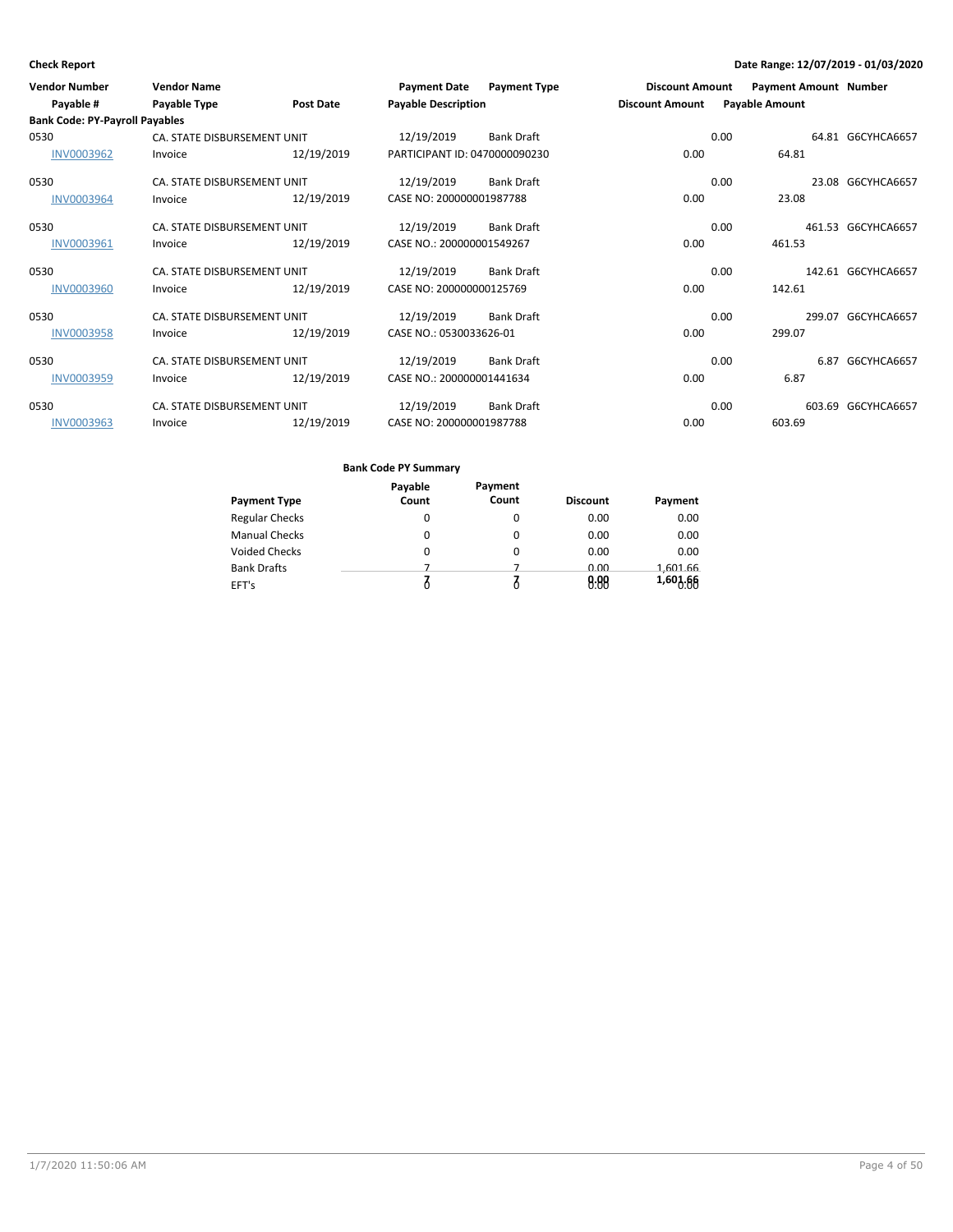| <b>Vendor Number</b>                  | <b>Vendor Name</b>          |                  | <b>Payment Date</b>           | <b>Payment Type</b> | <b>Discount Amount</b> |      | <b>Payment Amount Number</b> |                    |
|---------------------------------------|-----------------------------|------------------|-------------------------------|---------------------|------------------------|------|------------------------------|--------------------|
| Payable #                             | Payable Type                | <b>Post Date</b> | <b>Payable Description</b>    |                     | <b>Discount Amount</b> |      | <b>Payable Amount</b>        |                    |
| <b>Bank Code: PY-Payroll Payables</b> |                             |                  |                               |                     |                        |      |                              |                    |
| 0530                                  | CA. STATE DISBURSEMENT UNIT |                  | 12/19/2019                    | <b>Bank Draft</b>   |                        | 0.00 |                              | 64.81 G6CYHCA6657  |
| <b>INV0003962</b>                     | Invoice                     | 12/19/2019       | PARTICIPANT ID: 0470000090230 |                     | 0.00                   |      | 64.81                        |                    |
| 0530                                  | CA. STATE DISBURSEMENT UNIT |                  | 12/19/2019                    | <b>Bank Draft</b>   |                        | 0.00 |                              | 23.08 G6CYHCA6657  |
| <b>INV0003964</b>                     | Invoice                     | 12/19/2019       | CASE NO: 200000001987788      |                     | 0.00                   |      | 23.08                        |                    |
| 0530                                  | CA. STATE DISBURSEMENT UNIT |                  | 12/19/2019                    | <b>Bank Draft</b>   |                        | 0.00 |                              | 461.53 G6CYHCA6657 |
| INV0003961                            | Invoice                     | 12/19/2019       | CASE NO.: 200000001549267     |                     | 0.00                   |      | 461.53                       |                    |
| 0530                                  | CA. STATE DISBURSEMENT UNIT |                  | 12/19/2019                    | <b>Bank Draft</b>   |                        | 0.00 |                              | 142.61 G6CYHCA6657 |
| <b>INV0003960</b>                     | Invoice                     | 12/19/2019       | CASE NO: 200000000125769      |                     | 0.00                   |      | 142.61                       |                    |
| 0530                                  | CA. STATE DISBURSEMENT UNIT |                  | 12/19/2019                    | <b>Bank Draft</b>   |                        | 0.00 |                              | 299.07 G6CYHCA6657 |
| <b>INV0003958</b>                     | Invoice                     | 12/19/2019       | CASE NO.: 0530033626-01       |                     | 0.00                   |      | 299.07                       |                    |
| 0530                                  | CA. STATE DISBURSEMENT UNIT |                  | 12/19/2019                    | <b>Bank Draft</b>   |                        | 0.00 | 6.87                         | G6CYHCA6657        |
| INV0003959                            | Invoice                     | 12/19/2019       | CASE NO.: 200000001441634     |                     | 0.00                   |      | 6.87                         |                    |
| 0530                                  | CA. STATE DISBURSEMENT UNIT |                  | 12/19/2019                    | <b>Bank Draft</b>   |                        | 0.00 |                              | 603.69 G6CYHCA6657 |
| <b>INV0003963</b>                     | Invoice                     | 12/19/2019       | CASE NO: 200000001987788      |                     | 0.00                   |      | 603.69                       |                    |

|                       | Payable | Payment |                 |                           |
|-----------------------|---------|---------|-----------------|---------------------------|
| <b>Payment Type</b>   | Count   | Count   | <b>Discount</b> | Payment                   |
| <b>Regular Checks</b> | 0       | 0       | 0.00            | 0.00                      |
| <b>Manual Checks</b>  | 0       |         | 0.00            | 0.00                      |
| <b>Voided Checks</b>  | 0       | 0       | 0.00            | 0.00                      |
| <b>Bank Drafts</b>    |         |         | 0.00            | 1,601.66                  |
| EFT's                 |         |         | 0.00            | $1,60$ <sup>1</sup> $.66$ |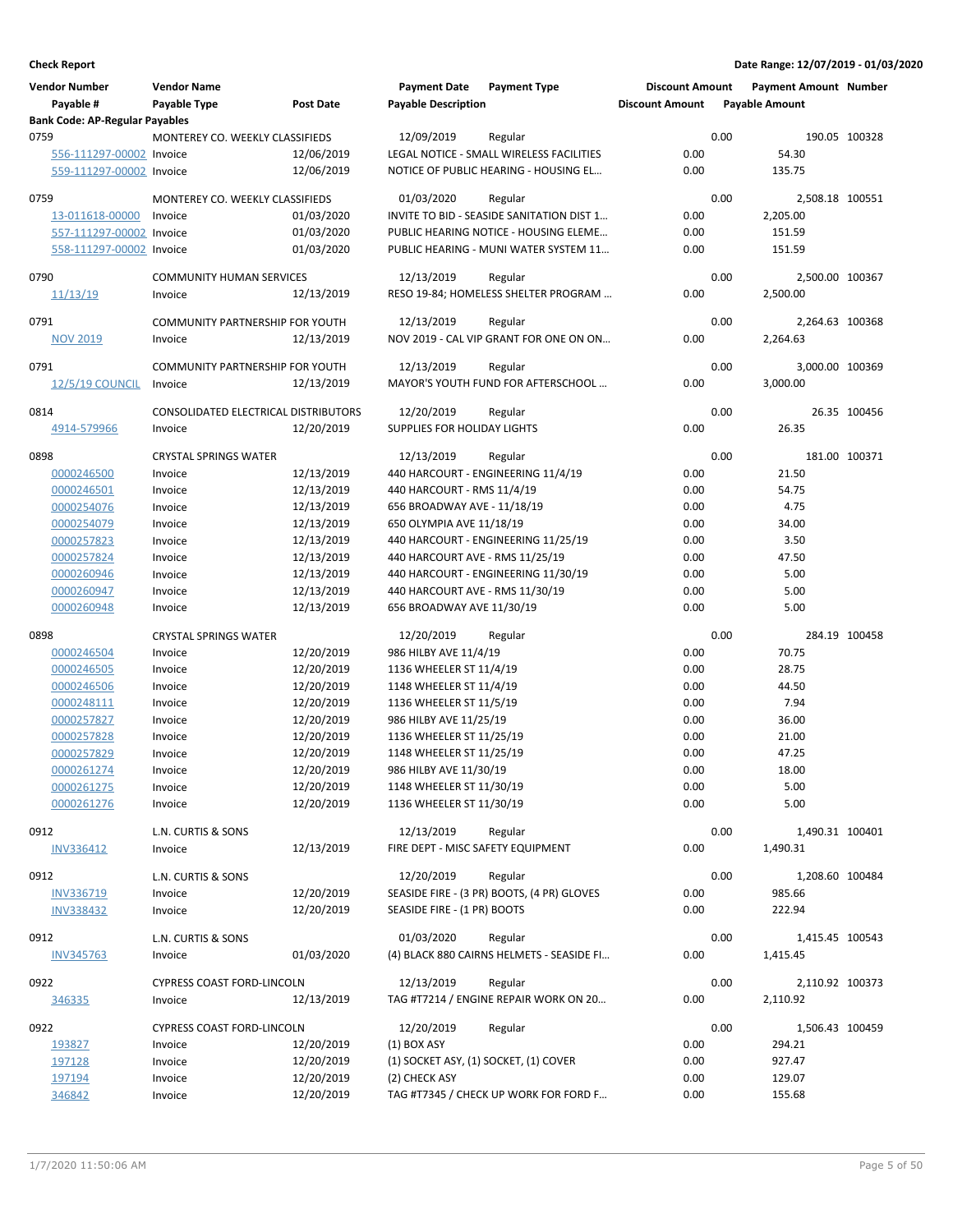| <b>Vendor Number</b><br>Payable #<br><b>Bank Code: AP-Regular Payables</b> | <b>Vendor Name</b><br>Payable Type         | Post Date  | <b>Payment Date</b><br><b>Payable Description</b> | <b>Payment Type</b>                                  | <b>Discount Amount</b><br><b>Discount Amount</b> |      | <b>Payment Amount Number</b><br><b>Payable Amount</b> |               |
|----------------------------------------------------------------------------|--------------------------------------------|------------|---------------------------------------------------|------------------------------------------------------|--------------------------------------------------|------|-------------------------------------------------------|---------------|
| 0759                                                                       | MONTEREY CO. WEEKLY CLASSIFIEDS            |            | 12/09/2019                                        | Regular                                              |                                                  | 0.00 |                                                       | 190.05 100328 |
| 556-111297-00002 Invoice                                                   |                                            | 12/06/2019 |                                                   | LEGAL NOTICE - SMALL WIRELESS FACILITIES             | 0.00                                             |      | 54.30                                                 |               |
| 559-111297-00002 Invoice                                                   |                                            | 12/06/2019 |                                                   | NOTICE OF PUBLIC HEARING - HOUSING EL                | 0.00                                             |      | 135.75                                                |               |
|                                                                            |                                            |            |                                                   |                                                      |                                                  |      |                                                       |               |
| 0759                                                                       | MONTEREY CO. WEEKLY CLASSIFIEDS            |            | 01/03/2020                                        | Regular                                              |                                                  | 0.00 | 2,508.18 100551                                       |               |
| 13-011618-00000                                                            | Invoice                                    | 01/03/2020 |                                                   | INVITE TO BID - SEASIDE SANITATION DIST 1            | 0.00                                             |      | 2,205.00                                              |               |
| 557-111297-00002 Invoice                                                   |                                            | 01/03/2020 |                                                   | PUBLIC HEARING NOTICE - HOUSING ELEME                | 0.00                                             |      | 151.59                                                |               |
| 558-111297-00002 Invoice                                                   |                                            | 01/03/2020 |                                                   | PUBLIC HEARING - MUNI WATER SYSTEM 11                | 0.00                                             |      | 151.59                                                |               |
| 0790                                                                       | <b>COMMUNITY HUMAN SERVICES</b>            |            | 12/13/2019                                        | Regular                                              |                                                  | 0.00 | 2,500.00 100367                                       |               |
| <u>11/13/19</u>                                                            | Invoice                                    | 12/13/2019 |                                                   | RESO 19-84; HOMELESS SHELTER PROGRAM                 | 0.00                                             |      | 2,500.00                                              |               |
|                                                                            |                                            |            |                                                   |                                                      |                                                  | 0.00 |                                                       |               |
| 0791<br><b>NOV 2019</b>                                                    | COMMUNITY PARTNERSHIP FOR YOUTH<br>Invoice | 12/13/2019 | 12/13/2019                                        | Regular<br>NOV 2019 - CAL VIP GRANT FOR ONE ON ON    | 0.00                                             |      | 2,264.63 100368<br>2,264.63                           |               |
|                                                                            |                                            |            |                                                   |                                                      |                                                  |      |                                                       |               |
| 0791                                                                       | COMMUNITY PARTNERSHIP FOR YOUTH            |            | 12/13/2019                                        | Regular                                              |                                                  | 0.00 | 3,000.00 100369                                       |               |
| <b>12/5/19 COUNCIL</b>                                                     | Invoice                                    | 12/13/2019 |                                                   | MAYOR'S YOUTH FUND FOR AFTERSCHOOL                   | 0.00                                             |      | 3.000.00                                              |               |
| 0814                                                                       | CONSOLIDATED ELECTRICAL DISTRIBUTORS       |            | 12/20/2019                                        | Regular                                              |                                                  | 0.00 |                                                       | 26.35 100456  |
| 4914-579966                                                                | Invoice                                    | 12/20/2019 | SUPPLIES FOR HOLIDAY LIGHTS                       |                                                      | 0.00                                             |      | 26.35                                                 |               |
|                                                                            |                                            |            |                                                   |                                                      |                                                  |      |                                                       |               |
| 0898                                                                       | <b>CRYSTAL SPRINGS WATER</b>               |            | 12/13/2019                                        | Regular                                              |                                                  | 0.00 |                                                       | 181.00 100371 |
| 0000246500                                                                 | Invoice                                    | 12/13/2019 |                                                   | 440 HARCOURT - ENGINEERING 11/4/19                   | 0.00                                             |      | 21.50                                                 |               |
| 0000246501                                                                 | Invoice                                    | 12/13/2019 | 440 HARCOURT - RMS 11/4/19                        |                                                      | 0.00                                             |      | 54.75                                                 |               |
| 0000254076                                                                 | Invoice                                    | 12/13/2019 | 656 BROADWAY AVE - 11/18/19                       |                                                      | 0.00                                             |      | 4.75                                                  |               |
| 0000254079                                                                 | Invoice                                    | 12/13/2019 | 650 OLYMPIA AVE 11/18/19                          |                                                      | 0.00                                             |      | 34.00                                                 |               |
| 0000257823                                                                 | Invoice                                    | 12/13/2019 |                                                   | 440 HARCOURT - ENGINEERING 11/25/19                  | 0.00                                             |      | 3.50                                                  |               |
| 0000257824                                                                 | Invoice                                    | 12/13/2019 | 440 HARCOURT AVE - RMS 11/25/19                   |                                                      | 0.00                                             |      | 47.50                                                 |               |
| 0000260946                                                                 | Invoice                                    | 12/13/2019 |                                                   | 440 HARCOURT - ENGINEERING 11/30/19                  | 0.00                                             |      | 5.00                                                  |               |
| 0000260947                                                                 | Invoice                                    | 12/13/2019 | 440 HARCOURT AVE - RMS 11/30/19                   |                                                      | 0.00                                             |      | 5.00                                                  |               |
| 0000260948                                                                 | Invoice                                    | 12/13/2019 | 656 BROADWAY AVE 11/30/19                         |                                                      | 0.00                                             |      | 5.00                                                  |               |
| 0898                                                                       | <b>CRYSTAL SPRINGS WATER</b>               |            | 12/20/2019                                        | Regular                                              |                                                  | 0.00 |                                                       | 284.19 100458 |
| 0000246504                                                                 | Invoice                                    | 12/20/2019 | 986 HILBY AVE 11/4/19                             |                                                      | 0.00                                             |      | 70.75                                                 |               |
| 0000246505                                                                 | Invoice                                    | 12/20/2019 | 1136 WHEELER ST 11/4/19                           |                                                      | 0.00                                             |      | 28.75                                                 |               |
| 0000246506                                                                 | Invoice                                    | 12/20/2019 | 1148 WHEELER ST 11/4/19                           |                                                      | 0.00                                             |      | 44.50                                                 |               |
| 0000248111                                                                 | Invoice                                    | 12/20/2019 | 1136 WHEELER ST 11/5/19                           |                                                      | 0.00                                             |      | 7.94                                                  |               |
| 0000257827                                                                 | Invoice                                    | 12/20/2019 | 986 HILBY AVE 11/25/19                            |                                                      | 0.00                                             |      | 36.00                                                 |               |
| 0000257828                                                                 | Invoice                                    | 12/20/2019 | 1136 WHEELER ST 11/25/19                          |                                                      | 0.00                                             |      | 21.00                                                 |               |
| 0000257829                                                                 | Invoice                                    | 12/20/2019 | 1148 WHEELER ST 11/25/19                          |                                                      | 0.00                                             |      | 47.25                                                 |               |
| 0000261274                                                                 | Invoice                                    | 12/20/2019 | 986 HILBY AVE 11/30/19                            |                                                      | $0.00\,$                                         |      | 18.00                                                 |               |
| 0000261275                                                                 | Invoice                                    | 12/20/2019 | 1148 WHEELER ST 11/30/19                          |                                                      | 0.00                                             |      | 5.00                                                  |               |
| 0000261276                                                                 | Invoice                                    | 12/20/2019 | 1136 WHEELER ST 11/30/19                          |                                                      | 0.00                                             |      | 5.00                                                  |               |
|                                                                            |                                            |            |                                                   |                                                      |                                                  |      |                                                       |               |
| 0912                                                                       | L.N. CURTIS & SONS                         |            | 12/13/2019                                        | Regular                                              |                                                  | 0.00 | 1,490.31 100401                                       |               |
| INV336412                                                                  | Invoice                                    | 12/13/2019 | FIRE DEPT - MISC SAFETY EQUIPMENT                 |                                                      | 0.00                                             |      | 1,490.31                                              |               |
| 0912                                                                       | L.N. CURTIS & SONS                         |            | 12/20/2019                                        | Regular                                              |                                                  | 0.00 | 1,208.60 100484                                       |               |
| INV336719                                                                  | Invoice                                    | 12/20/2019 |                                                   | SEASIDE FIRE - (3 PR) BOOTS, (4 PR) GLOVES           | 0.00                                             |      | 985.66                                                |               |
| <b>INV338432</b>                                                           | Invoice                                    | 12/20/2019 | SEASIDE FIRE - (1 PR) BOOTS                       |                                                      | 0.00                                             |      | 222.94                                                |               |
|                                                                            | L.N. CURTIS & SONS                         |            |                                                   |                                                      |                                                  |      |                                                       |               |
| 0912                                                                       |                                            |            | 01/03/2020                                        | Regular<br>(4) BLACK 880 CAIRNS HELMETS - SEASIDE FI | 0.00                                             | 0.00 | 1,415.45 100543                                       |               |
| <b>INV345763</b>                                                           | Invoice                                    | 01/03/2020 |                                                   |                                                      |                                                  |      | 1,415.45                                              |               |
| 0922                                                                       | CYPRESS COAST FORD-LINCOLN                 |            | 12/13/2019                                        | Regular                                              |                                                  | 0.00 | 2,110.92 100373                                       |               |
| 346335                                                                     | Invoice                                    | 12/13/2019 |                                                   | TAG #T7214 / ENGINE REPAIR WORK ON 20                | 0.00                                             |      | 2,110.92                                              |               |
| 0922                                                                       | CYPRESS COAST FORD-LINCOLN                 |            | 12/20/2019                                        | Regular                                              |                                                  | 0.00 | 1,506.43 100459                                       |               |
| 193827                                                                     | Invoice                                    | 12/20/2019 | $(1)$ BOX ASY                                     |                                                      | 0.00                                             |      | 294.21                                                |               |
| 197128                                                                     | Invoice                                    | 12/20/2019 | (1) SOCKET ASY, (1) SOCKET, (1) COVER             |                                                      | 0.00                                             |      | 927.47                                                |               |
| 197194                                                                     | Invoice                                    | 12/20/2019 | (2) CHECK ASY                                     |                                                      | 0.00                                             |      | 129.07                                                |               |
| 346842                                                                     | Invoice                                    | 12/20/2019 |                                                   | TAG #T7345 / CHECK UP WORK FOR FORD F                | 0.00                                             |      | 155.68                                                |               |
|                                                                            |                                            |            |                                                   |                                                      |                                                  |      |                                                       |               |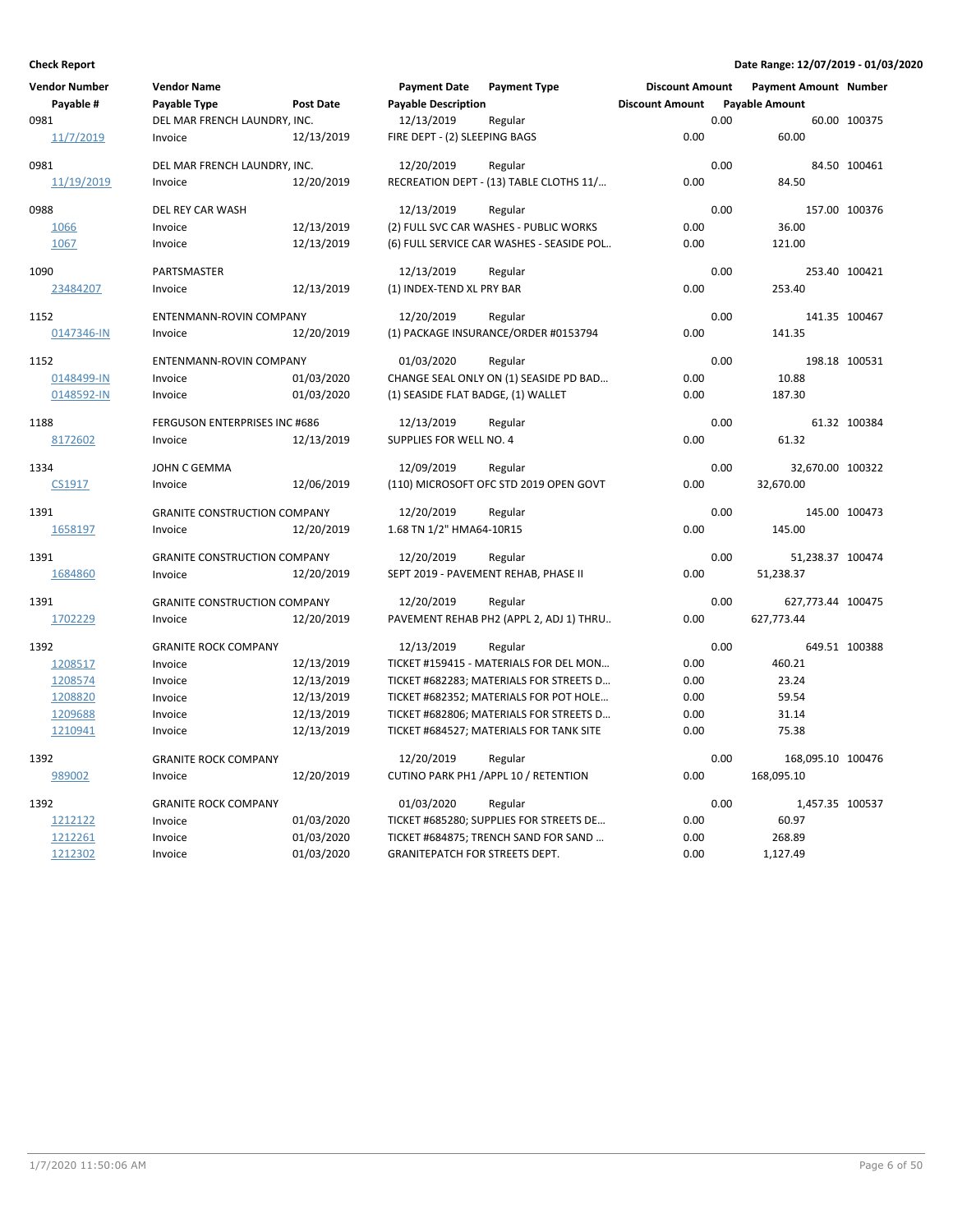| <b>Vendor Number</b> | Vendor Name                         |                  | <b>Payment Date</b>                | <b>Payment Type</b>                       | <b>Discount Amount</b> |      | <b>Payment Amount Number</b> |               |
|----------------------|-------------------------------------|------------------|------------------------------------|-------------------------------------------|------------------------|------|------------------------------|---------------|
| Payable #            | Payable Type                        | <b>Post Date</b> | <b>Payable Description</b>         |                                           | <b>Discount Amount</b> |      | <b>Payable Amount</b>        |               |
| 0981                 | DEL MAR FRENCH LAUNDRY, INC.        |                  | 12/13/2019                         | Regular                                   |                        | 0.00 |                              | 60.00 100375  |
| 11/7/2019            | Invoice                             | 12/13/2019       | FIRE DEPT - (2) SLEEPING BAGS      |                                           | 0.00                   |      | 60.00                        |               |
| 0981                 | DEL MAR FRENCH LAUNDRY, INC.        |                  | 12/20/2019                         | Regular                                   |                        | 0.00 |                              | 84.50 100461  |
| 11/19/2019           | Invoice                             | 12/20/2019       |                                    | RECREATION DEPT - (13) TABLE CLOTHS 11/   | 0.00                   |      | 84.50                        |               |
| 0988                 | DEL REY CAR WASH                    |                  | 12/13/2019                         | Regular                                   |                        | 0.00 |                              | 157.00 100376 |
| 1066                 | Invoice                             | 12/13/2019       |                                    | (2) FULL SVC CAR WASHES - PUBLIC WORKS    | 0.00                   |      | 36.00                        |               |
| 1067                 | Invoice                             | 12/13/2019       |                                    | (6) FULL SERVICE CAR WASHES - SEASIDE POL | 0.00                   |      | 121.00                       |               |
| 1090                 | PARTSMASTER                         |                  | 12/13/2019                         | Regular                                   |                        | 0.00 |                              | 253.40 100421 |
| 23484207             | Invoice                             | 12/13/2019       | (1) INDEX-TEND XL PRY BAR          |                                           | 0.00                   |      | 253.40                       |               |
| 1152                 | ENTENMANN-ROVIN COMPANY             |                  | 12/20/2019                         | Regular                                   |                        | 0.00 |                              | 141.35 100467 |
| 0147346-IN           | Invoice                             | 12/20/2019       |                                    | (1) PACKAGE INSURANCE/ORDER #0153794      | 0.00                   |      | 141.35                       |               |
| 1152                 | ENTENMANN-ROVIN COMPANY             |                  | 01/03/2020                         | Regular                                   |                        | 0.00 |                              | 198.18 100531 |
| 0148499-IN           | Invoice                             | 01/03/2020       |                                    | CHANGE SEAL ONLY ON (1) SEASIDE PD BAD    | 0.00                   |      | 10.88                        |               |
| 0148592-IN           | Invoice                             | 01/03/2020       | (1) SEASIDE FLAT BADGE, (1) WALLET |                                           | 0.00                   |      | 187.30                       |               |
| 1188                 | FERGUSON ENTERPRISES INC #686       |                  | 12/13/2019                         | Regular                                   |                        | 0.00 |                              | 61.32 100384  |
| 8172602              | Invoice                             | 12/13/2019       | SUPPLIES FOR WELL NO. 4            |                                           | 0.00                   |      | 61.32                        |               |
| 1334                 | JOHN C GEMMA                        |                  | 12/09/2019                         | Regular                                   |                        | 0.00 | 32,670.00 100322             |               |
| CS1917               | Invoice                             | 12/06/2019       |                                    | (110) MICROSOFT OFC STD 2019 OPEN GOVT    | 0.00                   |      | 32,670.00                    |               |
| 1391                 | <b>GRANITE CONSTRUCTION COMPANY</b> |                  | 12/20/2019                         | Regular                                   |                        | 0.00 |                              | 145.00 100473 |
| 1658197              | Invoice                             | 12/20/2019       | 1.68 TN 1/2" HMA64-10R15           |                                           | 0.00                   |      | 145.00                       |               |
| 1391                 | <b>GRANITE CONSTRUCTION COMPANY</b> |                  | 12/20/2019                         | Regular                                   |                        | 0.00 | 51,238.37 100474             |               |
| 1684860              | Invoice                             | 12/20/2019       |                                    | SEPT 2019 - PAVEMENT REHAB, PHASE II      | 0.00                   |      | 51,238.37                    |               |
| 1391                 | <b>GRANITE CONSTRUCTION COMPANY</b> |                  | 12/20/2019                         | Regular                                   |                        | 0.00 | 627,773.44 100475            |               |
| 1702229              | Invoice                             | 12/20/2019       |                                    | PAVEMENT REHAB PH2 (APPL 2, ADJ 1) THRU   | 0.00                   |      | 627,773.44                   |               |
| 1392                 | <b>GRANITE ROCK COMPANY</b>         |                  | 12/13/2019                         | Regular                                   |                        | 0.00 |                              | 649.51 100388 |
| 1208517              | Invoice                             | 12/13/2019       |                                    | TICKET #159415 - MATERIALS FOR DEL MON    | 0.00                   |      | 460.21                       |               |
| 1208574              | Invoice                             | 12/13/2019       |                                    | TICKET #682283; MATERIALS FOR STREETS D   | 0.00                   |      | 23.24                        |               |
| 1208820              | Invoice                             | 12/13/2019       |                                    | TICKET #682352; MATERIALS FOR POT HOLE    | 0.00                   |      | 59.54                        |               |
| 1209688              | Invoice                             | 12/13/2019       |                                    | TICKET #682806; MATERIALS FOR STREETS D   | 0.00                   |      | 31.14                        |               |
| 1210941              | Invoice                             | 12/13/2019       |                                    | TICKET #684527; MATERIALS FOR TANK SITE   | 0.00                   |      | 75.38                        |               |
| 1392                 | <b>GRANITE ROCK COMPANY</b>         |                  | 12/20/2019                         | Regular                                   |                        | 0.00 | 168,095.10 100476            |               |
| 989002               | Invoice                             | 12/20/2019       |                                    | CUTINO PARK PH1 / APPL 10 / RETENTION     | 0.00                   |      | 168,095.10                   |               |
| 1392                 | <b>GRANITE ROCK COMPANY</b>         |                  | 01/03/2020                         | Regular                                   |                        | 0.00 | 1,457.35 100537              |               |
| 1212122              | Invoice                             | 01/03/2020       |                                    | TICKET #685280; SUPPLIES FOR STREETS DE   | 0.00                   |      | 60.97                        |               |
| 1212261              | Invoice                             | 01/03/2020       |                                    | TICKET #684875; TRENCH SAND FOR SAND      | 0.00                   |      | 268.89                       |               |
| 1212302              | Invoice                             | 01/03/2020       | GRANITEPATCH FOR STREETS DEPT.     |                                           | 0.00                   |      | 1,127.49                     |               |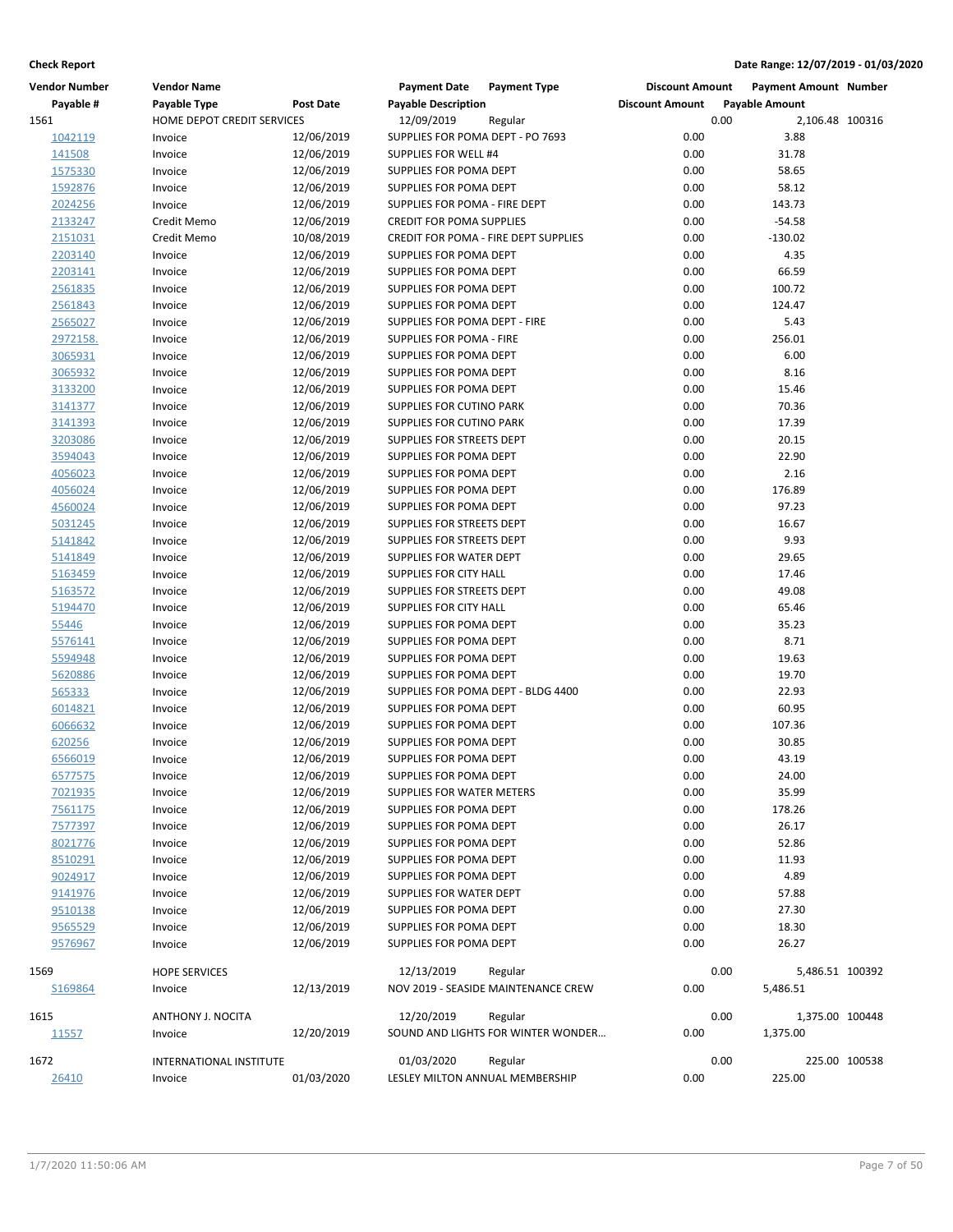| <b>Vendor Number</b>      | <b>Vendor Name</b>           |                          | <b>Payment Date</b>                                 | <b>Payment Type</b>                           | <b>Discount Amount</b> |      | <b>Payment Amount Number</b> |               |
|---------------------------|------------------------------|--------------------------|-----------------------------------------------------|-----------------------------------------------|------------------------|------|------------------------------|---------------|
| Payable #                 | Payable Type                 | Post Date                | <b>Payable Description</b>                          |                                               | <b>Discount Amount</b> |      | <b>Payable Amount</b>        |               |
| 1561                      | HOME DEPOT CREDIT SERVICES   |                          | 12/09/2019                                          | Regular                                       |                        | 0.00 | 2,106.48 100316              |               |
| 1042119                   | Invoice                      | 12/06/2019               | SUPPLIES FOR POMA DEPT - PO 7693                    |                                               | 0.00                   |      | 3.88                         |               |
| 141508                    | Invoice                      | 12/06/2019               | SUPPLIES FOR WELL #4                                |                                               | 0.00                   |      | 31.78                        |               |
| 1575330                   | Invoice                      | 12/06/2019               | SUPPLIES FOR POMA DEPT                              |                                               | 0.00                   |      | 58.65                        |               |
| 1592876                   | Invoice                      | 12/06/2019               | SUPPLIES FOR POMA DEPT                              |                                               | 0.00                   |      | 58.12                        |               |
| 2024256                   | Invoice                      | 12/06/2019               | SUPPLIES FOR POMA - FIRE DEPT                       |                                               | 0.00                   |      | 143.73                       |               |
| 2133247                   | Credit Memo                  | 12/06/2019               | <b>CREDIT FOR POMA SUPPLIES</b>                     |                                               | 0.00                   |      | $-54.58$                     |               |
| 2151031                   | Credit Memo                  | 10/08/2019               |                                                     | CREDIT FOR POMA - FIRE DEPT SUPPLIES          | 0.00                   |      | $-130.02$                    |               |
| 2203140                   | Invoice                      | 12/06/2019               | SUPPLIES FOR POMA DEPT                              |                                               | 0.00                   |      | 4.35                         |               |
| 2203141                   | Invoice                      | 12/06/2019               | SUPPLIES FOR POMA DEPT                              |                                               | 0.00                   |      | 66.59                        |               |
| 2561835                   | Invoice                      | 12/06/2019               | SUPPLIES FOR POMA DEPT                              |                                               | 0.00                   |      | 100.72                       |               |
| 2561843                   | Invoice                      | 12/06/2019               | SUPPLIES FOR POMA DEPT                              |                                               | 0.00                   |      | 124.47                       |               |
| 2565027                   | Invoice                      | 12/06/2019               | SUPPLIES FOR POMA DEPT - FIRE                       |                                               | 0.00                   |      | 5.43                         |               |
| 2972158.                  | Invoice                      | 12/06/2019               | SUPPLIES FOR POMA - FIRE                            |                                               | 0.00                   |      | 256.01                       |               |
| 3065931                   | Invoice                      | 12/06/2019               | SUPPLIES FOR POMA DEPT                              |                                               | 0.00                   |      | 6.00                         |               |
| 3065932                   | Invoice                      | 12/06/2019               | SUPPLIES FOR POMA DEPT                              |                                               | 0.00                   |      | 8.16                         |               |
| 3133200                   | Invoice                      | 12/06/2019               | SUPPLIES FOR POMA DEPT                              |                                               | 0.00                   |      | 15.46                        |               |
| 3141377                   | Invoice                      | 12/06/2019               | SUPPLIES FOR CUTINO PARK                            |                                               | 0.00                   |      | 70.36                        |               |
| 3141393                   | Invoice                      | 12/06/2019               | SUPPLIES FOR CUTINO PARK                            |                                               | 0.00                   |      | 17.39                        |               |
| 3203086                   | Invoice                      | 12/06/2019               | SUPPLIES FOR STREETS DEPT                           |                                               | 0.00                   |      | 20.15                        |               |
| 3594043                   | Invoice                      | 12/06/2019               | SUPPLIES FOR POMA DEPT                              |                                               | 0.00                   |      | 22.90                        |               |
| 4056023                   | Invoice                      | 12/06/2019               | SUPPLIES FOR POMA DEPT                              |                                               | 0.00                   |      | 2.16                         |               |
| 4056024                   | Invoice                      | 12/06/2019               | SUPPLIES FOR POMA DEPT                              |                                               | 0.00                   |      | 176.89                       |               |
| 4560024                   | Invoice                      | 12/06/2019               | SUPPLIES FOR POMA DEPT                              |                                               | 0.00                   |      | 97.23                        |               |
| 5031245                   | Invoice                      | 12/06/2019               | SUPPLIES FOR STREETS DEPT                           |                                               | 0.00                   |      | 16.67                        |               |
| 5141842                   | Invoice                      | 12/06/2019               | SUPPLIES FOR STREETS DEPT                           |                                               | 0.00                   |      | 9.93                         |               |
| 5141849                   | Invoice                      | 12/06/2019               | SUPPLIES FOR WATER DEPT                             |                                               | 0.00                   |      | 29.65                        |               |
| 5163459                   | Invoice                      | 12/06/2019               | SUPPLIES FOR CITY HALL                              |                                               | 0.00                   |      | 17.46                        |               |
| 5163572                   | Invoice                      | 12/06/2019               | SUPPLIES FOR STREETS DEPT                           |                                               | 0.00                   |      | 49.08                        |               |
| 5194470                   | Invoice                      | 12/06/2019               | SUPPLIES FOR CITY HALL                              |                                               | 0.00                   |      | 65.46                        |               |
| 55446                     | Invoice                      | 12/06/2019               | SUPPLIES FOR POMA DEPT                              |                                               | 0.00                   |      | 35.23                        |               |
| 5576141                   | Invoice                      | 12/06/2019               | SUPPLIES FOR POMA DEPT                              |                                               | 0.00                   |      | 8.71                         |               |
| 5594948                   | Invoice                      | 12/06/2019               | SUPPLIES FOR POMA DEPT                              |                                               | 0.00                   |      | 19.63                        |               |
| 5620886                   | Invoice                      | 12/06/2019               | SUPPLIES FOR POMA DEPT                              |                                               | 0.00                   |      | 19.70                        |               |
| 565333                    | Invoice                      | 12/06/2019               |                                                     | SUPPLIES FOR POMA DEPT - BLDG 4400            | 0.00                   |      | 22.93                        |               |
| 6014821                   | Invoice                      | 12/06/2019               | SUPPLIES FOR POMA DEPT                              |                                               | 0.00                   |      | 60.95                        |               |
| 6066632                   | Invoice                      | 12/06/2019               | SUPPLIES FOR POMA DEPT                              |                                               | 0.00<br>0.00           |      | 107.36                       |               |
| 620256                    | Invoice                      | 12/06/2019               | SUPPLIES FOR POMA DEPT<br>SUPPLIES FOR POMA DEPT    |                                               | 0.00                   |      | 30.85                        |               |
| 6566019                   | Invoice                      | 12/06/2019               |                                                     |                                               |                        |      | 43.19                        |               |
| <u>6577575</u><br>7021935 | Invoice                      | 12/06/2019<br>12/06/2019 | SUPPLIES FOR POMA DEPT<br>SUPPLIES FOR WATER METERS |                                               | 0.00<br>0.00           |      | 24.00<br>35.99               |               |
| 7561175                   | Invoice<br>Invoice           | 12/06/2019               | SUPPLIES FOR POMA DEPT                              |                                               | 0.00                   |      | 178.26                       |               |
| 7577397                   | Invoice                      | 12/06/2019               | SUPPLIES FOR POMA DEPT                              |                                               | 0.00                   |      | 26.17                        |               |
| 8021776                   | Invoice                      | 12/06/2019               | SUPPLIES FOR POMA DEPT                              |                                               | 0.00                   |      | 52.86                        |               |
| 8510291                   | Invoice                      | 12/06/2019               | SUPPLIES FOR POMA DEPT                              |                                               | 0.00                   |      | 11.93                        |               |
| 9024917                   | Invoice                      | 12/06/2019               | SUPPLIES FOR POMA DEPT                              |                                               | 0.00                   |      | 4.89                         |               |
| 9141976                   | Invoice                      | 12/06/2019               | SUPPLIES FOR WATER DEPT                             |                                               | 0.00                   |      | 57.88                        |               |
| 9510138                   | Invoice                      | 12/06/2019               | SUPPLIES FOR POMA DEPT                              |                                               | 0.00                   |      | 27.30                        |               |
| 9565529                   | Invoice                      | 12/06/2019               | SUPPLIES FOR POMA DEPT                              |                                               | 0.00                   |      | 18.30                        |               |
| 9576967                   | Invoice                      | 12/06/2019               | SUPPLIES FOR POMA DEPT                              |                                               | 0.00                   |      | 26.27                        |               |
|                           |                              |                          |                                                     |                                               |                        |      |                              |               |
| 1569                      | <b>HOPE SERVICES</b>         |                          | 12/13/2019                                          | Regular                                       |                        | 0.00 | 5,486.51 100392              |               |
| S169864                   | Invoice                      | 12/13/2019               |                                                     | NOV 2019 - SEASIDE MAINTENANCE CREW           | 0.00                   |      | 5,486.51                     |               |
| 1615                      |                              |                          | 12/20/2019                                          |                                               |                        | 0.00 | 1,375.00 100448              |               |
| 11557                     | ANTHONY J. NOCITA<br>Invoice | 12/20/2019               |                                                     | Regular<br>SOUND AND LIGHTS FOR WINTER WONDER | 0.00                   |      | 1,375.00                     |               |
|                           |                              |                          |                                                     |                                               |                        |      |                              |               |
| 1672                      | INTERNATIONAL INSTITUTE      |                          | 01/03/2020                                          | Regular                                       |                        | 0.00 |                              | 225.00 100538 |
| 26410                     | Invoice                      | 01/03/2020               | LESLEY MILTON ANNUAL MEMBERSHIP                     |                                               | 0.00                   |      | 225.00                       |               |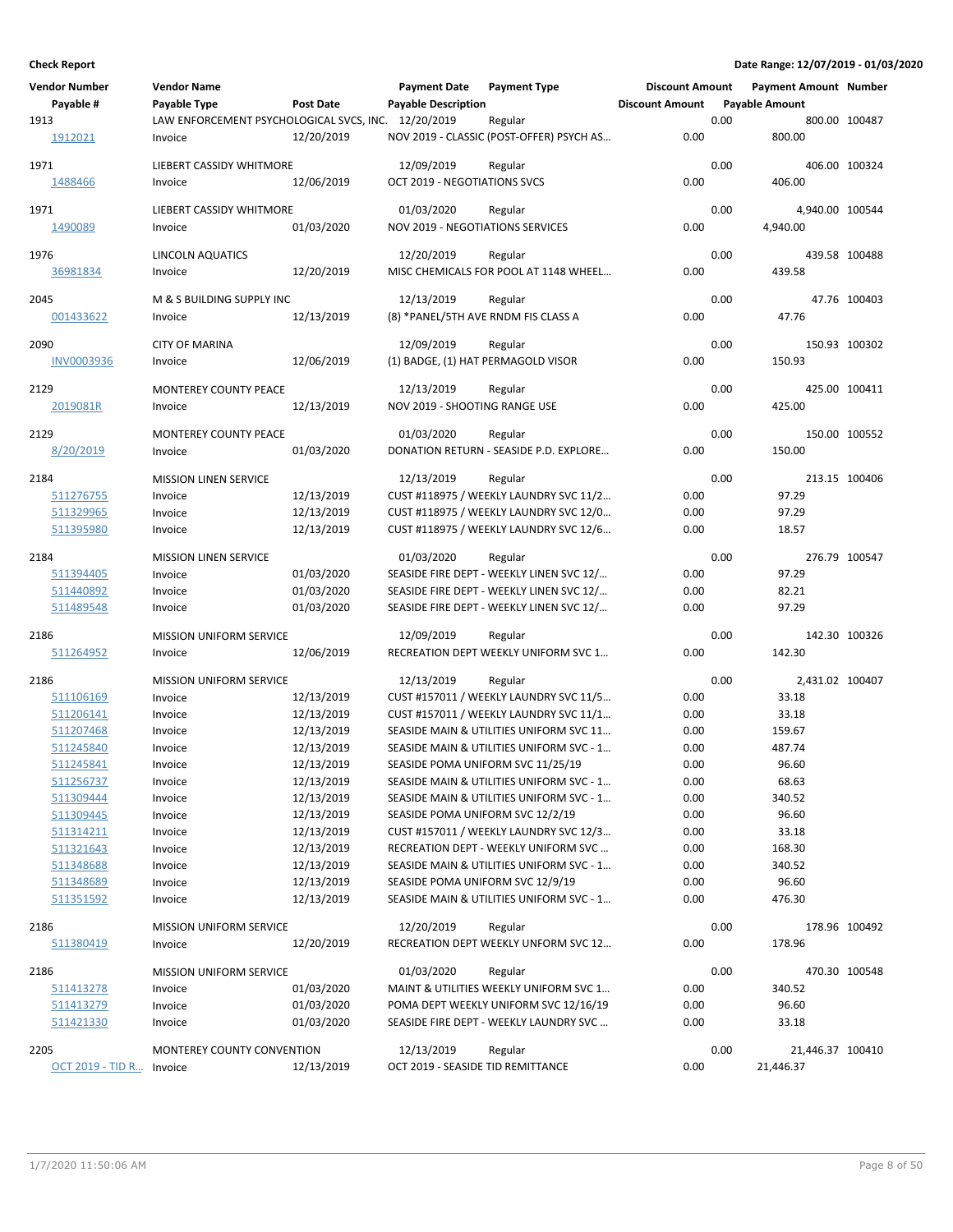| <b>Vendor Number</b>     | <b>Vendor Name</b>                                  |                          | <b>Payment Date</b>                 | <b>Payment Type</b>                             | <b>Discount Amount</b> |      | <b>Payment Amount Number</b> |               |
|--------------------------|-----------------------------------------------------|--------------------------|-------------------------------------|-------------------------------------------------|------------------------|------|------------------------------|---------------|
| Payable #                | Payable Type                                        | <b>Post Date</b>         | <b>Payable Description</b>          |                                                 | <b>Discount Amount</b> |      | <b>Payable Amount</b>        |               |
| 1913                     | LAW ENFORCEMENT PSYCHOLOGICAL SVCS, INC. 12/20/2019 |                          |                                     | Regular                                         |                        | 0.00 |                              | 800.00 100487 |
| 1912021                  | Invoice                                             | 12/20/2019               |                                     | NOV 2019 - CLASSIC (POST-OFFER) PSYCH AS        | 0.00                   |      | 800.00                       |               |
| 1971                     | LIEBERT CASSIDY WHITMORE                            |                          | 12/09/2019                          |                                                 |                        | 0.00 |                              | 406.00 100324 |
| 1488466                  | Invoice                                             | 12/06/2019               | OCT 2019 - NEGOTIATIONS SVCS        | Regular                                         | 0.00                   |      | 406.00                       |               |
|                          |                                                     |                          |                                     |                                                 |                        |      |                              |               |
| 1971                     | LIEBERT CASSIDY WHITMORE                            |                          | 01/03/2020                          | Regular                                         |                        | 0.00 | 4,940.00 100544              |               |
| 1490089                  | Invoice                                             | 01/03/2020               | NOV 2019 - NEGOTIATIONS SERVICES    |                                                 | 0.00                   |      | 4,940.00                     |               |
| 1976                     | LINCOLN AQUATICS                                    |                          | 12/20/2019                          | Regular                                         |                        | 0.00 |                              | 439.58 100488 |
| 36981834                 | Invoice                                             | 12/20/2019               |                                     | MISC CHEMICALS FOR POOL AT 1148 WHEEL           | 0.00                   |      | 439.58                       |               |
|                          |                                                     |                          |                                     |                                                 |                        |      |                              |               |
| 2045                     | M & S BUILDING SUPPLY INC                           |                          | 12/13/2019                          | Regular                                         |                        | 0.00 |                              | 47.76 100403  |
| 001433622                | Invoice                                             | 12/13/2019               | (8) *PANEL/5TH AVE RNDM FIS CLASS A |                                                 | 0.00                   |      | 47.76                        |               |
| 2090                     | <b>CITY OF MARINA</b>                               |                          | 12/09/2019                          | Regular                                         |                        | 0.00 |                              | 150.93 100302 |
| <b>INV0003936</b>        | Invoice                                             | 12/06/2019               | (1) BADGE, (1) HAT PERMAGOLD VISOR  |                                                 | 0.00                   |      | 150.93                       |               |
|                          |                                                     |                          |                                     |                                                 |                        |      |                              |               |
| 2129                     | MONTEREY COUNTY PEACE                               |                          | 12/13/2019                          | Regular                                         |                        | 0.00 |                              | 425.00 100411 |
| 2019081R                 | Invoice                                             | 12/13/2019               | NOV 2019 - SHOOTING RANGE USE       |                                                 | 0.00                   |      | 425.00                       |               |
| 2129                     | <b>MONTEREY COUNTY PEACE</b>                        |                          | 01/03/2020                          | Regular                                         |                        | 0.00 |                              | 150.00 100552 |
| 8/20/2019                | Invoice                                             | 01/03/2020               |                                     | DONATION RETURN - SEASIDE P.D. EXPLORE          | 0.00                   |      | 150.00                       |               |
|                          |                                                     |                          |                                     |                                                 |                        |      |                              |               |
| 2184                     | <b>MISSION LINEN SERVICE</b>                        |                          | 12/13/2019                          | Regular                                         |                        | 0.00 |                              | 213.15 100406 |
| 511276755                | Invoice                                             | 12/13/2019               |                                     | CUST #118975 / WEEKLY LAUNDRY SVC 11/2          | 0.00                   |      | 97.29                        |               |
| 511329965                | Invoice                                             | 12/13/2019               |                                     | CUST #118975 / WEEKLY LAUNDRY SVC 12/0          | 0.00                   |      | 97.29                        |               |
| 511395980                | Invoice                                             | 12/13/2019               |                                     | CUST #118975 / WEEKLY LAUNDRY SVC 12/6          | 0.00                   |      | 18.57                        |               |
| 2184                     | <b>MISSION LINEN SERVICE</b>                        |                          | 01/03/2020                          | Regular                                         |                        | 0.00 |                              | 276.79 100547 |
| 511394405                | Invoice                                             | 01/03/2020               |                                     | SEASIDE FIRE DEPT - WEEKLY LINEN SVC 12/        | 0.00                   |      | 97.29                        |               |
| 511440892                | Invoice                                             | 01/03/2020               |                                     | SEASIDE FIRE DEPT - WEEKLY LINEN SVC 12/        | 0.00                   |      | 82.21                        |               |
| 511489548                | Invoice                                             | 01/03/2020               |                                     | SEASIDE FIRE DEPT - WEEKLY LINEN SVC 12/        | 0.00                   |      | 97.29                        |               |
|                          |                                                     |                          |                                     |                                                 |                        |      |                              |               |
| 2186<br>511264952        | <b>MISSION UNIFORM SERVICE</b><br>Invoice           | 12/06/2019               | 12/09/2019                          | Regular<br>RECREATION DEPT WEEKLY UNIFORM SVC 1 | 0.00                   | 0.00 | 142.30                       | 142.30 100326 |
|                          |                                                     |                          |                                     |                                                 |                        |      |                              |               |
| 2186                     | <b>MISSION UNIFORM SERVICE</b>                      |                          | 12/13/2019                          | Regular                                         |                        | 0.00 | 2,431.02 100407              |               |
| 511106169                | Invoice                                             | 12/13/2019               |                                     | CUST #157011 / WEEKLY LAUNDRY SVC 11/5          | 0.00                   |      | 33.18                        |               |
| 511206141                | Invoice                                             | 12/13/2019               |                                     | CUST #157011 / WEEKLY LAUNDRY SVC 11/1          | 0.00                   |      | 33.18                        |               |
| 511207468                | Invoice                                             | 12/13/2019               |                                     | SEASIDE MAIN & UTILITIES UNIFORM SVC 11         | 0.00                   |      | 159.67                       |               |
| 511245840                | Invoice                                             | 12/13/2019               |                                     | SEASIDE MAIN & UTILITIES UNIFORM SVC - 1        | 0.00                   |      | 487.74                       |               |
| 511245841                | Invoice                                             | 12/13/2019               | SEASIDE POMA UNIFORM SVC 11/25/19   |                                                 | 0.00                   |      | 96.60                        |               |
| 511256737                | Invoice                                             | 12/13/2019               |                                     | SEASIDE MAIN & UTILITIES UNIFORM SVC - 1        | 0.00                   |      | 68.63                        |               |
| 511309444                | Invoice                                             | 12/13/2019<br>12/13/2019 | SEASIDE POMA UNIFORM SVC 12/2/19    | SEASIDE MAIN & UTILITIES UNIFORM SVC - 1        | 0.00                   |      | 340.52<br>96.60              |               |
| 511309445<br>511314211   | Invoice<br>Invoice                                  | 12/13/2019               |                                     | CUST #157011 / WEEKLY LAUNDRY SVC 12/3          | 0.00<br>0.00           |      | 33.18                        |               |
| 511321643                | Invoice                                             | 12/13/2019               |                                     | RECREATION DEPT - WEEKLY UNIFORM SVC            | 0.00                   |      | 168.30                       |               |
| 511348688                | Invoice                                             | 12/13/2019               |                                     | SEASIDE MAIN & UTILITIES UNIFORM SVC - 1        | 0.00                   |      | 340.52                       |               |
| 511348689                | Invoice                                             | 12/13/2019               | SEASIDE POMA UNIFORM SVC 12/9/19    |                                                 | 0.00                   |      | 96.60                        |               |
| 511351592                | Invoice                                             | 12/13/2019               |                                     | SEASIDE MAIN & UTILITIES UNIFORM SVC - 1        | 0.00                   |      | 476.30                       |               |
|                          |                                                     |                          |                                     |                                                 |                        |      |                              |               |
| 2186                     | <b>MISSION UNIFORM SERVICE</b>                      |                          | 12/20/2019                          | Regular                                         |                        | 0.00 |                              | 178.96 100492 |
| 511380419                | Invoice                                             | 12/20/2019               |                                     | RECREATION DEPT WEEKLY UNFORM SVC 12            | 0.00                   |      | 178.96                       |               |
| 2186                     | MISSION UNIFORM SERVICE                             |                          | 01/03/2020                          | Regular                                         |                        | 0.00 |                              | 470.30 100548 |
| 511413278                | Invoice                                             | 01/03/2020               |                                     | MAINT & UTILITIES WEEKLY UNIFORM SVC 1          | 0.00                   |      | 340.52                       |               |
| 511413279                | Invoice                                             | 01/03/2020               |                                     | POMA DEPT WEEKLY UNIFORM SVC 12/16/19           | 0.00                   |      | 96.60                        |               |
| 511421330                | Invoice                                             | 01/03/2020               |                                     | SEASIDE FIRE DEPT - WEEKLY LAUNDRY SVC          | 0.00                   |      | 33.18                        |               |
|                          |                                                     |                          |                                     |                                                 |                        |      |                              |               |
| 2205                     | MONTEREY COUNTY CONVENTION                          |                          | 12/13/2019                          | Regular                                         |                        | 0.00 | 21,446.37 100410             |               |
| OCT 2019 - TID R Invoice |                                                     | 12/13/2019               | OCT 2019 - SEASIDE TID REMITTANCE   |                                                 | 0.00                   |      | 21,446.37                    |               |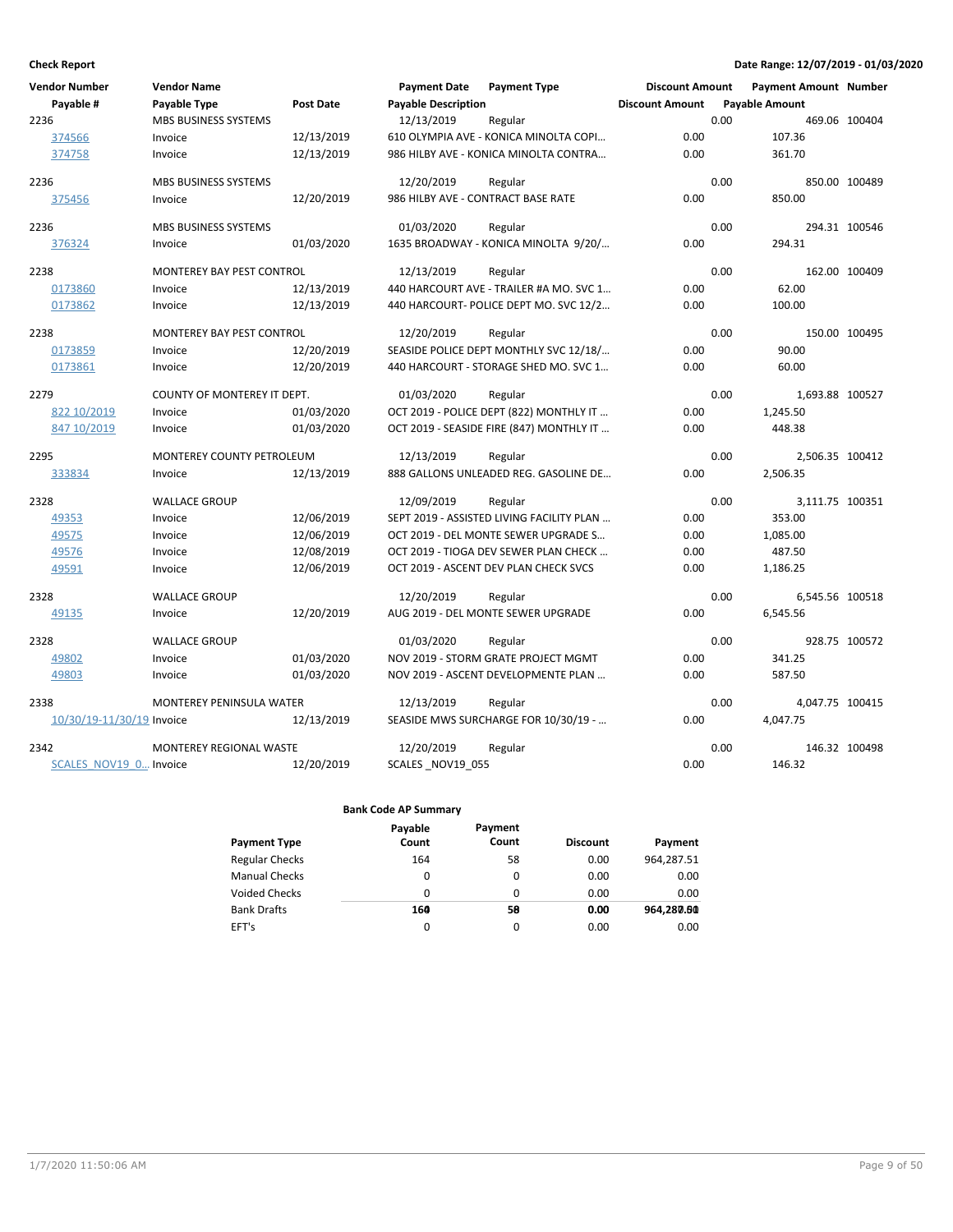| <b>Vendor Number</b>      | <b>Vendor Name</b>          |                  | <b>Payment Date</b>                | <b>Payment Type</b>                       | <b>Discount Amount</b> |                       | <b>Payment Amount Number</b> |               |
|---------------------------|-----------------------------|------------------|------------------------------------|-------------------------------------------|------------------------|-----------------------|------------------------------|---------------|
| Payable #                 | Payable Type                | <b>Post Date</b> | <b>Payable Description</b>         |                                           | <b>Discount Amount</b> | <b>Payable Amount</b> |                              |               |
| 2236                      | <b>MBS BUSINESS SYSTEMS</b> |                  | 12/13/2019                         | Regular                                   |                        | 0.00                  |                              | 469.06 100404 |
| 374566                    | Invoice                     | 12/13/2019       |                                    | 610 OLYMPIA AVE - KONICA MINOLTA COPI     | 0.00                   |                       | 107.36                       |               |
| 374758                    | Invoice                     | 12/13/2019       |                                    | 986 HILBY AVE - KONICA MINOLTA CONTRA     | 0.00                   |                       | 361.70                       |               |
| 2236                      | MBS BUSINESS SYSTEMS        |                  | 12/20/2019                         | Regular                                   |                        | 0.00                  |                              | 850.00 100489 |
| 375456                    | Invoice                     | 12/20/2019       | 986 HILBY AVE - CONTRACT BASE RATE |                                           | 0.00                   |                       | 850.00                       |               |
| 2236                      | MBS BUSINESS SYSTEMS        |                  | 01/03/2020                         | Regular                                   |                        | 0.00                  |                              | 294.31 100546 |
| 376324                    | Invoice                     | 01/03/2020       |                                    | 1635 BROADWAY - KONICA MINOLTA 9/20/      | 0.00                   |                       | 294.31                       |               |
| 2238                      | MONTEREY BAY PEST CONTROL   |                  | 12/13/2019                         | Regular                                   |                        | 0.00                  |                              | 162.00 100409 |
| 0173860                   | Invoice                     | 12/13/2019       |                                    | 440 HARCOURT AVE - TRAILER #A MO. SVC 1   | 0.00                   |                       | 62.00                        |               |
| 0173862                   | Invoice                     | 12/13/2019       |                                    | 440 HARCOURT- POLICE DEPT MO. SVC 12/2    | 0.00                   |                       | 100.00                       |               |
| 2238                      | MONTEREY BAY PEST CONTROL   |                  | 12/20/2019                         | Regular                                   |                        | 0.00                  |                              | 150.00 100495 |
| 0173859                   | Invoice                     | 12/20/2019       |                                    | SEASIDE POLICE DEPT MONTHLY SVC 12/18/    | 0.00                   |                       | 90.00                        |               |
| 0173861                   | Invoice                     | 12/20/2019       |                                    | 440 HARCOURT - STORAGE SHED MO. SVC 1     | 0.00                   |                       | 60.00                        |               |
| 2279                      | COUNTY OF MONTEREY IT DEPT. |                  | 01/03/2020                         | Regular                                   |                        | 0.00                  | 1,693.88 100527              |               |
| 822 10/2019               | Invoice                     | 01/03/2020       |                                    | OCT 2019 - POLICE DEPT (822) MONTHLY IT   | 0.00                   |                       | 1,245.50                     |               |
| 847 10/2019               | Invoice                     | 01/03/2020       |                                    | OCT 2019 - SEASIDE FIRE (847) MONTHLY IT  | 0.00                   |                       | 448.38                       |               |
| 2295                      | MONTEREY COUNTY PETROLEUM   |                  | 12/13/2019                         | Regular                                   |                        | 0.00                  | 2,506.35 100412              |               |
| 333834                    | Invoice                     | 12/13/2019       |                                    | 888 GALLONS UNLEADED REG. GASOLINE DE     | 0.00                   |                       | 2,506.35                     |               |
| 2328                      | <b>WALLACE GROUP</b>        |                  | 12/09/2019                         | Regular                                   |                        | 0.00                  | 3,111.75 100351              |               |
| 49353                     | Invoice                     | 12/06/2019       |                                    | SEPT 2019 - ASSISTED LIVING FACILITY PLAN | 0.00                   |                       | 353.00                       |               |
| 49575                     | Invoice                     | 12/06/2019       |                                    | OCT 2019 - DEL MONTE SEWER UPGRADE S      | 0.00                   |                       | 1,085.00                     |               |
| 49576                     | Invoice                     | 12/08/2019       |                                    | OCT 2019 - TIOGA DEV SEWER PLAN CHECK     | 0.00                   |                       | 487.50                       |               |
| 49591                     | Invoice                     | 12/06/2019       |                                    | OCT 2019 - ASCENT DEV PLAN CHECK SVCS     | 0.00                   |                       | 1,186.25                     |               |
| 2328                      | <b>WALLACE GROUP</b>        |                  | 12/20/2019                         | Regular                                   |                        | 0.00                  | 6,545.56 100518              |               |
| 49135                     | Invoice                     | 12/20/2019       |                                    | AUG 2019 - DEL MONTE SEWER UPGRADE        | 0.00                   |                       | 6,545.56                     |               |
| 2328                      | <b>WALLACE GROUP</b>        |                  | 01/03/2020                         | Regular                                   |                        | 0.00                  |                              | 928.75 100572 |
| 49802                     | Invoice                     | 01/03/2020       |                                    | NOV 2019 - STORM GRATE PROJECT MGMT       | 0.00                   |                       | 341.25                       |               |
| 49803                     | Invoice                     | 01/03/2020       |                                    | NOV 2019 - ASCENT DEVELOPMENTE PLAN       | 0.00                   |                       | 587.50                       |               |
| 2338                      | MONTEREY PENINSULA WATER    |                  | 12/13/2019                         | Regular                                   |                        | 0.00                  | 4,047.75 100415              |               |
| 10/30/19-11/30/19 Invoice |                             | 12/13/2019       |                                    | SEASIDE MWS SURCHARGE FOR 10/30/19 -      | 0.00                   |                       | 4,047.75                     |               |
| 2342                      | MONTEREY REGIONAL WASTE     |                  | 12/20/2019                         | Regular                                   |                        | 0.00                  |                              | 146.32 100498 |
| SCALES NOV19 0 Invoice    |                             | 12/20/2019       | SCALES_NOV19 055                   |                                           | 0.00                   |                       | 146.32                       |               |

| Payment Type          | Payable<br>Count | Payment<br>Count | <b>Discount</b> | Payment    |
|-----------------------|------------------|------------------|-----------------|------------|
| <b>Regular Checks</b> | 164              | 58               | 0.00            | 964,287.51 |
| <b>Manual Checks</b>  | 0                | 0                | 0.00            | 0.00       |
| Voided Checks         | $\Omega$         | 0                | 0.00            | 0.00       |
| <b>Bank Drafts</b>    | 160              | 58               | 0.00            | 964.280.60 |
| EFT's                 | 0                | 0                | 0.00            | 0.00       |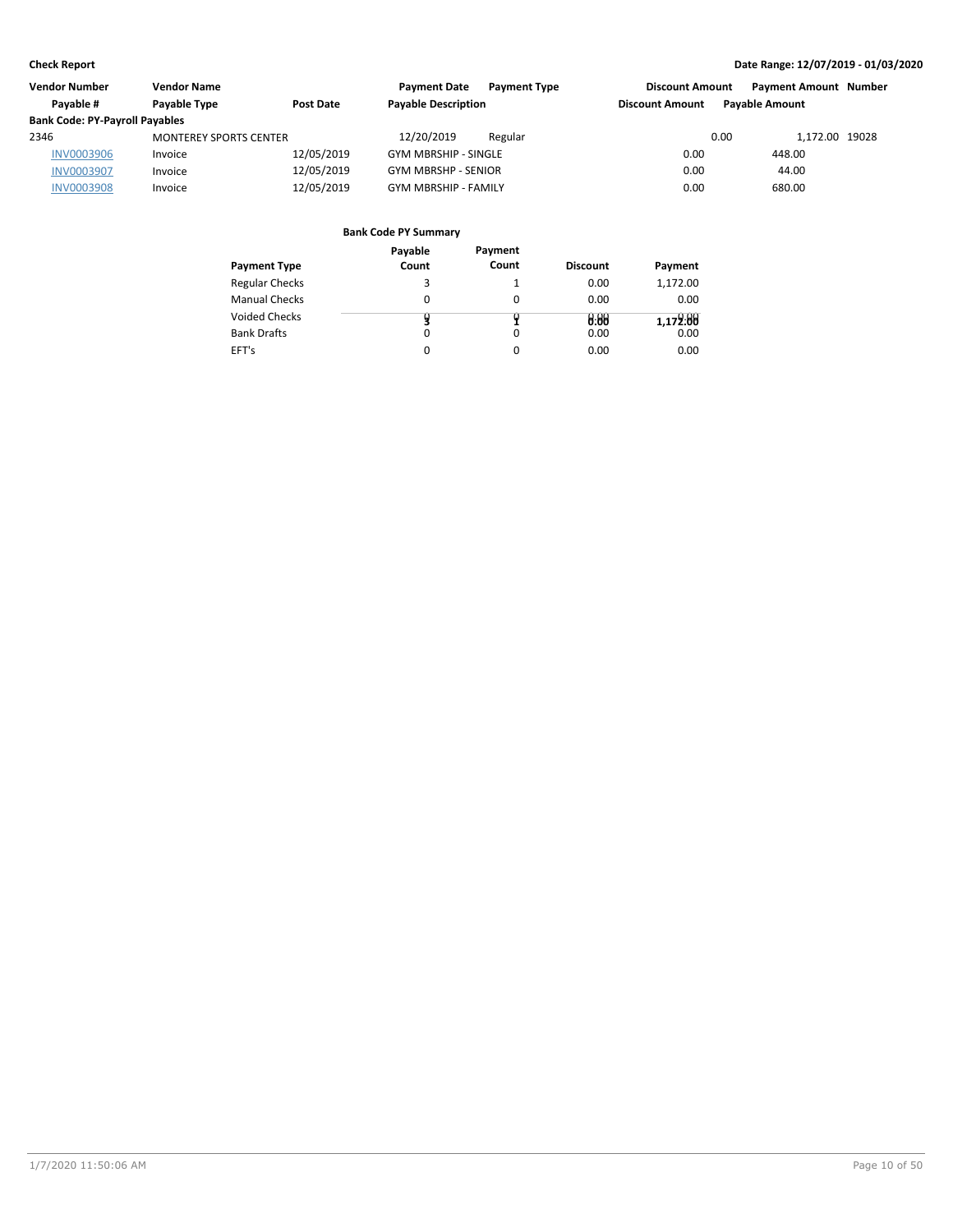| Vendor Number                         | <b>Vendor Name</b>            |            | <b>Payment Date</b><br><b>Payment Type</b> | <b>Discount Amount</b> | <b>Payment Amount Number</b> |  |
|---------------------------------------|-------------------------------|------------|--------------------------------------------|------------------------|------------------------------|--|
| Pavable #                             | Payable Type                  | Post Date  | <b>Payable Description</b>                 | <b>Discount Amount</b> | <b>Pavable Amount</b>        |  |
| <b>Bank Code: PY-Payroll Payables</b> |                               |            |                                            |                        |                              |  |
| 2346                                  | <b>MONTEREY SPORTS CENTER</b> |            | 12/20/2019<br>Regular                      | 0.00                   | 1.172.00 19028               |  |
| <b>INV0003906</b>                     | Invoice                       | 12/05/2019 | <b>GYM MBRSHIP - SINGLE</b>                | 0.00                   | 448.00                       |  |
| <b>INV0003907</b>                     | Invoice                       | 12/05/2019 | <b>GYM MBRSHP - SENIOR</b>                 | 0.00                   | 44.00                        |  |
| <b>INV0003908</b>                     | Invoice                       | 12/05/2019 | <b>GYM MBRSHIP - FAMILY</b>                | 0.00                   | 680.00                       |  |

|                       | Payable | Payment  |                 |          |
|-----------------------|---------|----------|-----------------|----------|
| Payment Type          | Count   | Count    | <b>Discount</b> | Payment  |
| <b>Regular Checks</b> |         |          | 0.00            | 1,172.00 |
| <b>Manual Checks</b>  | 0       | $\Omega$ | 0.00            | 0.00     |
| Voided Checks         |         |          | 0.08            | 1,172:88 |
| <b>Bank Drafts</b>    | 0       | $\Omega$ | 0.00            | 0.00     |
| EFT's                 | 0       | 0        | 0.00            | 0.00     |
|                       |         |          |                 |          |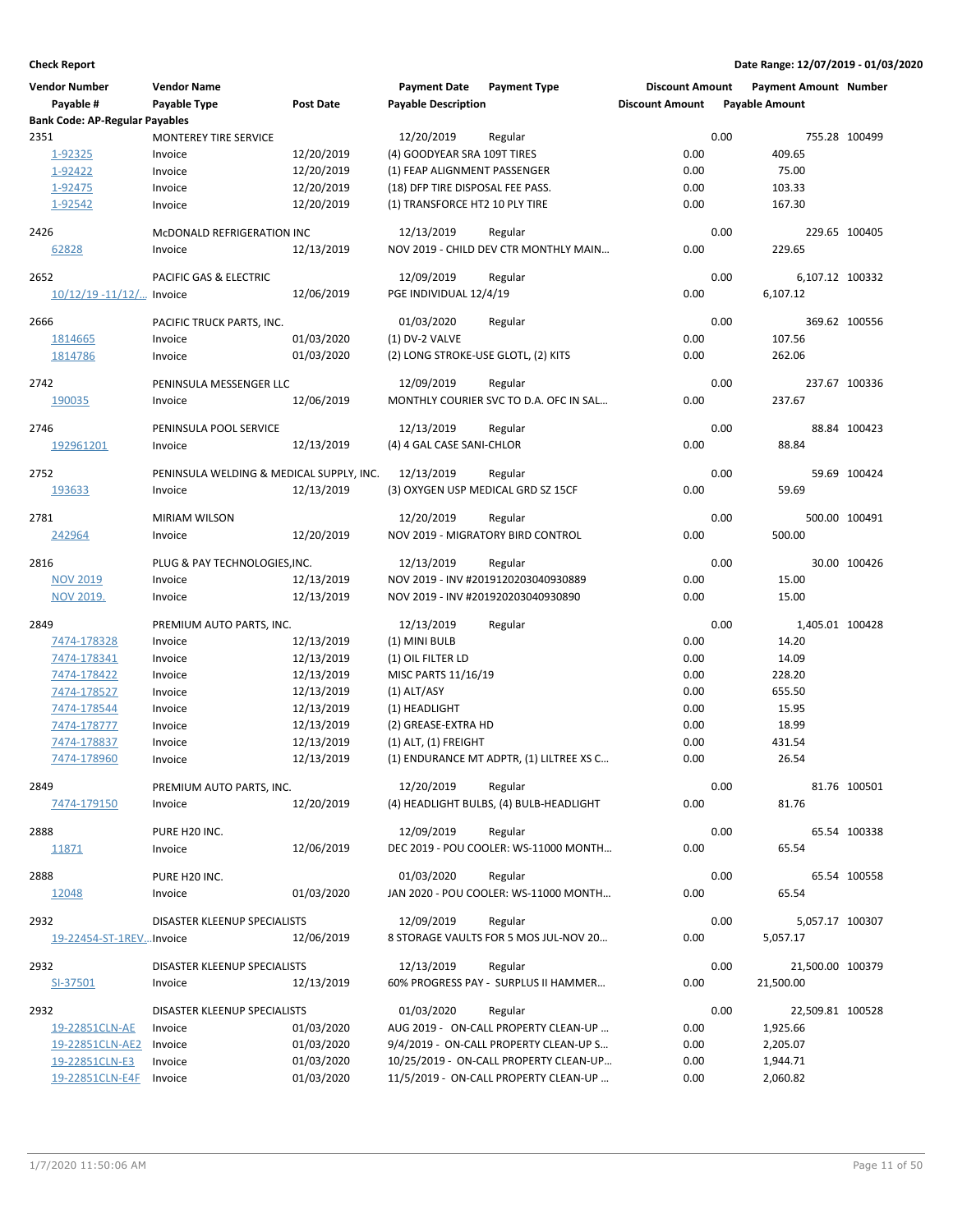| <b>Vendor Number</b>                  | <b>Vendor Name</b>                       |                          | <b>Payment Date</b>                                                | <b>Payment Type</b>                               | <b>Discount Amount</b> |      | <b>Payment Amount Number</b> |               |
|---------------------------------------|------------------------------------------|--------------------------|--------------------------------------------------------------------|---------------------------------------------------|------------------------|------|------------------------------|---------------|
| Payable #                             | Payable Type                             | <b>Post Date</b>         | <b>Payable Description</b>                                         |                                                   | <b>Discount Amount</b> |      | <b>Payable Amount</b>        |               |
| <b>Bank Code: AP-Regular Payables</b> |                                          |                          |                                                                    |                                                   |                        |      |                              |               |
| 2351                                  | <b>MONTEREY TIRE SERVICE</b>             |                          | 12/20/2019                                                         | Regular                                           |                        | 0.00 |                              | 755.28 100499 |
| 1-92325                               | Invoice                                  | 12/20/2019               | (4) GOODYEAR SRA 109T TIRES                                        |                                                   | 0.00                   |      | 409.65                       |               |
| 1-92422                               | Invoice                                  | 12/20/2019               | (1) FEAP ALIGNMENT PASSENGER                                       |                                                   | 0.00                   |      | 75.00                        |               |
| 1-92475                               | Invoice                                  | 12/20/2019<br>12/20/2019 | (18) DFP TIRE DISPOSAL FEE PASS.<br>(1) TRANSFORCE HT2 10 PLY TIRE |                                                   | 0.00<br>0.00           |      | 103.33<br>167.30             |               |
| 1-92542                               | Invoice                                  |                          |                                                                    |                                                   |                        |      |                              |               |
| 2426                                  | MCDONALD REFRIGERATION INC               |                          | 12/13/2019                                                         | Regular                                           |                        | 0.00 |                              | 229.65 100405 |
| 62828                                 | Invoice                                  | 12/13/2019               |                                                                    | NOV 2019 - CHILD DEV CTR MONTHLY MAIN             | 0.00                   |      | 229.65                       |               |
|                                       |                                          |                          |                                                                    |                                                   |                        |      |                              |               |
| 2652                                  | PACIFIC GAS & ELECTRIC                   |                          | 12/09/2019                                                         | Regular                                           | 0.00                   | 0.00 | 6,107.12 100332              |               |
| $10/12/19 - 11/12/$ Invoice           |                                          | 12/06/2019               | PGE INDIVIDUAL 12/4/19                                             |                                                   |                        |      | 6,107.12                     |               |
| 2666                                  | PACIFIC TRUCK PARTS, INC.                |                          | 01/03/2020                                                         | Regular                                           |                        | 0.00 |                              | 369.62 100556 |
| 1814665                               | Invoice                                  | 01/03/2020               | (1) DV-2 VALVE                                                     |                                                   | 0.00                   |      | 107.56                       |               |
| 1814786                               | Invoice                                  | 01/03/2020               | (2) LONG STROKE-USE GLOTL, (2) KITS                                |                                                   | 0.00                   |      | 262.06                       |               |
|                                       |                                          |                          |                                                                    |                                                   |                        |      |                              |               |
| 2742                                  | PENINSULA MESSENGER LLC                  | 12/06/2019               | 12/09/2019                                                         | Regular<br>MONTHLY COURIER SVC TO D.A. OFC IN SAL | 0.00                   | 0.00 | 237.67                       | 237.67 100336 |
| 190035                                | Invoice                                  |                          |                                                                    |                                                   |                        |      |                              |               |
| 2746                                  | PENINSULA POOL SERVICE                   |                          | 12/13/2019                                                         | Regular                                           |                        | 0.00 |                              | 88.84 100423  |
| 192961201                             | Invoice                                  | 12/13/2019               | (4) 4 GAL CASE SANI-CHLOR                                          |                                                   | 0.00                   |      | 88.84                        |               |
|                                       |                                          |                          |                                                                    |                                                   |                        |      |                              |               |
| 2752                                  | PENINSULA WELDING & MEDICAL SUPPLY, INC. |                          | 12/13/2019                                                         | Regular                                           |                        | 0.00 |                              | 59.69 100424  |
| 193633                                | Invoice                                  | 12/13/2019               | (3) OXYGEN USP MEDICAL GRD SZ 15CF                                 |                                                   | 0.00                   |      | 59.69                        |               |
| 2781                                  | <b>MIRIAM WILSON</b>                     |                          | 12/20/2019                                                         | Regular                                           |                        | 0.00 |                              | 500.00 100491 |
| 242964                                | Invoice                                  | 12/20/2019               |                                                                    | NOV 2019 - MIGRATORY BIRD CONTROL                 | 0.00                   |      | 500.00                       |               |
|                                       |                                          |                          |                                                                    |                                                   |                        |      |                              |               |
| 2816                                  | PLUG & PAY TECHNOLOGIES, INC.            |                          | 12/13/2019                                                         | Regular                                           |                        | 0.00 |                              | 30.00 100426  |
| <b>NOV 2019</b>                       | Invoice                                  | 12/13/2019               |                                                                    | NOV 2019 - INV #2019120203040930889               | 0.00                   |      | 15.00                        |               |
| <b>NOV 2019.</b>                      | Invoice                                  | 12/13/2019               |                                                                    | NOV 2019 - INV #201920203040930890                | 0.00                   |      | 15.00                        |               |
| 2849                                  | PREMIUM AUTO PARTS, INC.                 |                          | 12/13/2019                                                         | Regular                                           |                        | 0.00 | 1,405.01 100428              |               |
| 7474-178328                           | Invoice                                  | 12/13/2019               | (1) MINI BULB                                                      |                                                   | 0.00                   |      | 14.20                        |               |
| 7474-178341                           | Invoice                                  | 12/13/2019               | (1) OIL FILTER LD                                                  |                                                   | 0.00                   |      | 14.09                        |               |
| 7474-178422                           | Invoice                                  | 12/13/2019               | MISC PARTS 11/16/19                                                |                                                   | 0.00                   |      | 228.20                       |               |
| 7474-178527                           | Invoice                                  | 12/13/2019               | $(1)$ ALT/ASY                                                      |                                                   | 0.00                   |      | 655.50                       |               |
| 7474-178544                           | Invoice                                  | 12/13/2019               | (1) HEADLIGHT                                                      |                                                   | 0.00                   |      | 15.95                        |               |
| 7474-178777                           | Invoice                                  | 12/13/2019               | (2) GREASE-EXTRA HD                                                |                                                   | 0.00                   |      | 18.99                        |               |
| 7474-178837                           | Invoice                                  | 12/13/2019               | $(1)$ ALT, $(1)$ FREIGHT                                           |                                                   | 0.00                   |      | 431.54                       |               |
| 7474-178960                           | Invoice                                  | 12/13/2019               |                                                                    | (1) ENDURANCE MT ADPTR, (1) LILTREE XS C          | 0.00                   |      | 26.54                        |               |
|                                       |                                          |                          |                                                                    |                                                   |                        |      |                              |               |
| 2849                                  | PREMIUM AUTO PARTS, INC.                 |                          | 12/20/2019                                                         | Regular                                           |                        | 0.00 |                              | 81.76 100501  |
| 7474-179150                           | Invoice                                  | 12/20/2019               |                                                                    | (4) HEADLIGHT BULBS, (4) BULB-HEADLIGHT           | 0.00                   |      | 81.76                        |               |
| 2888                                  | PURE H20 INC.                            |                          | 12/09/2019                                                         | Regular                                           |                        | 0.00 |                              | 65.54 100338  |
| <u> 11871</u>                         | Invoice                                  | 12/06/2019               |                                                                    | DEC 2019 - POU COOLER: WS-11000 MONTH             | 0.00                   |      | 65.54                        |               |
|                                       |                                          |                          |                                                                    |                                                   |                        |      |                              |               |
| 2888                                  | PURE H20 INC.                            |                          | 01/03/2020                                                         | Regular                                           |                        | 0.00 |                              | 65.54 100558  |
| 12048                                 | Invoice                                  | 01/03/2020               |                                                                    | JAN 2020 - POU COOLER: WS-11000 MONTH             | 0.00                   |      | 65.54                        |               |
| 2932                                  | DISASTER KLEENUP SPECIALISTS             |                          | 12/09/2019                                                         | Regular                                           |                        | 0.00 | 5,057.17 100307              |               |
| 19-22454-ST-1REVInvoice               |                                          | 12/06/2019               |                                                                    | 8 STORAGE VAULTS FOR 5 MOS JUL-NOV 20             | 0.00                   |      | 5,057.17                     |               |
|                                       |                                          |                          |                                                                    |                                                   |                        |      |                              |               |
| 2932                                  | DISASTER KLEENUP SPECIALISTS             |                          | 12/13/2019                                                         | Regular                                           |                        | 0.00 | 21,500.00 100379             |               |
| SI-37501                              | Invoice                                  | 12/13/2019               |                                                                    | 60% PROGRESS PAY - SURPLUS II HAMMER              | 0.00                   |      | 21,500.00                    |               |
| 2932                                  | DISASTER KLEENUP SPECIALISTS             |                          | 01/03/2020                                                         |                                                   |                        | 0.00 |                              |               |
| 19-22851CLN-AE                        | Invoice                                  | 01/03/2020               |                                                                    | Regular<br>AUG 2019 - ON-CALL PROPERTY CLEAN-UP   | 0.00                   |      | 22,509.81 100528<br>1,925.66 |               |
| 19-22851CLN-AE2                       | Invoice                                  | 01/03/2020               |                                                                    | 9/4/2019 - ON-CALL PROPERTY CLEAN-UP S            | 0.00                   |      | 2,205.07                     |               |
| 19-22851CLN-E3                        | Invoice                                  | 01/03/2020               |                                                                    | 10/25/2019 - ON-CALL PROPERTY CLEAN-UP            | 0.00                   |      | 1,944.71                     |               |
| 19-22851CLN-E4F                       | Invoice                                  | 01/03/2020               |                                                                    | 11/5/2019 - ON-CALL PROPERTY CLEAN-UP             | 0.00                   |      | 2,060.82                     |               |
|                                       |                                          |                          |                                                                    |                                                   |                        |      |                              |               |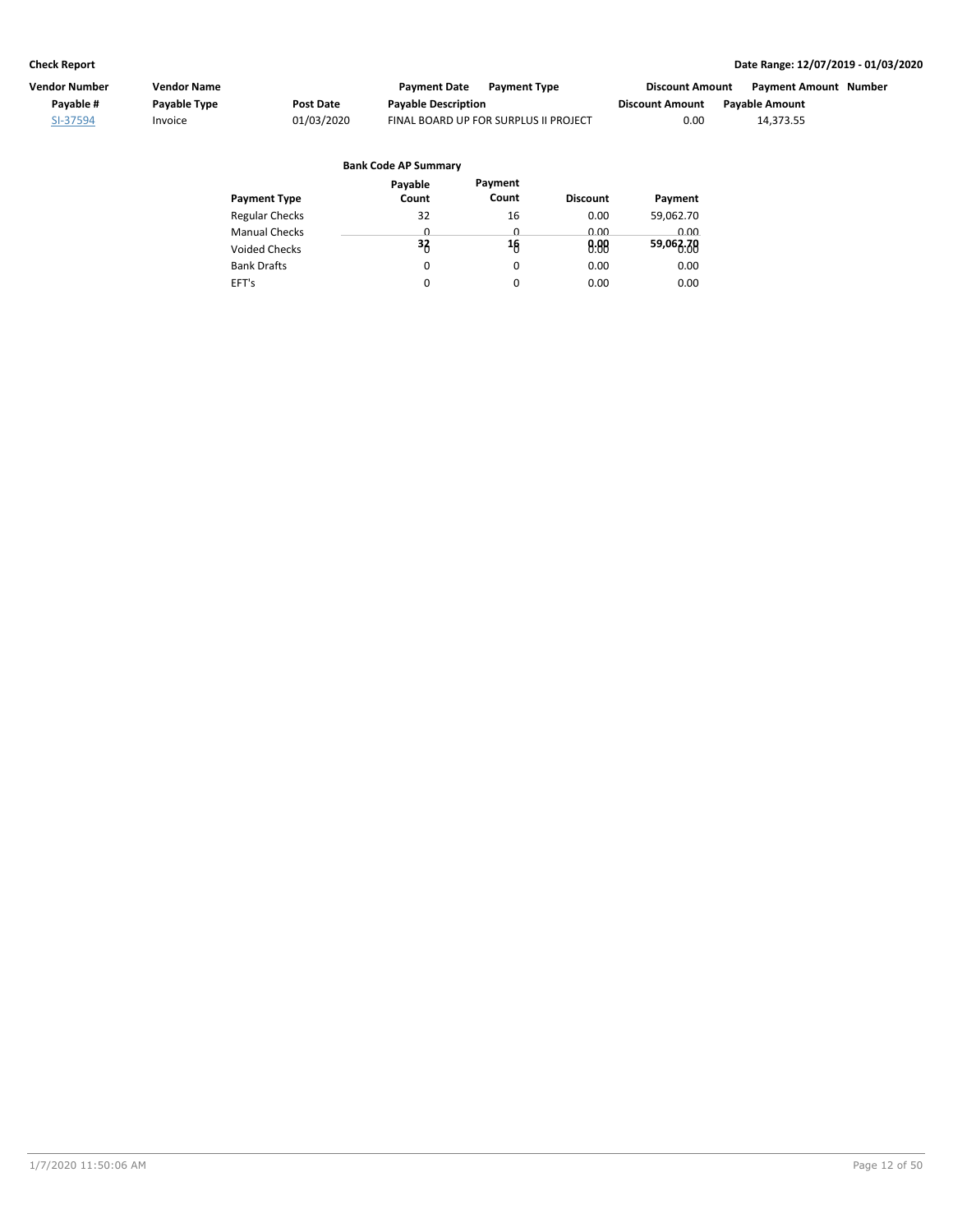| Vendor Number | <b>Vendor Name</b> |            | <b>Payment Date</b><br><b>Payment Type</b> | Discount Amount        | <b>Payment Amount Number</b> |  |
|---------------|--------------------|------------|--------------------------------------------|------------------------|------------------------------|--|
| Pavable #     | Payable Type       | Post Date  | <b>Payable Description</b>                 | <b>Discount Amount</b> | <b>Pavable Amount</b>        |  |
| SI-37594      | Invoice            | 01/03/2020 | FINAL BOARD UP FOR SURPLUS II PROJECT      | 0.00                   | 14.373.55                    |  |

| Payable  | Payment  |                 |             |
|----------|----------|-----------------|-------------|
| Count    | Count    | <b>Discount</b> | Payment     |
| 32       | 16       | 0.00            | 59,062.70   |
| <u>n</u> | <u>n</u> | 0.00            | <u>ი იი</u> |
| 33       | 16       | 0.00            | 59,063.70   |
| 0        | 0        | 0.00            | 0.00        |
| 0        | 0        | 0.00            | 0.00        |
|          |          |                 |             |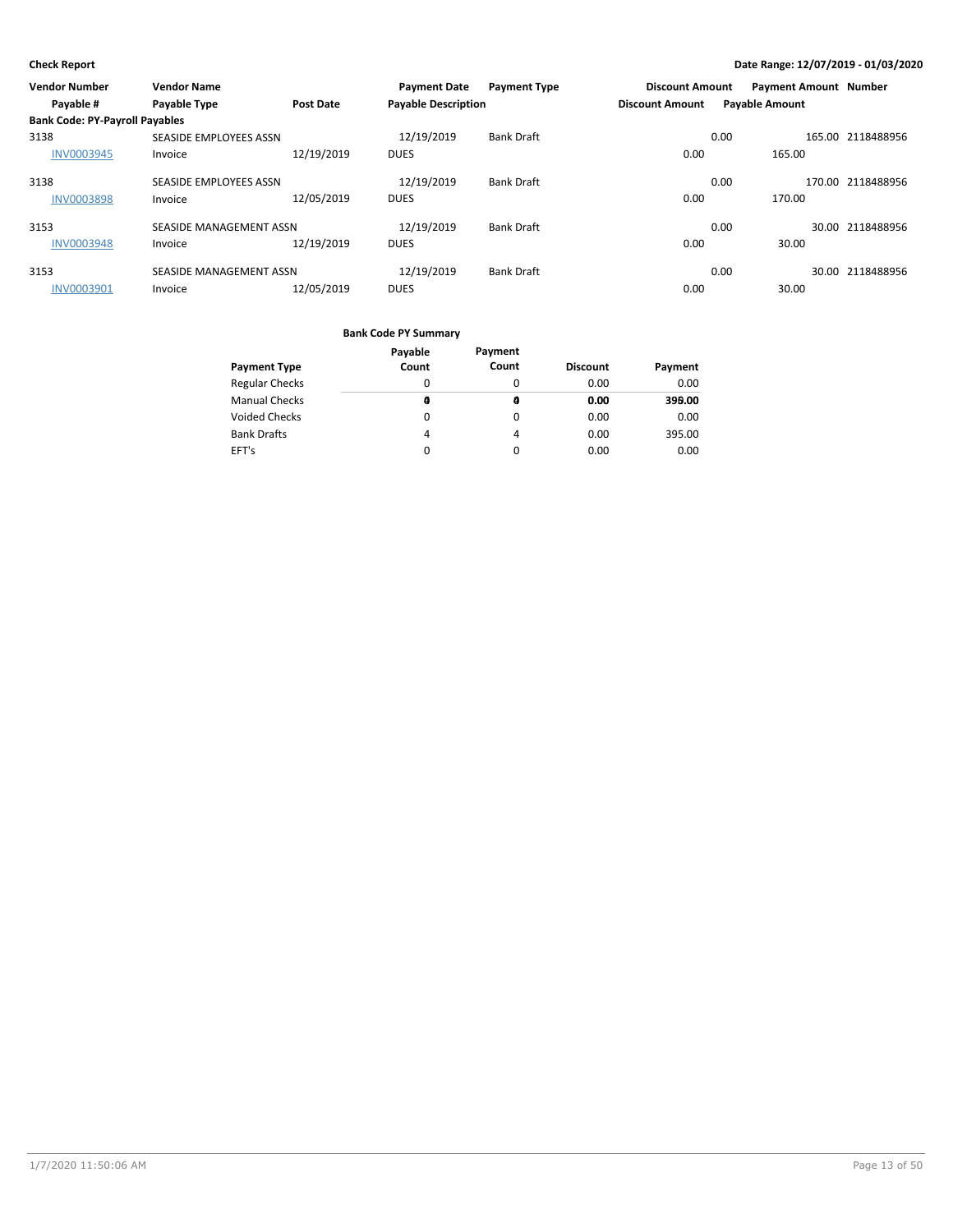| <b>Vendor Number</b>                  | <b>Vendor Name</b>      |                  | <b>Payment Date</b>        | <b>Payment Type</b> | <b>Discount Amount</b> |                       | <b>Payment Amount Number</b> |                   |
|---------------------------------------|-------------------------|------------------|----------------------------|---------------------|------------------------|-----------------------|------------------------------|-------------------|
| Payable #                             | <b>Payable Type</b>     | <b>Post Date</b> | <b>Payable Description</b> |                     | <b>Discount Amount</b> | <b>Payable Amount</b> |                              |                   |
| <b>Bank Code: PY-Payroll Payables</b> |                         |                  |                            |                     |                        |                       |                              |                   |
| 3138                                  | SEASIDE EMPLOYEES ASSN  |                  | 12/19/2019                 | <b>Bank Draft</b>   |                        | 0.00                  |                              | 165.00 2118488956 |
| INV0003945                            | Invoice                 | 12/19/2019       | <b>DUES</b>                |                     | 0.00                   |                       | 165.00                       |                   |
| 3138                                  | SEASIDE EMPLOYEES ASSN  |                  | 12/19/2019                 | <b>Bank Draft</b>   |                        | 0.00                  |                              | 170.00 2118488956 |
| <b>INV0003898</b>                     | Invoice                 | 12/05/2019       | <b>DUES</b>                |                     | 0.00                   |                       | 170.00                       |                   |
| 3153                                  | SEASIDE MANAGEMENT ASSN |                  | 12/19/2019                 | <b>Bank Draft</b>   |                        | 0.00                  |                              | 30.00 2118488956  |
| <b>INV0003948</b>                     | Invoice                 | 12/19/2019       | <b>DUES</b>                |                     | 0.00                   |                       | 30.00                        |                   |
| 3153                                  | SEASIDE MANAGEMENT ASSN |                  | 12/19/2019                 | <b>Bank Draft</b>   |                        | 0.00                  |                              | 30.00 2118488956  |
| <b>INV0003901</b>                     | Invoice                 | 12/05/2019       | <b>DUES</b>                |                     | 0.00                   |                       | 30.00                        |                   |

|                       | Payable<br>Count | Payment<br>Count |                 |         |
|-----------------------|------------------|------------------|-----------------|---------|
| <b>Payment Type</b>   |                  |                  | <b>Discount</b> | Payment |
| <b>Regular Checks</b> | 0                | 0                | 0.00            | 0.00    |
| <b>Manual Checks</b>  | a                | a                | 0.00            | 399.00  |
| Voided Checks         | 0                | 0                | 0.00            | 0.00    |
| <b>Bank Drafts</b>    | 4                | 4                | 0.00            | 395.00  |
| EFT's                 | 0                | 0                | 0.00            | 0.00    |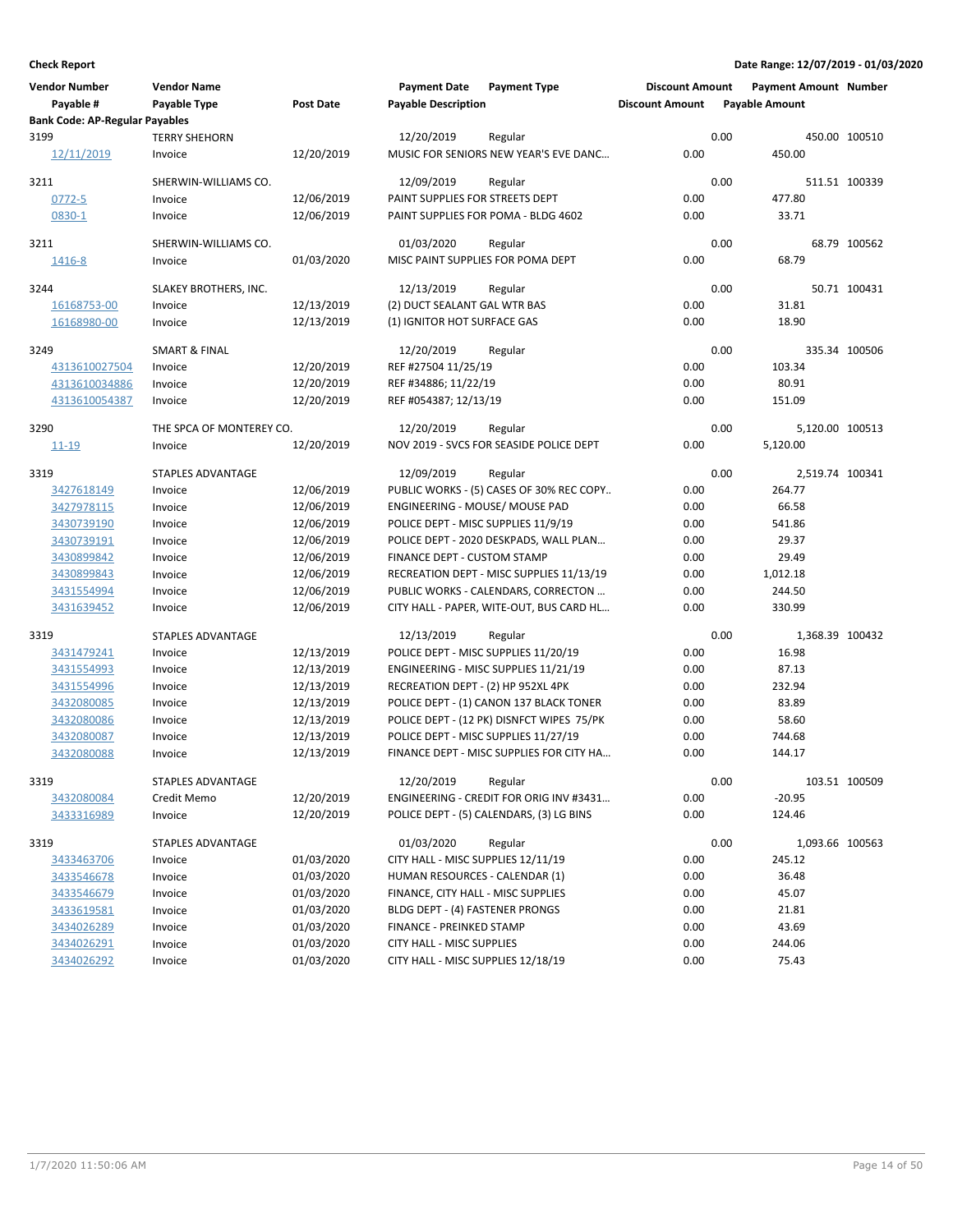| <b>Vendor Number</b><br>Payable #             | <b>Vendor Name</b><br>Payable Type | <b>Post Date</b> | <b>Payment Date</b><br><b>Payable Description</b> | <b>Payment Type</b>                              | <b>Discount Amount</b><br><b>Discount Amount</b> |      | <b>Payment Amount Number</b><br><b>Payable Amount</b> |               |
|-----------------------------------------------|------------------------------------|------------------|---------------------------------------------------|--------------------------------------------------|--------------------------------------------------|------|-------------------------------------------------------|---------------|
| <b>Bank Code: AP-Regular Payables</b><br>3199 |                                    |                  |                                                   |                                                  |                                                  | 0.00 |                                                       |               |
| 12/11/2019                                    | <b>TERRY SHEHORN</b><br>Invoice    | 12/20/2019       | 12/20/2019                                        | Regular<br>MUSIC FOR SENIORS NEW YEAR'S EVE DANC | 0.00                                             |      | 450.00                                                | 450.00 100510 |
| 3211                                          | SHERWIN-WILLIAMS CO.               |                  | 12/09/2019                                        | Regular                                          |                                                  | 0.00 |                                                       | 511.51 100339 |
| $0772 - 5$                                    | Invoice                            | 12/06/2019       | PAINT SUPPLIES FOR STREETS DEPT                   |                                                  | 0.00                                             |      | 477.80                                                |               |
| 0830-1                                        | Invoice                            | 12/06/2019       |                                                   | PAINT SUPPLIES FOR POMA - BLDG 4602              | 0.00                                             |      | 33.71                                                 |               |
| 3211                                          | SHERWIN-WILLIAMS CO.               |                  | 01/03/2020                                        | Regular                                          |                                                  | 0.00 |                                                       | 68.79 100562  |
| 1416-8                                        | Invoice                            | 01/03/2020       | MISC PAINT SUPPLIES FOR POMA DEPT                 |                                                  | 0.00                                             |      | 68.79                                                 |               |
| 3244                                          | SLAKEY BROTHERS, INC.              |                  | 12/13/2019                                        | Regular                                          |                                                  | 0.00 |                                                       | 50.71 100431  |
| 16168753-00                                   | Invoice                            | 12/13/2019       | (2) DUCT SEALANT GAL WTR BAS                      |                                                  | 0.00                                             |      | 31.81                                                 |               |
| 16168980-00                                   | Invoice                            | 12/13/2019       | (1) IGNITOR HOT SURFACE GAS                       |                                                  | 0.00                                             |      | 18.90                                                 |               |
| 3249                                          | <b>SMART &amp; FINAL</b>           |                  | 12/20/2019                                        | Regular                                          |                                                  | 0.00 |                                                       | 335.34 100506 |
| 4313610027504                                 | Invoice                            | 12/20/2019       | REF #27504 11/25/19                               |                                                  | 0.00                                             |      | 103.34                                                |               |
| 4313610034886                                 | Invoice                            | 12/20/2019       | REF #34886; 11/22/19                              |                                                  | 0.00                                             |      | 80.91                                                 |               |
| 4313610054387                                 | Invoice                            | 12/20/2019       | REF #054387; 12/13/19                             |                                                  | 0.00                                             |      | 151.09                                                |               |
| 3290                                          | THE SPCA OF MONTEREY CO.           |                  | 12/20/2019                                        | Regular                                          |                                                  | 0.00 | 5,120.00 100513                                       |               |
| $11 - 19$                                     | Invoice                            | 12/20/2019       |                                                   | NOV 2019 - SVCS FOR SEASIDE POLICE DEPT          | 0.00                                             |      | 5,120.00                                              |               |
| 3319                                          | STAPLES ADVANTAGE                  |                  | 12/09/2019                                        | Regular                                          |                                                  | 0.00 | 2,519.74 100341                                       |               |
| 3427618149                                    | Invoice                            | 12/06/2019       |                                                   | PUBLIC WORKS - (5) CASES OF 30% REC COPY         | 0.00                                             |      | 264.77                                                |               |
| 3427978115                                    | Invoice                            | 12/06/2019       | ENGINEERING - MOUSE/ MOUSE PAD                    |                                                  | 0.00                                             |      | 66.58                                                 |               |
| 3430739190                                    | Invoice                            | 12/06/2019       | POLICE DEPT - MISC SUPPLIES 11/9/19               |                                                  | 0.00                                             |      | 541.86                                                |               |
| 3430739191                                    | Invoice                            | 12/06/2019       |                                                   | POLICE DEPT - 2020 DESKPADS, WALL PLAN           | 0.00                                             |      | 29.37                                                 |               |
| 3430899842                                    | Invoice                            | 12/06/2019       | FINANCE DEPT - CUSTOM STAMP                       |                                                  | 0.00                                             |      | 29.49                                                 |               |
| 3430899843                                    | Invoice                            | 12/06/2019       |                                                   | RECREATION DEPT - MISC SUPPLIES 11/13/19         | 0.00                                             |      | 1,012.18                                              |               |
| 3431554994                                    | Invoice                            | 12/06/2019       |                                                   | PUBLIC WORKS - CALENDARS, CORRECTON              | 0.00                                             |      | 244.50                                                |               |
| 3431639452                                    | Invoice                            | 12/06/2019       |                                                   | CITY HALL - PAPER, WITE-OUT, BUS CARD HL         | 0.00                                             |      | 330.99                                                |               |
| 3319                                          | STAPLES ADVANTAGE                  |                  | 12/13/2019                                        | Regular                                          |                                                  | 0.00 | 1,368.39 100432                                       |               |
| 3431479241                                    | Invoice                            | 12/13/2019       | POLICE DEPT - MISC SUPPLIES 11/20/19              |                                                  | 0.00                                             |      | 16.98                                                 |               |
| 3431554993                                    | Invoice                            | 12/13/2019       |                                                   | ENGINEERING - MISC SUPPLIES 11/21/19             | 0.00                                             |      | 87.13                                                 |               |
| 3431554996                                    | Invoice                            | 12/13/2019       | RECREATION DEPT - (2) HP 952XL 4PK                |                                                  | 0.00                                             |      | 232.94                                                |               |
| 3432080085                                    | Invoice                            | 12/13/2019       |                                                   | POLICE DEPT - (1) CANON 137 BLACK TONER          | 0.00                                             |      | 83.89                                                 |               |
| 3432080086                                    | Invoice                            | 12/13/2019       |                                                   | POLICE DEPT - (12 PK) DISNFCT WIPES 75/PK        | 0.00                                             |      | 58.60                                                 |               |
| 3432080087                                    | Invoice                            | 12/13/2019       | POLICE DEPT - MISC SUPPLIES 11/27/19              |                                                  | 0.00                                             |      | 744.68                                                |               |
| 3432080088                                    | Invoice                            | 12/13/2019       |                                                   | FINANCE DEPT - MISC SUPPLIES FOR CITY HA         | 0.00                                             |      | 144.17                                                |               |
| 3319                                          | STAPLES ADVANTAGE                  |                  | 12/20/2019                                        | Regular                                          |                                                  | 0.00 |                                                       | 103.51 100509 |
| 3432080084                                    | Credit Memo                        | 12/20/2019       |                                                   | ENGINEERING - CREDIT FOR ORIG INV #3431          | 0.00                                             |      | $-20.95$                                              |               |
| 3433316989                                    | Invoice                            | 12/20/2019       |                                                   | POLICE DEPT - (5) CALENDARS, (3) LG BINS         | 0.00                                             |      | 124.46                                                |               |
| 3319                                          | STAPLES ADVANTAGE                  |                  | 01/03/2020                                        | Regular                                          |                                                  | 0.00 | 1,093.66 100563                                       |               |
| 3433463706                                    | Invoice                            | 01/03/2020       | CITY HALL - MISC SUPPLIES 12/11/19                |                                                  | 0.00                                             |      | 245.12                                                |               |
| 3433546678                                    | Invoice                            | 01/03/2020       | HUMAN RESOURCES - CALENDAR (1)                    |                                                  | 0.00                                             |      | 36.48                                                 |               |
| 3433546679                                    | Invoice                            | 01/03/2020       | FINANCE, CITY HALL - MISC SUPPLIES                |                                                  | 0.00                                             |      | 45.07                                                 |               |
| 3433619581                                    | Invoice                            | 01/03/2020       | BLDG DEPT - (4) FASTENER PRONGS                   |                                                  | 0.00                                             |      | 21.81                                                 |               |
| 3434026289                                    | Invoice                            | 01/03/2020       | FINANCE - PREINKED STAMP                          |                                                  | 0.00                                             |      | 43.69                                                 |               |
| 3434026291                                    | Invoice                            | 01/03/2020       | CITY HALL - MISC SUPPLIES                         |                                                  | 0.00                                             |      | 244.06                                                |               |
| 3434026292                                    | Invoice                            | 01/03/2020       | CITY HALL - MISC SUPPLIES 12/18/19                |                                                  | 0.00                                             |      | 75.43                                                 |               |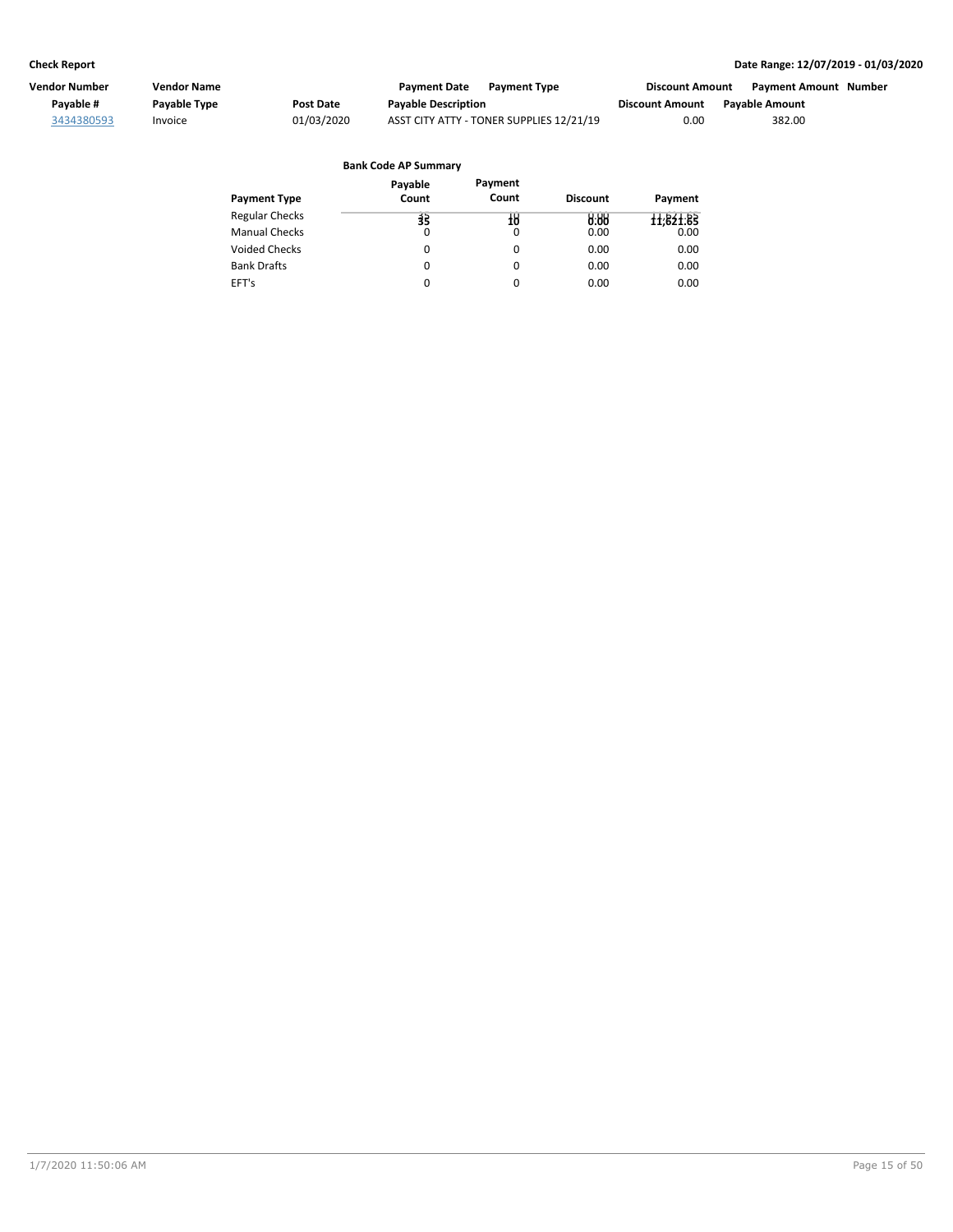| Vendor Number | Vendor Name  |            | <b>Payment Date</b><br><b>Payment Type</b> | Discount Amount        | <b>Payment Amount Number</b> |
|---------------|--------------|------------|--------------------------------------------|------------------------|------------------------------|
| Payable #     | Payable Type | Post Date  | <b>Payable Description</b>                 | <b>Discount Amount</b> | <b>Pavable Amount</b>        |
| 3434380593    | Invoice      | 01/03/2020 | ASST CITY ATTY - TONER SUPPLIES 12/21/19   | 0.00                   | 382.00                       |

## Regular Checks Manual Checks Voided Checks **Discount Payment Payment Type Bank Code AP Summary** Bank Drafts EFT's 10 0 0 0 0 0.00 **10 0.00** 0.00 0.00 0.00 0.00 **Payment** 11,621.65 0.00 0.00 0.00 0.00 **Payable Count** 35 **35**0  $\overline{0}$ 0 0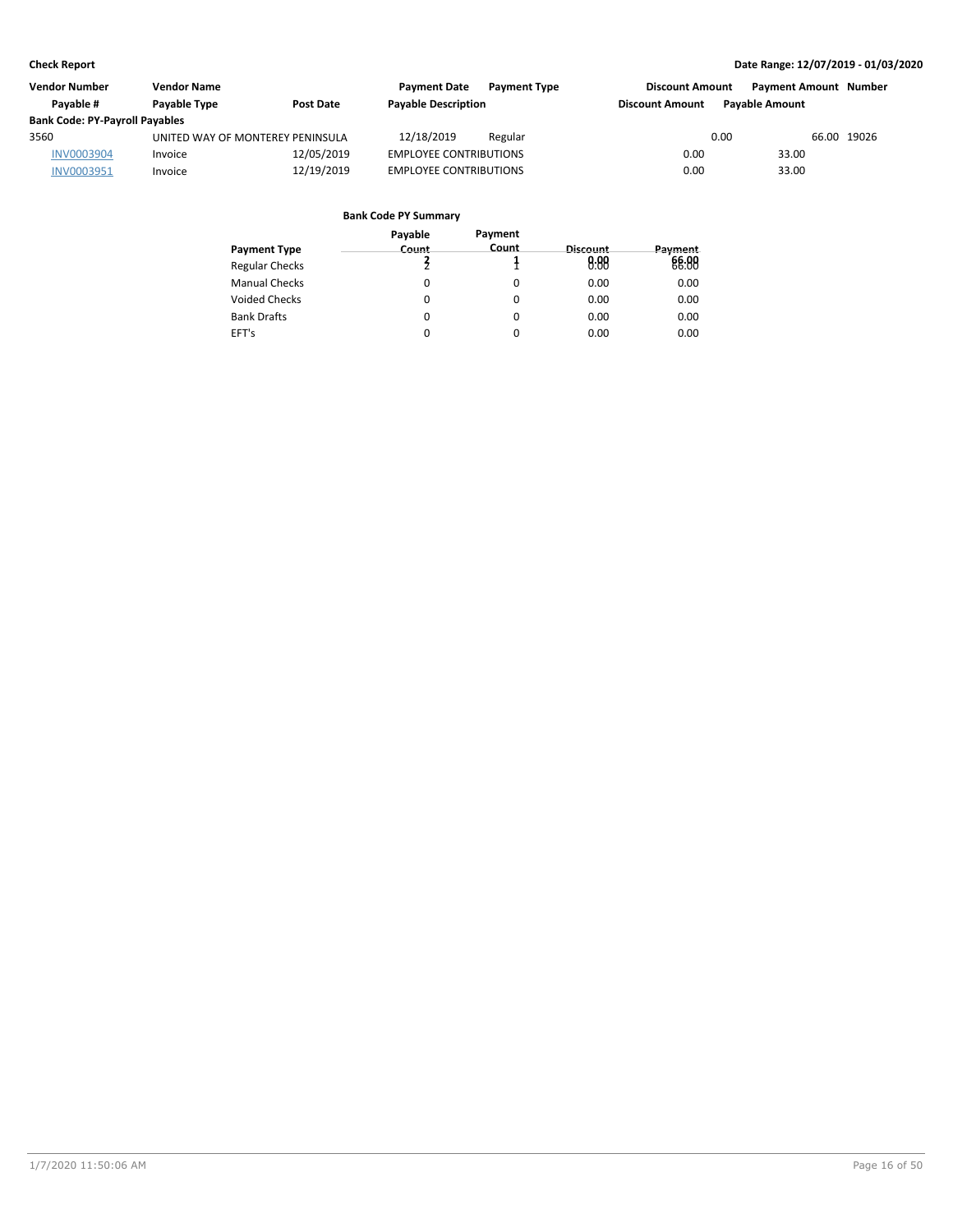| <b>Vendor Number</b>                  | <b>Vendor Name</b>               |                  | <b>Payment Date</b>           | <b>Payment Type</b> | <b>Discount Amount</b> |                       | <b>Payment Amount Number</b> |
|---------------------------------------|----------------------------------|------------------|-------------------------------|---------------------|------------------------|-----------------------|------------------------------|
| Pavable #                             | Payable Type                     | <b>Post Date</b> | <b>Payable Description</b>    |                     | <b>Discount Amount</b> | <b>Pavable Amount</b> |                              |
| <b>Bank Code: PY-Payroll Payables</b> |                                  |                  |                               |                     |                        |                       |                              |
| 3560                                  | UNITED WAY OF MONTEREY PENINSULA |                  | 12/18/2019                    | Regular             |                        | 0.00                  | 66.00 19026                  |
| <b>INV0003904</b>                     | Invoice                          | 12/05/2019       | <b>EMPLOYEE CONTRIBUTIONS</b> |                     | 0.00                   | 33.00                 |                              |
| INV0003951                            | Invoice                          | 12/19/2019       | <b>EMPLOYEE CONTRIBUTIONS</b> |                     | 0.00                   | 33.00                 |                              |

|                       | Payable | Payment |          |         |
|-----------------------|---------|---------|----------|---------|
| <b>Payment Type</b>   | Count   | Count   | Discount | Payment |
| <b>Regular Checks</b> |         |         | 0.88     | 66.88   |
| <b>Manual Checks</b>  | 0       |         | 0.00     | 0.00    |
| Voided Checks         | 0       | 0       | 0.00     | 0.00    |
| <b>Bank Drafts</b>    | 0       | 0       | 0.00     | 0.00    |
| EFT's                 | 0       |         | 0.00     | 0.00    |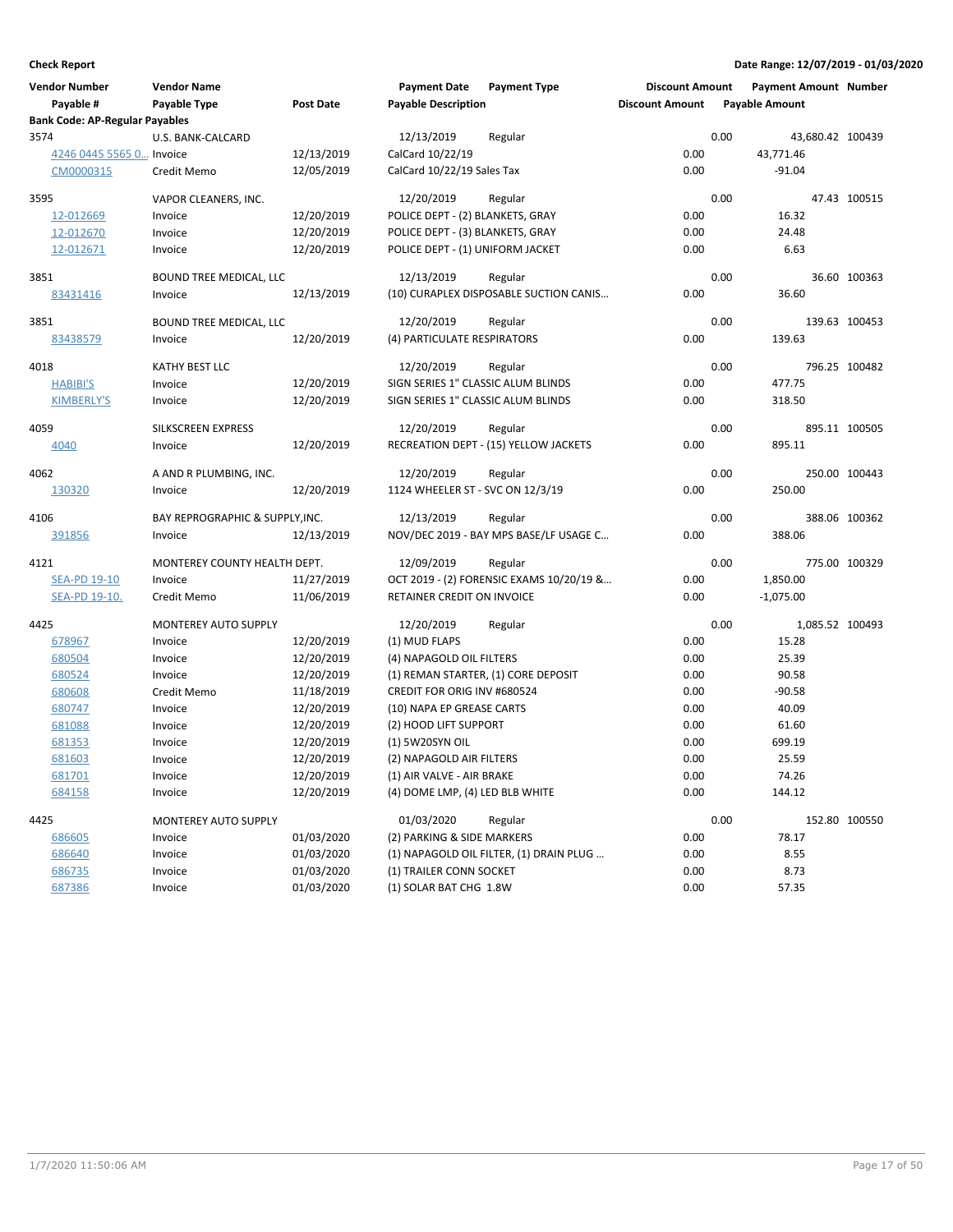| <b>Vendor Number</b><br>Payable #     | <b>Vendor Name</b><br>Payable Type | <b>Post Date</b> | <b>Payment Date</b><br><b>Payable Description</b> | <b>Payment Type</b>                      | <b>Discount Amount</b><br><b>Discount Amount</b> | <b>Payment Amount Number</b><br><b>Payable Amount</b> |               |
|---------------------------------------|------------------------------------|------------------|---------------------------------------------------|------------------------------------------|--------------------------------------------------|-------------------------------------------------------|---------------|
| <b>Bank Code: AP-Regular Payables</b> |                                    |                  |                                                   |                                          |                                                  |                                                       |               |
| 3574                                  | U.S. BANK-CALCARD                  |                  | 12/13/2019                                        | Regular                                  |                                                  | 0.00<br>43,680.42 100439                              |               |
| 4246 0445 5565 0 Invoice              |                                    | 12/13/2019       | CalCard 10/22/19                                  |                                          | 0.00                                             | 43,771.46                                             |               |
| CM0000315                             | Credit Memo                        | 12/05/2019       | CalCard 10/22/19 Sales Tax                        |                                          | 0.00                                             | $-91.04$                                              |               |
| 3595                                  | VAPOR CLEANERS, INC.               |                  | 12/20/2019                                        | Regular                                  |                                                  | 0.00                                                  | 47.43 100515  |
| 12-012669                             | Invoice                            | 12/20/2019       | POLICE DEPT - (2) BLANKETS, GRAY                  |                                          | 0.00                                             | 16.32                                                 |               |
| 12-012670                             | Invoice                            | 12/20/2019       | POLICE DEPT - (3) BLANKETS, GRAY                  |                                          | 0.00                                             | 24.48                                                 |               |
| 12-012671                             | Invoice                            | 12/20/2019       | POLICE DEPT - (1) UNIFORM JACKET                  |                                          | 0.00                                             | 6.63                                                  |               |
| 3851                                  | BOUND TREE MEDICAL, LLC            |                  | 12/13/2019                                        | Regular                                  |                                                  | 0.00                                                  | 36.60 100363  |
| 83431416                              | Invoice                            | 12/13/2019       |                                                   | (10) CURAPLEX DISPOSABLE SUCTION CANIS   | 0.00                                             | 36.60                                                 |               |
| 3851                                  | BOUND TREE MEDICAL, LLC            |                  | 12/20/2019                                        | Regular                                  |                                                  | 0.00                                                  | 139.63 100453 |
| 83438579                              | Invoice                            | 12/20/2019       | (4) PARTICULATE RESPIRATORS                       |                                          | 0.00                                             | 139.63                                                |               |
| 4018                                  | KATHY BEST LLC                     |                  | 12/20/2019                                        | Regular                                  |                                                  | 0.00                                                  | 796.25 100482 |
| <b>HABIBI'S</b>                       | Invoice                            | 12/20/2019       |                                                   | SIGN SERIES 1" CLASSIC ALUM BLINDS       | 0.00                                             | 477.75                                                |               |
| <b>KIMBERLY'S</b>                     | Invoice                            | 12/20/2019       |                                                   | SIGN SERIES 1" CLASSIC ALUM BLINDS       | 0.00                                             | 318.50                                                |               |
| 4059                                  | <b>SILKSCREEN EXPRESS</b>          |                  | 12/20/2019                                        | Regular                                  |                                                  | 0.00                                                  | 895.11 100505 |
| 4040                                  | Invoice                            | 12/20/2019       |                                                   | RECREATION DEPT - (15) YELLOW JACKETS    | 0.00                                             | 895.11                                                |               |
| 4062                                  | A AND R PLUMBING, INC.             |                  | 12/20/2019                                        | Regular                                  |                                                  | 0.00                                                  | 250.00 100443 |
| 130320                                | Invoice                            | 12/20/2019       | 1124 WHEELER ST - SVC ON 12/3/19                  |                                          | 0.00                                             | 250.00                                                |               |
| 4106                                  | BAY REPROGRAPHIC & SUPPLY, INC.    |                  | 12/13/2019                                        | Regular                                  |                                                  | 0.00                                                  | 388.06 100362 |
| 391856                                | Invoice                            | 12/13/2019       |                                                   | NOV/DEC 2019 - BAY MPS BASE/LF USAGE C   | 0.00                                             | 388.06                                                |               |
| 4121                                  | MONTEREY COUNTY HEALTH DEPT.       |                  | 12/09/2019                                        | Regular                                  |                                                  | 0.00                                                  | 775.00 100329 |
| <b>SEA-PD 19-10</b>                   | Invoice                            | 11/27/2019       |                                                   | OCT 2019 - (2) FORENSIC EXAMS 10/20/19 & | 0.00                                             | 1,850.00                                              |               |
| <u>SEA-PD 19-10.</u>                  | Credit Memo                        | 11/06/2019       | RETAINER CREDIT ON INVOICE                        |                                          | 0.00                                             | $-1,075.00$                                           |               |
| 4425                                  | <b>MONTEREY AUTO SUPPLY</b>        |                  | 12/20/2019                                        | Regular                                  |                                                  | 0.00<br>1,085.52 100493                               |               |
| 678967                                | Invoice                            | 12/20/2019       | (1) MUD FLAPS                                     |                                          | 0.00                                             | 15.28                                                 |               |
| 680504                                | Invoice                            | 12/20/2019       | (4) NAPAGOLD OIL FILTERS                          |                                          | 0.00                                             | 25.39                                                 |               |
| 680524                                | Invoice                            | 12/20/2019       |                                                   | (1) REMAN STARTER, (1) CORE DEPOSIT      | 0.00                                             | 90.58                                                 |               |
| 680608                                | Credit Memo                        | 11/18/2019       | CREDIT FOR ORIG INV #680524                       |                                          | 0.00                                             | $-90.58$                                              |               |
| 680747                                | Invoice                            | 12/20/2019       | (10) NAPA EP GREASE CARTS                         |                                          | 0.00                                             | 40.09                                                 |               |
| 681088                                | Invoice                            | 12/20/2019       | (2) HOOD LIFT SUPPORT                             |                                          | 0.00                                             | 61.60                                                 |               |
| 681353                                | Invoice                            | 12/20/2019       | (1) 5W20SYN OIL                                   |                                          | 0.00                                             | 699.19                                                |               |
| 681603                                | Invoice                            | 12/20/2019       | (2) NAPAGOLD AIR FILTERS                          |                                          | 0.00                                             | 25.59                                                 |               |
| 681701                                | Invoice                            | 12/20/2019       | (1) AIR VALVE - AIR BRAKE                         |                                          | 0.00                                             | 74.26                                                 |               |
| 684158                                | Invoice                            | 12/20/2019       | (4) DOME LMP, (4) LED BLB WHITE                   |                                          | 0.00                                             | 144.12                                                |               |
| 4425                                  | MONTEREY AUTO SUPPLY               |                  | 01/03/2020                                        | Regular                                  |                                                  | 0.00                                                  | 152.80 100550 |
| 686605                                | Invoice                            | 01/03/2020       | (2) PARKING & SIDE MARKERS                        |                                          | 0.00                                             | 78.17                                                 |               |
| 686640                                | Invoice                            | 01/03/2020       |                                                   | (1) NAPAGOLD OIL FILTER, (1) DRAIN PLUG  | 0.00                                             | 8.55                                                  |               |
| 686735                                | Invoice                            | 01/03/2020       | (1) TRAILER CONN SOCKET                           |                                          | 0.00                                             | 8.73                                                  |               |
| 687386                                | Invoice                            | 01/03/2020       | (1) SOLAR BAT CHG 1.8W                            |                                          | 0.00                                             | 57.35                                                 |               |
|                                       |                                    |                  |                                                   |                                          |                                                  |                                                       |               |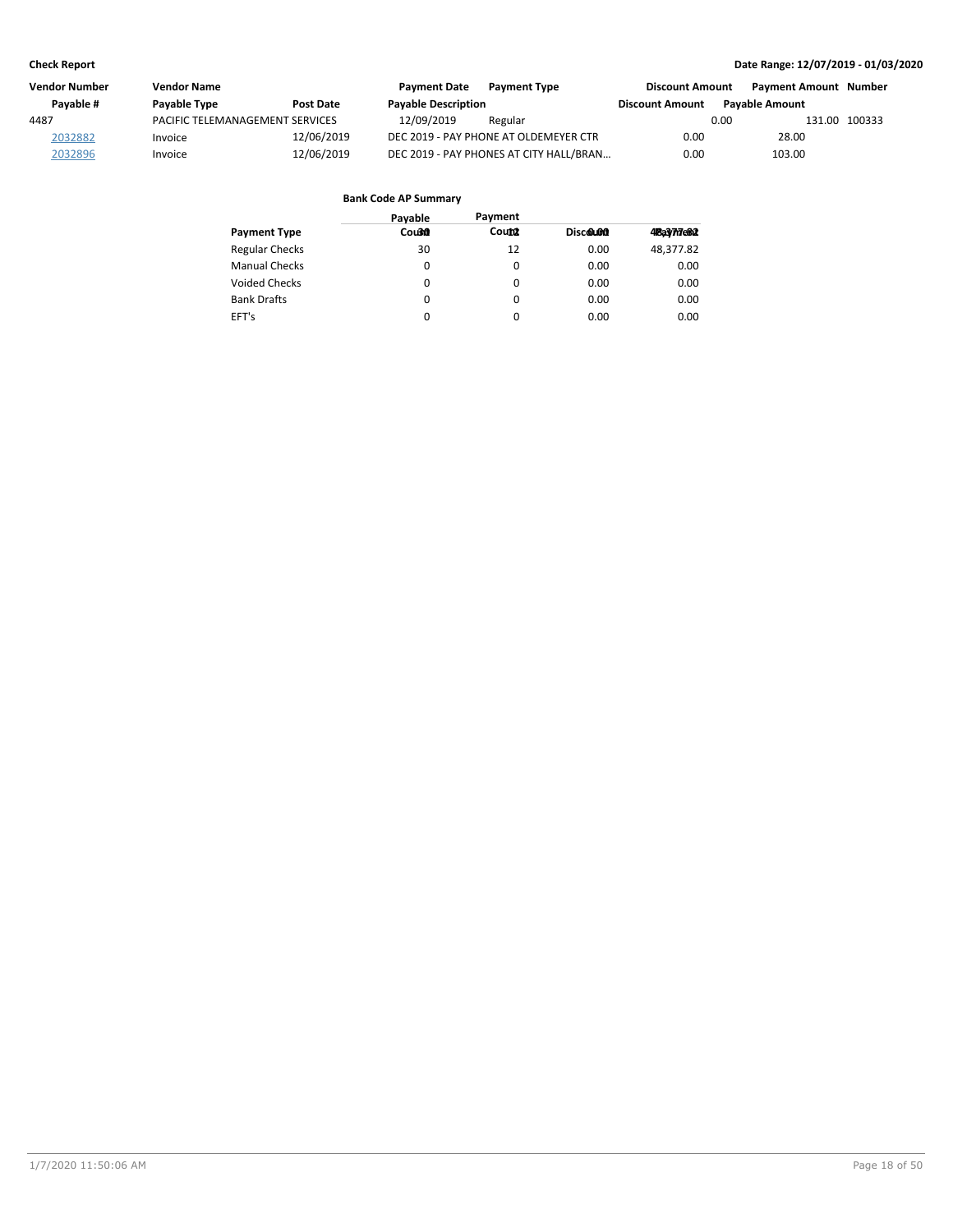| Vendor Number | Vendor Name                     |                  | <b>Payment Date</b>        | <b>Payment Type</b>                     | <b>Discount Amount</b> | <b>Payment Amount Number</b> |               |
|---------------|---------------------------------|------------------|----------------------------|-----------------------------------------|------------------------|------------------------------|---------------|
| Pavable #     | Payable Type                    | <b>Post Date</b> | <b>Payable Description</b> |                                         | <b>Discount Amount</b> | <b>Pavable Amount</b>        |               |
| 4487          | PACIFIC TELEMANAGEMENT SERVICES |                  | 12/09/2019                 | Regular                                 |                        | 0.00                         | 131.00 100333 |
| 2032882       | Invoice                         | 12/06/2019       |                            | DEC 2019 - PAY PHONE AT OLDEMEYER CTR   | 0.00                   | 28.00                        |               |
| 2032896       | Invoice                         | 12/06/2019       |                            | DEC 2019 - PAY PHONES AT CITY HALL/BRAN | 0.00                   | 103.00                       |               |

| Pavable | Payment |          |             |
|---------|---------|----------|-------------|
| Cou30   | Count   | Discolon | 48a3/77e812 |
| 30      | 12      | 0.00     | 48,377.82   |
| 0       | 0       | 0.00     | 0.00        |
| 0       | 0       | 0.00     | 0.00        |
| 0       | 0       | 0.00     | 0.00        |
| 0       | 0       | 0.00     | 0.00        |
|         |         |          |             |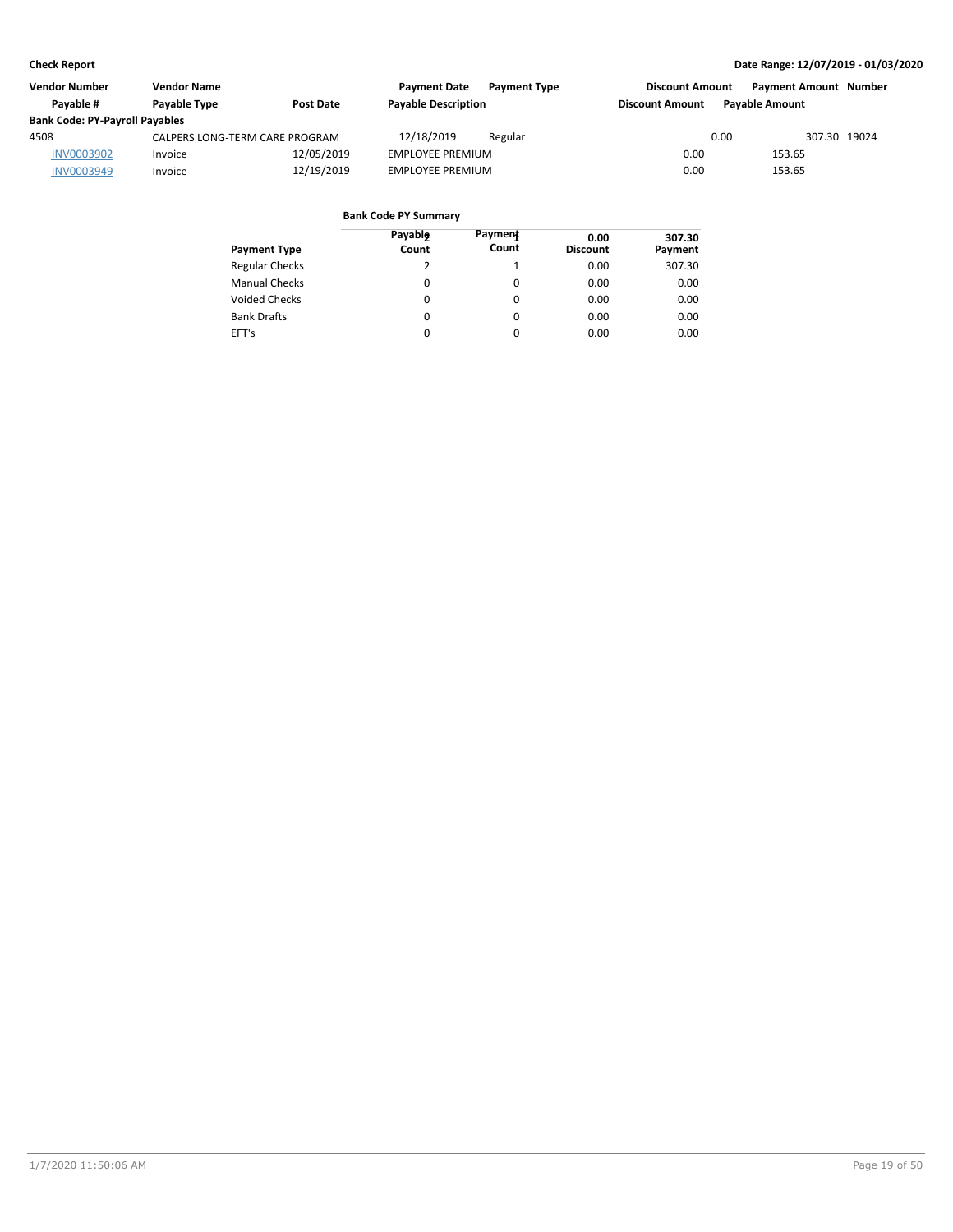| <b>Vendor Number</b>                  | <b>Vendor Name</b>               |            | <b>Payment Date</b>     | <b>Payment Type</b>        | <b>Discount Amount</b> |                                                 | <b>Payment Amount Number</b> |  |
|---------------------------------------|----------------------------------|------------|-------------------------|----------------------------|------------------------|-------------------------------------------------|------------------------------|--|
| Pavable #                             | Payable Type<br><b>Post Date</b> |            |                         | <b>Payable Description</b> |                        | <b>Pavable Amount</b><br><b>Discount Amount</b> |                              |  |
| <b>Bank Code: PY-Payroll Payables</b> |                                  |            |                         |                            |                        |                                                 |                              |  |
| 4508                                  | CALPERS LONG-TERM CARE PROGRAM   |            | 12/18/2019              | Regular                    |                        | 0.00                                            | 307.30 19024                 |  |
| <b>INV0003902</b>                     | Invoice                          | 12/05/2019 | <b>EMPLOYEE PREMIUM</b> |                            | 0.00                   | 153.65                                          |                              |  |
| INV0003949                            | Invoice                          | 12/19/2019 | <b>EMPLOYEE PREMIUM</b> |                            | 0.00                   | 153.65                                          |                              |  |

| <b>Payment Type</b>   | Payable<br>Count | Payment<br>Count | 0.00<br><b>Discount</b> | 307.30<br>Payment |
|-----------------------|------------------|------------------|-------------------------|-------------------|
| <b>Regular Checks</b> | 2                |                  | 0.00                    | 307.30            |
| <b>Manual Checks</b>  | 0                | 0                | 0.00                    | 0.00              |
| <b>Voided Checks</b>  | 0                | 0                | 0.00                    | 0.00              |
| <b>Bank Drafts</b>    | 0                | 0                | 0.00                    | 0.00              |
| EFT's                 | 0                | 0                | 0.00                    | 0.00              |
|                       |                  |                  |                         |                   |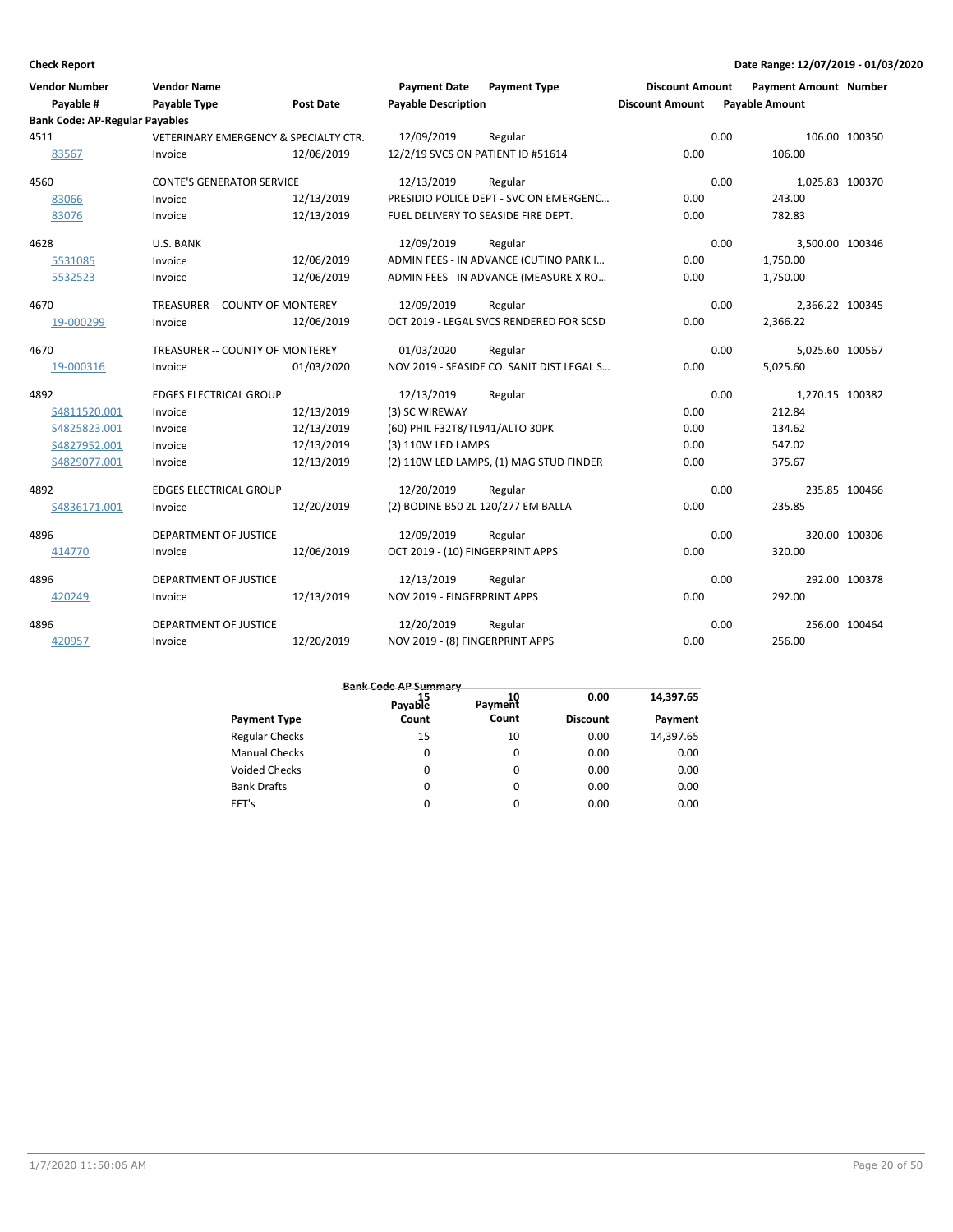| <b>Vendor Number</b><br>Payable #     | <b>Vendor Name</b><br><b>Payable Type</b>        | Post Date  | <b>Payment Date</b><br><b>Payable Description</b> | <b>Payment Type</b>                       | <b>Discount Amount</b><br><b>Discount Amount</b> |      | <b>Payment Amount Number</b><br><b>Payable Amount</b> |               |
|---------------------------------------|--------------------------------------------------|------------|---------------------------------------------------|-------------------------------------------|--------------------------------------------------|------|-------------------------------------------------------|---------------|
| <b>Bank Code: AP-Regular Payables</b> |                                                  |            |                                                   |                                           |                                                  |      |                                                       |               |
| 4511                                  | <b>VETERINARY EMERGENCY &amp; SPECIALTY CTR.</b> |            | 12/09/2019                                        | Regular                                   |                                                  | 0.00 |                                                       | 106.00 100350 |
| 83567                                 | Invoice                                          | 12/06/2019 | 12/2/19 SVCS ON PATIENT ID #51614                 |                                           | 0.00                                             |      | 106.00                                                |               |
| 4560                                  | <b>CONTE'S GENERATOR SERVICE</b>                 |            | 12/13/2019                                        | Regular                                   |                                                  | 0.00 | 1,025.83 100370                                       |               |
| 83066                                 | Invoice                                          | 12/13/2019 |                                                   | PRESIDIO POLICE DEPT - SVC ON EMERGENC    | 0.00                                             |      | 243.00                                                |               |
| 83076                                 | Invoice                                          | 12/13/2019 | FUEL DELIVERY TO SEASIDE FIRE DEPT.               |                                           | 0.00                                             |      | 782.83                                                |               |
| 4628                                  | U.S. BANK                                        |            | 12/09/2019                                        | Regular                                   |                                                  | 0.00 | 3,500.00 100346                                       |               |
| 5531085                               | Invoice                                          | 12/06/2019 |                                                   | ADMIN FEES - IN ADVANCE (CUTINO PARK I    | 0.00                                             |      | 1,750.00                                              |               |
| 5532523                               | Invoice                                          | 12/06/2019 |                                                   | ADMIN FEES - IN ADVANCE (MEASURE X RO     | 0.00                                             |      | 1,750.00                                              |               |
| 4670                                  | TREASURER -- COUNTY OF MONTEREY                  |            | 12/09/2019                                        | Regular                                   |                                                  | 0.00 | 2,366.22 100345                                       |               |
| 19-000299                             | Invoice                                          | 12/06/2019 |                                                   | OCT 2019 - LEGAL SVCS RENDERED FOR SCSD   | 0.00                                             |      | 2,366.22                                              |               |
| 4670                                  | TREASURER -- COUNTY OF MONTEREY                  |            | 01/03/2020                                        | Regular                                   |                                                  | 0.00 | 5,025.60 100567                                       |               |
| 19-000316                             | Invoice                                          | 01/03/2020 |                                                   | NOV 2019 - SEASIDE CO. SANIT DIST LEGAL S | 0.00                                             |      | 5,025.60                                              |               |
| 4892                                  | <b>EDGES ELECTRICAL GROUP</b>                    |            | 12/13/2019                                        | Regular                                   |                                                  | 0.00 | 1,270.15 100382                                       |               |
| S4811520.001                          | Invoice                                          | 12/13/2019 | (3) SC WIREWAY                                    |                                           | 0.00                                             |      | 212.84                                                |               |
| S4825823.001                          | Invoice                                          | 12/13/2019 | (60) PHIL F32T8/TL941/ALTO 30PK                   |                                           | 0.00                                             |      | 134.62                                                |               |
| S4827952.001                          | Invoice                                          | 12/13/2019 | (3) 110W LED LAMPS                                |                                           | 0.00                                             |      | 547.02                                                |               |
| S4829077.001                          | Invoice                                          | 12/13/2019 |                                                   | (2) 110W LED LAMPS, (1) MAG STUD FINDER   | 0.00                                             |      | 375.67                                                |               |
| 4892                                  | <b>EDGES ELECTRICAL GROUP</b>                    |            | 12/20/2019                                        | Regular                                   |                                                  | 0.00 |                                                       | 235.85 100466 |
| S4836171.001                          | Invoice                                          | 12/20/2019 | (2) BODINE B50 2L 120/277 EM BALLA                |                                           | 0.00                                             |      | 235.85                                                |               |
| 4896                                  | DEPARTMENT OF JUSTICE                            |            | 12/09/2019                                        | Regular                                   |                                                  | 0.00 |                                                       | 320.00 100306 |
| 414770                                | Invoice                                          | 12/06/2019 | OCT 2019 - (10) FINGERPRINT APPS                  |                                           | 0.00                                             |      | 320.00                                                |               |
| 4896                                  | DEPARTMENT OF JUSTICE                            |            | 12/13/2019                                        | Regular                                   |                                                  | 0.00 |                                                       | 292.00 100378 |
| 420249                                | Invoice                                          | 12/13/2019 | NOV 2019 - FINGERPRINT APPS                       |                                           | 0.00                                             |      | 292.00                                                |               |
| 4896                                  | <b>DEPARTMENT OF JUSTICE</b>                     |            | 12/20/2019                                        | Regular                                   |                                                  | 0.00 |                                                       | 256.00 100464 |
| 420957                                | Invoice                                          | 12/20/2019 | NOV 2019 - (8) FINGERPRINT APPS                   |                                           | 0.00                                             |      | 256.00                                                |               |

|                       |                          | <b>Bank Code AP Summary</b> |                 |           |  |  |  |  |  |
|-----------------------|--------------------------|-----------------------------|-----------------|-----------|--|--|--|--|--|
|                       | <sup>15</sup><br>Payable | 10<br>Payment               | 0.00            | 14,397.65 |  |  |  |  |  |
| <b>Payment Type</b>   | Count                    | Count                       | <b>Discount</b> | Payment   |  |  |  |  |  |
| <b>Regular Checks</b> | 15                       | 10                          | 0.00            | 14.397.65 |  |  |  |  |  |
| <b>Manual Checks</b>  | $\Omega$                 | $\Omega$                    | 0.00            | 0.00      |  |  |  |  |  |
| <b>Voided Checks</b>  | 0                        | 0                           | 0.00            | 0.00      |  |  |  |  |  |
| <b>Bank Drafts</b>    | 0                        |                             | 0.00            | 0.00      |  |  |  |  |  |

0

 $\mathbf 0$ 

0.00

0.00 0.00 0.00 0.00

EFT's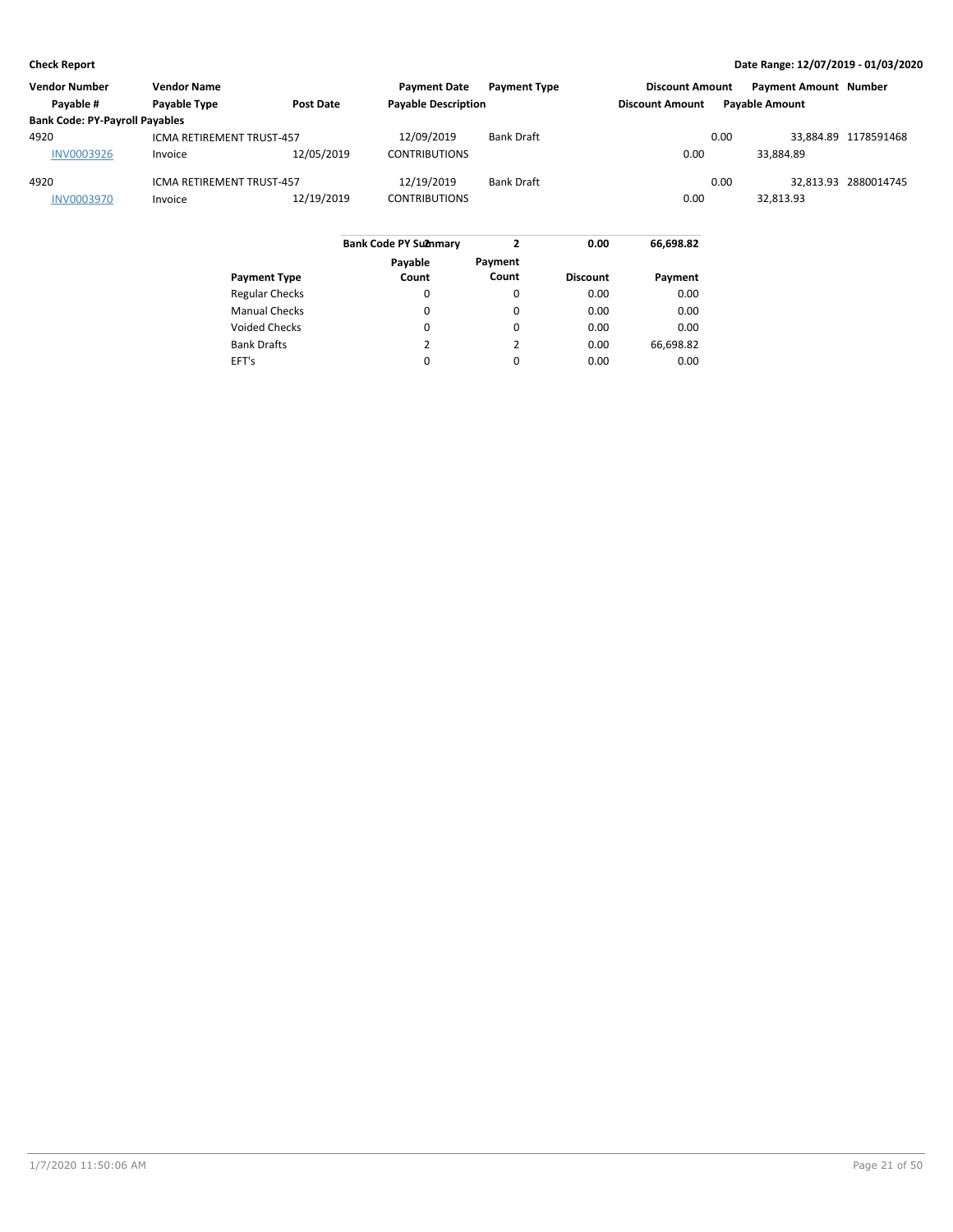| <b>Vendor Name</b>                    |            | <b>Payment Date</b>                                    |                   |                                                   |      |                        |                                                       |
|---------------------------------------|------------|--------------------------------------------------------|-------------------|---------------------------------------------------|------|------------------------|-------------------------------------------------------|
| Payable Type                          | Post Date  |                                                        |                   | <b>Discount Amount</b>                            |      |                        |                                                       |
| <b>Bank Code: PY-Payroll Payables</b> |            |                                                        |                   |                                                   |      |                        |                                                       |
|                                       |            | 12/09/2019                                             | <b>Bank Draft</b> |                                                   | 0.00 |                        | 33.884.89 1178591468                                  |
| Invoice                               | 12/05/2019 | <b>CONTRIBUTIONS</b>                                   |                   | 0.00                                              |      | 33.884.89              |                                                       |
|                                       |            | 12/19/2019                                             | <b>Bank Draft</b> |                                                   | 0.00 |                        | 32.813.93 2880014745                                  |
| Invoice                               | 12/19/2019 | <b>CONTRIBUTIONS</b>                                   |                   | 0.00                                              |      | 32.813.93              |                                                       |
|                                       |            | ICMA RETIREMENT TRUST-457<br>ICMA RETIREMENT TRUST-457 |                   | <b>Payment Type</b><br><b>Payable Description</b> |      | <b>Discount Amount</b> | <b>Payment Amount Number</b><br><b>Payable Amount</b> |

|                       | <b>Bank Code PY Su2nmary</b> | 2                | 0.00            | 66,698.82 |
|-----------------------|------------------------------|------------------|-----------------|-----------|
| <b>Payment Type</b>   | Payable<br>Count             | Payment<br>Count | <b>Discount</b> | Payment   |
| <b>Regular Checks</b> | 0                            | 0                | 0.00            | 0.00      |
| <b>Manual Checks</b>  | 0                            | $\Omega$         | 0.00            | 0.00      |
| <b>Voided Checks</b>  | 0                            | $\Omega$         | 0.00            | 0.00      |
| <b>Bank Drafts</b>    | 2                            | 2                | 0.00            | 66,698.82 |
| EFT's                 | 0                            | $\Omega$         | 0.00            | 0.00      |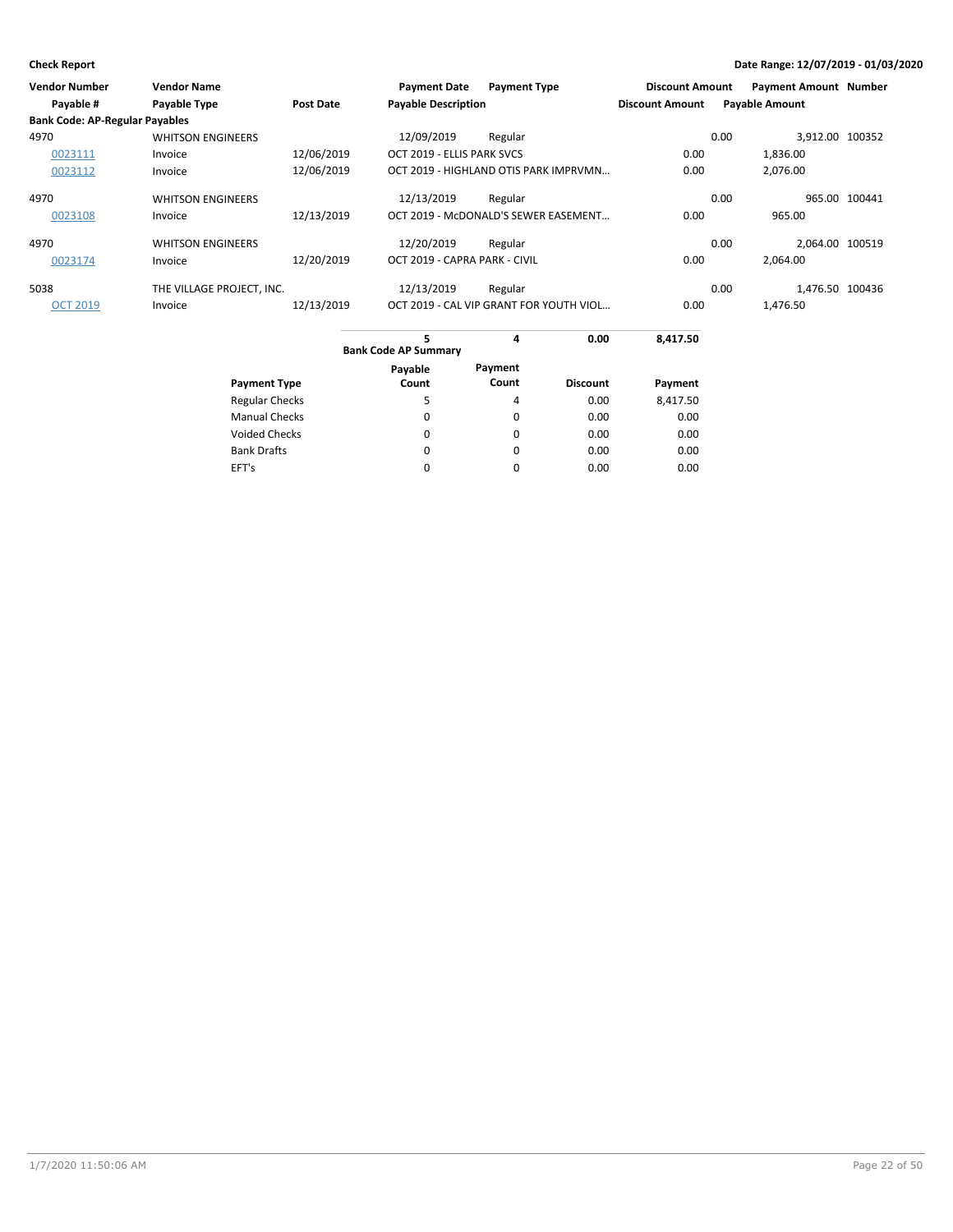| <b>Vendor Number</b>                  | <b>Vendor Name</b>        |                  | <b>Payment Date</b>           | <b>Payment Type</b>                     | <b>Discount Amount</b> | <b>Payment Amount Number</b> |               |
|---------------------------------------|---------------------------|------------------|-------------------------------|-----------------------------------------|------------------------|------------------------------|---------------|
| Payable #                             | <b>Payable Type</b>       | <b>Post Date</b> | <b>Payable Description</b>    |                                         | <b>Discount Amount</b> | <b>Payable Amount</b>        |               |
| <b>Bank Code: AP-Regular Payables</b> |                           |                  |                               |                                         |                        |                              |               |
| 4970                                  | <b>WHITSON ENGINEERS</b>  |                  | 12/09/2019                    | Regular                                 |                        | 3,912.00 100352<br>0.00      |               |
| 0023111                               | Invoice                   | 12/06/2019       | OCT 2019 - ELLIS PARK SVCS    |                                         | 0.00                   | 1,836.00                     |               |
| 0023112                               | Invoice                   | 12/06/2019       |                               | OCT 2019 - HIGHLAND OTIS PARK IMPRVMN   | 0.00                   | 2.076.00                     |               |
| 4970                                  | <b>WHITSON ENGINEERS</b>  |                  | 12/13/2019                    | Regular                                 |                        | 0.00                         | 965.00 100441 |
| 0023108                               | Invoice                   | 12/13/2019       |                               | OCT 2019 - McDONALD'S SEWER EASEMENT    | 0.00                   | 965.00                       |               |
| 4970                                  | <b>WHITSON ENGINEERS</b>  |                  | 12/20/2019                    | Regular                                 |                        | 2.064.00 100519<br>0.00      |               |
| 0023174                               | Invoice                   | 12/20/2019       | OCT 2019 - CAPRA PARK - CIVIL |                                         | 0.00                   | 2.064.00                     |               |
| 5038                                  | THE VILLAGE PROJECT, INC. |                  | 12/13/2019                    | Regular                                 |                        | 1.476.50 100436<br>0.00      |               |
| <b>OCT 2019</b>                       | Invoice                   | 12/13/2019       |                               | OCT 2019 - CAL VIP GRANT FOR YOUTH VIOL | 0.00                   | 1,476.50                     |               |
|                                       |                           |                  |                               |                                         |                        |                              |               |

|                       | 5<br><b>Bank Code AP Summary</b> | 4       | 0.00<br>8,417.50 |          |  |
|-----------------------|----------------------------------|---------|------------------|----------|--|
|                       | Payable                          | Payment |                  |          |  |
| <b>Payment Type</b>   | Count                            | Count   | <b>Discount</b>  | Payment  |  |
| <b>Regular Checks</b> | 5                                | 4       | 0.00             | 8,417.50 |  |
| <b>Manual Checks</b>  | 0                                | 0       | 0.00             | 0.00     |  |
| <b>Voided Checks</b>  | $\Omega$                         | 0       | 0.00             | 0.00     |  |
| <b>Bank Drafts</b>    | $\Omega$                         | 0       | 0.00             | 0.00     |  |
| EFT's                 |                                  | 0       | 0.00             | 0.00     |  |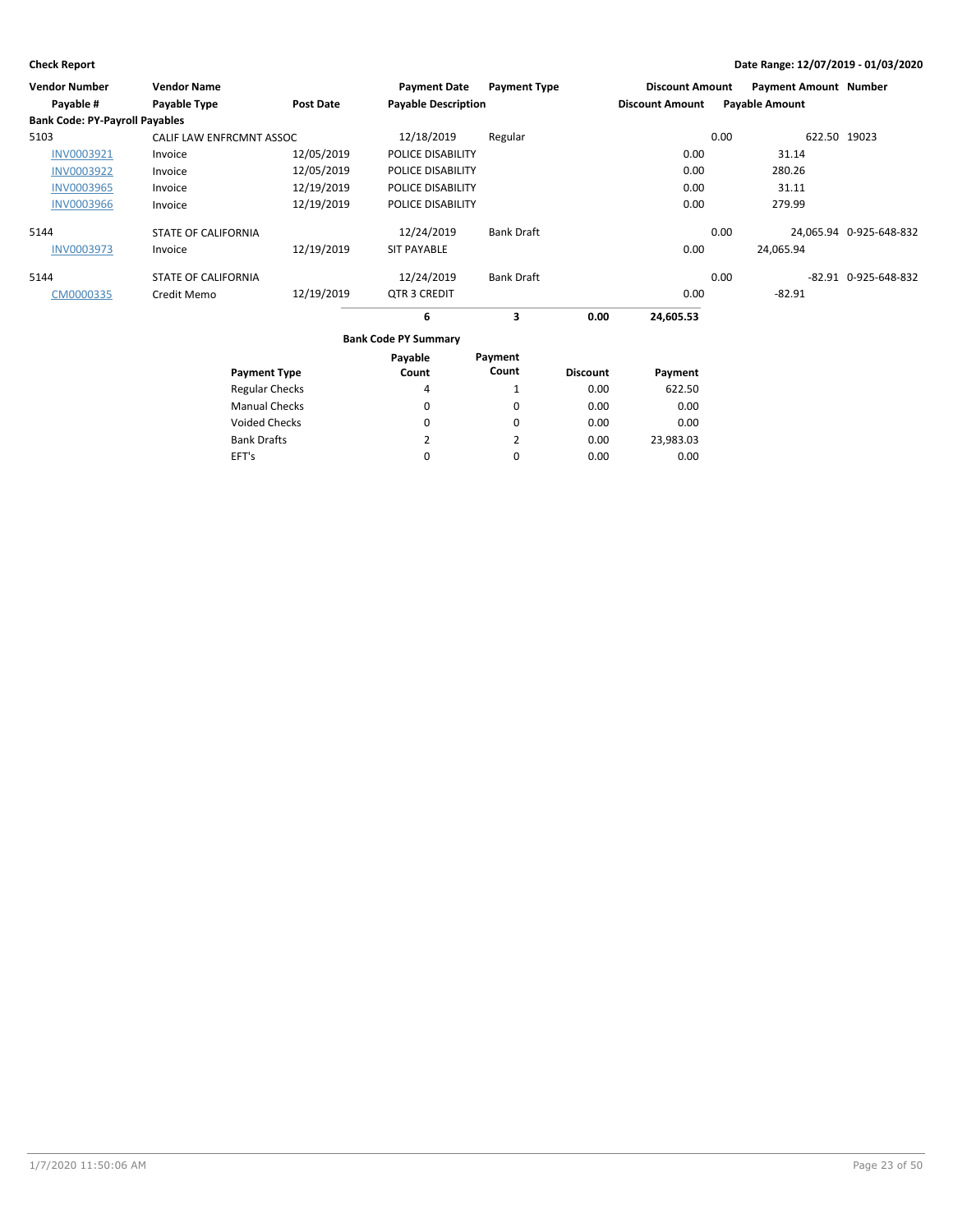EFT's

## **Check Report Date Range: 12/07/2019 - 01/03/2020**

| <b>Vendor Number</b>                  | <b>Vendor Name</b>         |                       | <b>Payment Date</b>         | <b>Payment Type</b> |                 | <b>Discount Amount</b> |      | <b>Payment Amount Number</b> |                         |
|---------------------------------------|----------------------------|-----------------------|-----------------------------|---------------------|-----------------|------------------------|------|------------------------------|-------------------------|
| Payable #                             | Payable Type               | <b>Post Date</b>      | <b>Payable Description</b>  |                     |                 | <b>Discount Amount</b> |      | <b>Payable Amount</b>        |                         |
| <b>Bank Code: PY-Payroll Payables</b> |                            |                       |                             |                     |                 |                        |      |                              |                         |
| 5103                                  | CALIF LAW ENFRCMNT ASSOC   |                       | 12/18/2019                  | Regular             |                 |                        | 0.00 | 622.50 19023                 |                         |
| INV0003921                            | Invoice                    | 12/05/2019            | POLICE DISABILITY           |                     |                 | 0.00                   |      | 31.14                        |                         |
| <b>INV0003922</b>                     | Invoice                    | 12/05/2019            | POLICE DISABILITY           |                     |                 | 0.00                   |      | 280.26                       |                         |
| <b>INV0003965</b>                     | Invoice                    | 12/19/2019            | POLICE DISABILITY           |                     |                 | 0.00                   |      | 31.11                        |                         |
| <b>INV0003966</b>                     | Invoice                    | 12/19/2019            | POLICE DISABILITY           |                     |                 | 0.00                   |      | 279.99                       |                         |
| 5144                                  | <b>STATE OF CALIFORNIA</b> |                       | 12/24/2019                  | <b>Bank Draft</b>   |                 |                        | 0.00 |                              | 24,065.94 0-925-648-832 |
| INV0003973                            | Invoice                    | 12/19/2019            | <b>SIT PAYABLE</b>          |                     |                 | 0.00                   |      | 24,065.94                    |                         |
| 5144                                  | <b>STATE OF CALIFORNIA</b> |                       | 12/24/2019                  | <b>Bank Draft</b>   |                 |                        | 0.00 |                              | -82.91 0-925-648-832    |
| CM0000335                             | Credit Memo                | 12/19/2019            | QTR 3 CREDIT                |                     |                 | 0.00                   |      | $-82.91$                     |                         |
|                                       |                            |                       | 6                           | 3                   | 0.00            | 24,605.53              |      |                              |                         |
|                                       |                            |                       | <b>Bank Code PY Summary</b> |                     |                 |                        |      |                              |                         |
|                                       |                            |                       | Payable                     | Payment             |                 |                        |      |                              |                         |
|                                       |                            | <b>Payment Type</b>   | Count                       | Count               | <b>Discount</b> | Payment                |      |                              |                         |
|                                       |                            | <b>Regular Checks</b> | 4                           | 1                   | 0.00            | 622.50                 |      |                              |                         |
|                                       |                            | <b>Manual Checks</b>  | 0                           | $\mathbf 0$         | 0.00            | 0.00                   |      |                              |                         |
|                                       |                            | <b>Voided Checks</b>  | 0                           | $\Omega$            | 0.00            | 0.00                   |      |                              |                         |
|                                       | <b>Bank Drafts</b>         |                       | 2                           | 2                   | 0.00            | 23,983.03              |      |                              |                         |

0

0

0.00

0.00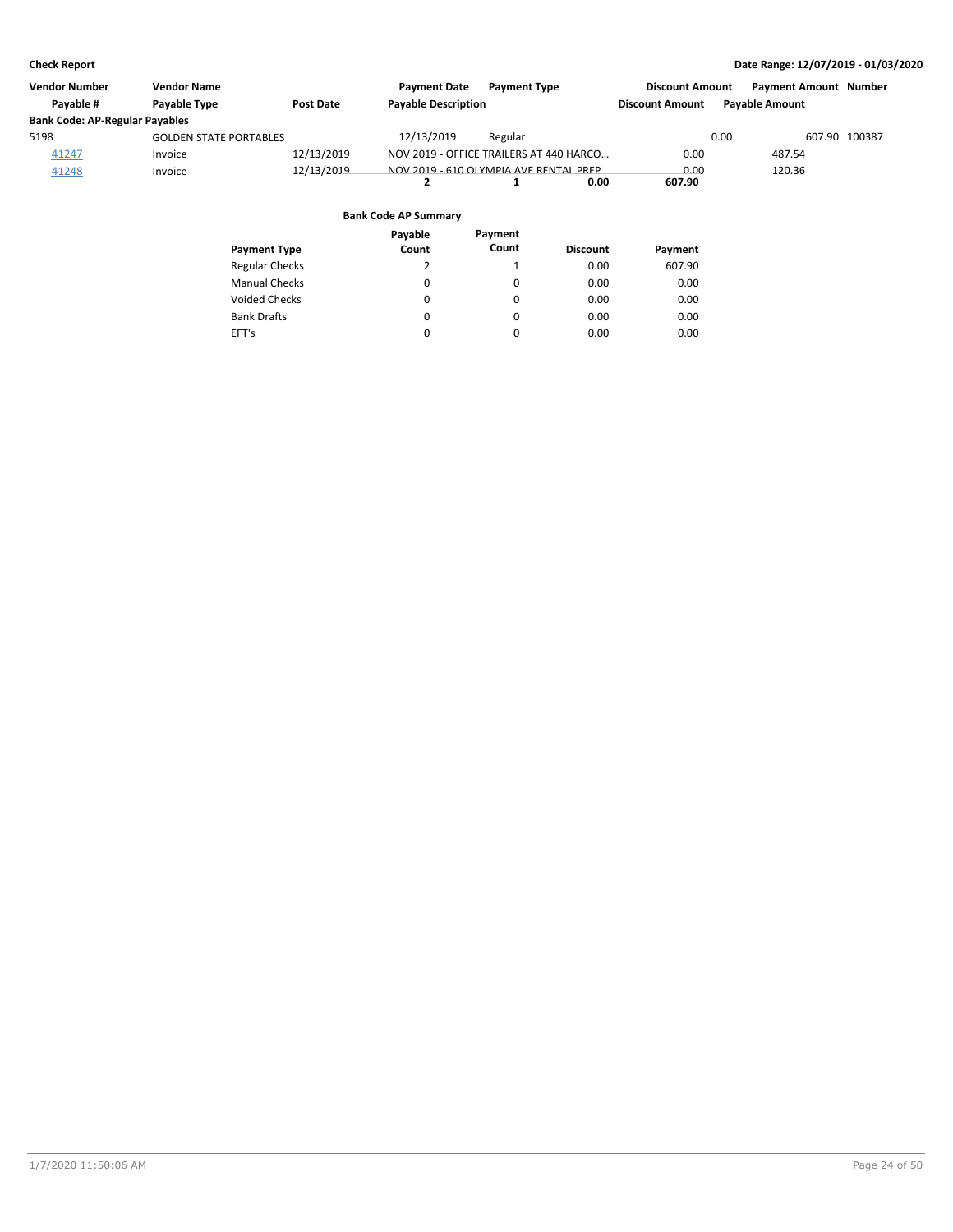| <b>Vendor Number</b>                  | <b>Vendor Name</b>            |                  | <b>Payment Date</b>        | <b>Payment Type</b>                     | <b>Discount Amount</b> | <b>Payment Amount Number</b> |               |
|---------------------------------------|-------------------------------|------------------|----------------------------|-----------------------------------------|------------------------|------------------------------|---------------|
| Pavable #                             | Payable Type                  | <b>Post Date</b> | <b>Payable Description</b> |                                         | <b>Discount Amount</b> | <b>Payable Amount</b>        |               |
| <b>Bank Code: AP-Regular Payables</b> |                               |                  |                            |                                         |                        |                              |               |
| 5198                                  | <b>GOLDEN STATE PORTABLES</b> |                  | 12/13/2019                 | Regular                                 |                        | 0.00                         | 607.90 100387 |
| 41247                                 | Invoice                       | 12/13/2019       |                            | NOV 2019 - OFFICE TRAILERS AT 440 HARCO | 0.00                   | 487.54                       |               |
| 41248                                 | Invoice                       | 12/13/2019       |                            | NOV 2019 - 610 OLYMPIA AVE RENTAL PREP  | 0.00                   | 120.36                       |               |
|                                       |                               |                  |                            | 0.00                                    | 607.90                 |                              |               |

| <b>Payment Type</b>   | Payable<br>Count | Payment<br>Count | <b>Discount</b> | Payment |
|-----------------------|------------------|------------------|-----------------|---------|
| <b>Regular Checks</b> | 2                | 1                | 0.00            | 607.90  |
| <b>Manual Checks</b>  | 0                | 0                | 0.00            | 0.00    |
| <b>Voided Checks</b>  | 0                | 0                | 0.00            | 0.00    |
| <b>Bank Drafts</b>    | 0                | 0                | 0.00            | 0.00    |
| EFT's                 | 0                | 0                | 0.00            | 0.00    |
|                       |                  |                  |                 |         |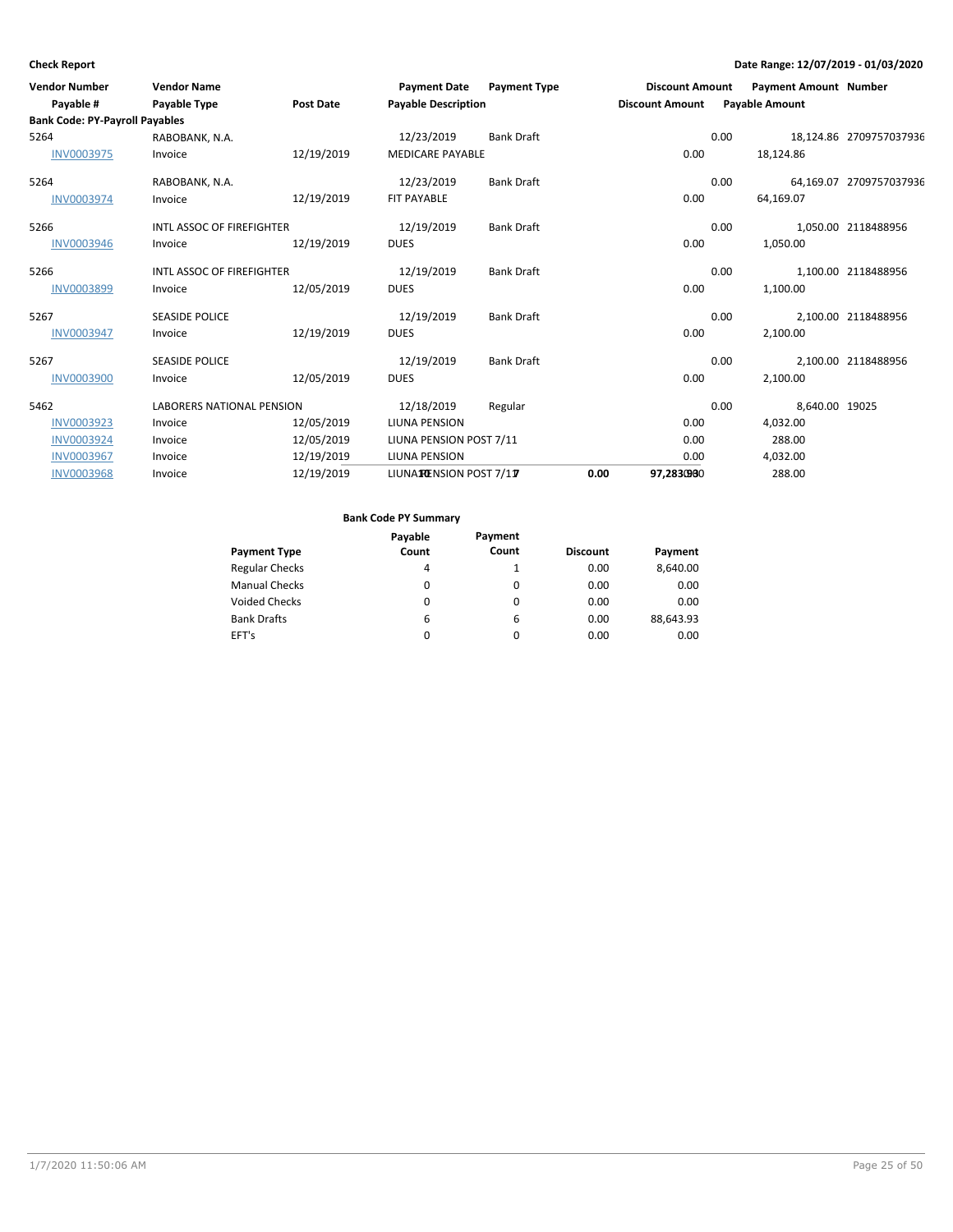| <b>Vendor Number</b>                  | <b>Vendor Name</b>               |                  | <b>Payment Date</b>        | <b>Payment Type</b> |      | <b>Discount Amount</b> |      | <b>Payment Amount Number</b> |                         |
|---------------------------------------|----------------------------------|------------------|----------------------------|---------------------|------|------------------------|------|------------------------------|-------------------------|
| Payable #                             | Payable Type                     | <b>Post Date</b> | <b>Payable Description</b> |                     |      | <b>Discount Amount</b> |      | <b>Payable Amount</b>        |                         |
| <b>Bank Code: PY-Payroll Payables</b> |                                  |                  |                            |                     |      |                        |      |                              |                         |
| 5264                                  | RABOBANK, N.A.                   |                  | 12/23/2019                 | <b>Bank Draft</b>   |      |                        | 0.00 |                              | 18,124.86 2709757037936 |
| <b>INV0003975</b>                     | Invoice                          | 12/19/2019       | <b>MEDICARE PAYABLE</b>    |                     |      | 0.00                   |      | 18,124.86                    |                         |
| 5264                                  | RABOBANK, N.A.                   |                  | 12/23/2019                 | <b>Bank Draft</b>   |      |                        | 0.00 |                              | 64,169.07 2709757037936 |
| <b>INV0003974</b>                     | Invoice                          | 12/19/2019       | <b>FIT PAYABLE</b>         |                     |      | 0.00                   |      | 64,169.07                    |                         |
| 5266                                  | INTL ASSOC OF FIREFIGHTER        |                  | 12/19/2019                 | <b>Bank Draft</b>   |      |                        | 0.00 |                              | 1.050.00 2118488956     |
| <b>INV0003946</b>                     | Invoice                          | 12/19/2019       | <b>DUES</b>                |                     |      | 0.00                   |      | 1,050.00                     |                         |
| 5266                                  | INTL ASSOC OF FIREFIGHTER        |                  | 12/19/2019                 | <b>Bank Draft</b>   |      |                        | 0.00 |                              | 1,100.00 2118488956     |
| INV0003899                            | Invoice                          | 12/05/2019       | <b>DUES</b>                |                     |      | 0.00                   |      | 1,100.00                     |                         |
| 5267                                  | <b>SEASIDE POLICE</b>            |                  | 12/19/2019                 | <b>Bank Draft</b>   |      |                        | 0.00 |                              | 2,100.00 2118488956     |
| <b>INV0003947</b>                     | Invoice                          | 12/19/2019       | <b>DUES</b>                |                     |      | 0.00                   |      | 2,100.00                     |                         |
| 5267                                  | <b>SEASIDE POLICE</b>            |                  | 12/19/2019                 | <b>Bank Draft</b>   |      |                        | 0.00 |                              | 2,100.00 2118488956     |
| <b>INV0003900</b>                     | Invoice                          | 12/05/2019       | <b>DUES</b>                |                     |      | 0.00                   |      | 2,100.00                     |                         |
| 5462                                  | <b>LABORERS NATIONAL PENSION</b> |                  | 12/18/2019                 | Regular             |      |                        | 0.00 | 8,640.00 19025               |                         |
| INV0003923                            | Invoice                          | 12/05/2019       | LIUNA PENSION              |                     |      | 0.00                   |      | 4,032.00                     |                         |
| <b>INV0003924</b>                     | Invoice                          | 12/05/2019       | LIUNA PENSION POST 7/11    |                     |      | 0.00                   |      | 288.00                       |                         |
| <b>INV0003967</b>                     | Invoice                          | 12/19/2019       | LIUNA PENSION              |                     |      | 0.00                   |      | 4,032.00                     |                         |
| <b>INV0003968</b>                     | Invoice                          | 12/19/2019       | LIUNATENSION POST 7/17     |                     | 0.00 | 97,2830900             |      | 288.00                       |                         |

|                       | Payable | Payment |                 |           |
|-----------------------|---------|---------|-----------------|-----------|
| <b>Payment Type</b>   | Count   | Count   | <b>Discount</b> | Payment   |
| <b>Regular Checks</b> | 4       |         | 0.00            | 8,640.00  |
| <b>Manual Checks</b>  | 0       | 0       | 0.00            | 0.00      |
| <b>Voided Checks</b>  | 0       | 0       | 0.00            | 0.00      |
| <b>Bank Drafts</b>    | 6       | 6       | 0.00            | 88,643.93 |
| EFT's                 | 0       | 0       | 0.00            | 0.00      |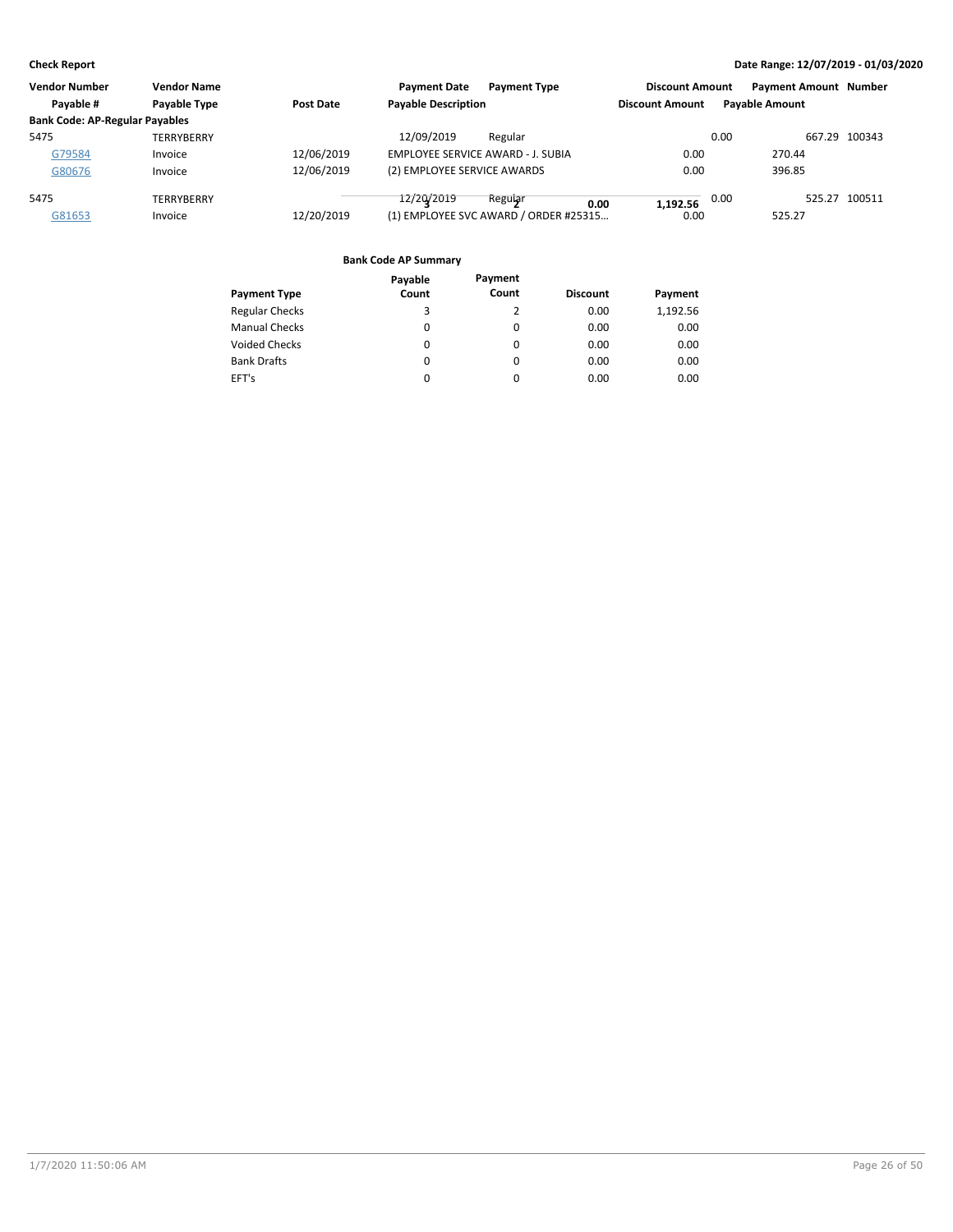| <b>Vendor Number</b>                  | <b>Vendor Name</b> |                  | <b>Payment Date</b>                      | <b>Payment Type</b>                   | <b>Discount Amount</b> | <b>Payment Amount Number</b> |               |
|---------------------------------------|--------------------|------------------|------------------------------------------|---------------------------------------|------------------------|------------------------------|---------------|
| Payable #                             | Payable Type       | <b>Post Date</b> | <b>Payable Description</b>               |                                       | <b>Discount Amount</b> | <b>Pavable Amount</b>        |               |
| <b>Bank Code: AP-Regular Payables</b> |                    |                  |                                          |                                       |                        |                              |               |
| 5475                                  | TERRYBERRY         |                  | 12/09/2019                               | Regular                               |                        | 0.00                         | 667.29 100343 |
| G79584                                | Invoice            | 12/06/2019       | <b>EMPLOYEE SERVICE AWARD - J. SUBIA</b> |                                       | 0.00                   | 270.44                       |               |
| G80676                                | Invoice            | 12/06/2019       | (2) EMPLOYEE SERVICE AWARDS              |                                       | 0.00                   | 396.85                       |               |
| 5475                                  | TERRYBERRY         |                  | 12/20/2019                               | Regular<br>0.00                       | 1.192.56               | 0.00                         | 525.27 100511 |
| G81653                                | Invoice            | 12/20/2019       |                                          | (1) EMPLOYEE SVC AWARD / ORDER #25315 | 0.00                   | 525.27                       |               |
|                                       |                    |                  |                                          |                                       |                        |                              |               |

|                       | Payable  | Payment  |                 |          |
|-----------------------|----------|----------|-----------------|----------|
| <b>Payment Type</b>   | Count    | Count    | <b>Discount</b> | Payment  |
| <b>Regular Checks</b> | 3        | 2        | 0.00            | 1,192.56 |
| <b>Manual Checks</b>  | 0        | 0        | 0.00            | 0.00     |
| Voided Checks         | 0        | 0        | 0.00            | 0.00     |
| <b>Bank Drafts</b>    | $\Omega$ | 0        | 0.00            | 0.00     |
| EFT's                 | $\Omega$ | $\Omega$ | 0.00            | 0.00     |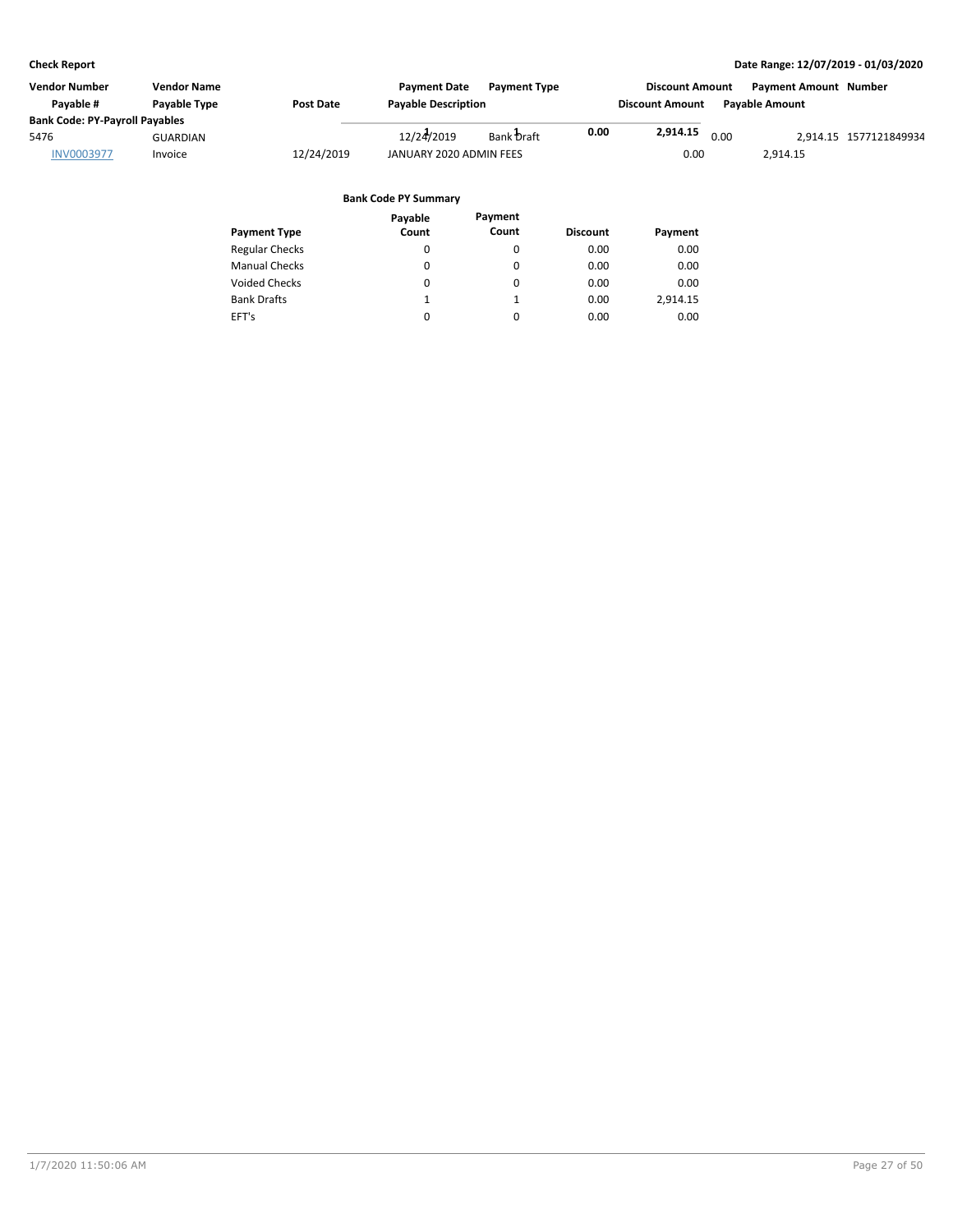| Vendor Number<br>Pavable #                                         | <b>Vendor Name</b><br>Payable Type | <b>Post Date</b> | <b>Payment Date</b><br><b>Payable Description</b> | <b>Payment Type</b> |      | <b>Discount Amount</b><br><b>Discount Amount</b> |      | <b>Payment Amount Number</b><br><b>Pavable Amount</b> |                        |
|--------------------------------------------------------------------|------------------------------------|------------------|---------------------------------------------------|---------------------|------|--------------------------------------------------|------|-------------------------------------------------------|------------------------|
| <b>Bank Code: PY-Payroll Payables</b><br>5476<br><b>INV0003977</b> | <b>GUARDIAN</b><br>Invoice         | 12/24/2019       | 12/24/2019<br>JANUARY 2020 ADMIN FEES             | Bank Draft          | 0.00 | 2,914.15<br>0.00                                 | 0.00 | 2,914.15                                              | 2.914.15 1577121849934 |

|                       | Payable | Payment  |                 |          |
|-----------------------|---------|----------|-----------------|----------|
| <b>Payment Type</b>   | Count   | Count    | <b>Discount</b> | Payment  |
| <b>Regular Checks</b> | 0       | 0        | 0.00            | 0.00     |
| <b>Manual Checks</b>  | 0       | $\Omega$ | 0.00            | 0.00     |
| <b>Voided Checks</b>  | 0       | 0        | 0.00            | 0.00     |
| <b>Bank Drafts</b>    |         | 1        | 0.00            | 2,914.15 |
| EFT's                 | 0       | $\Omega$ | 0.00            | 0.00     |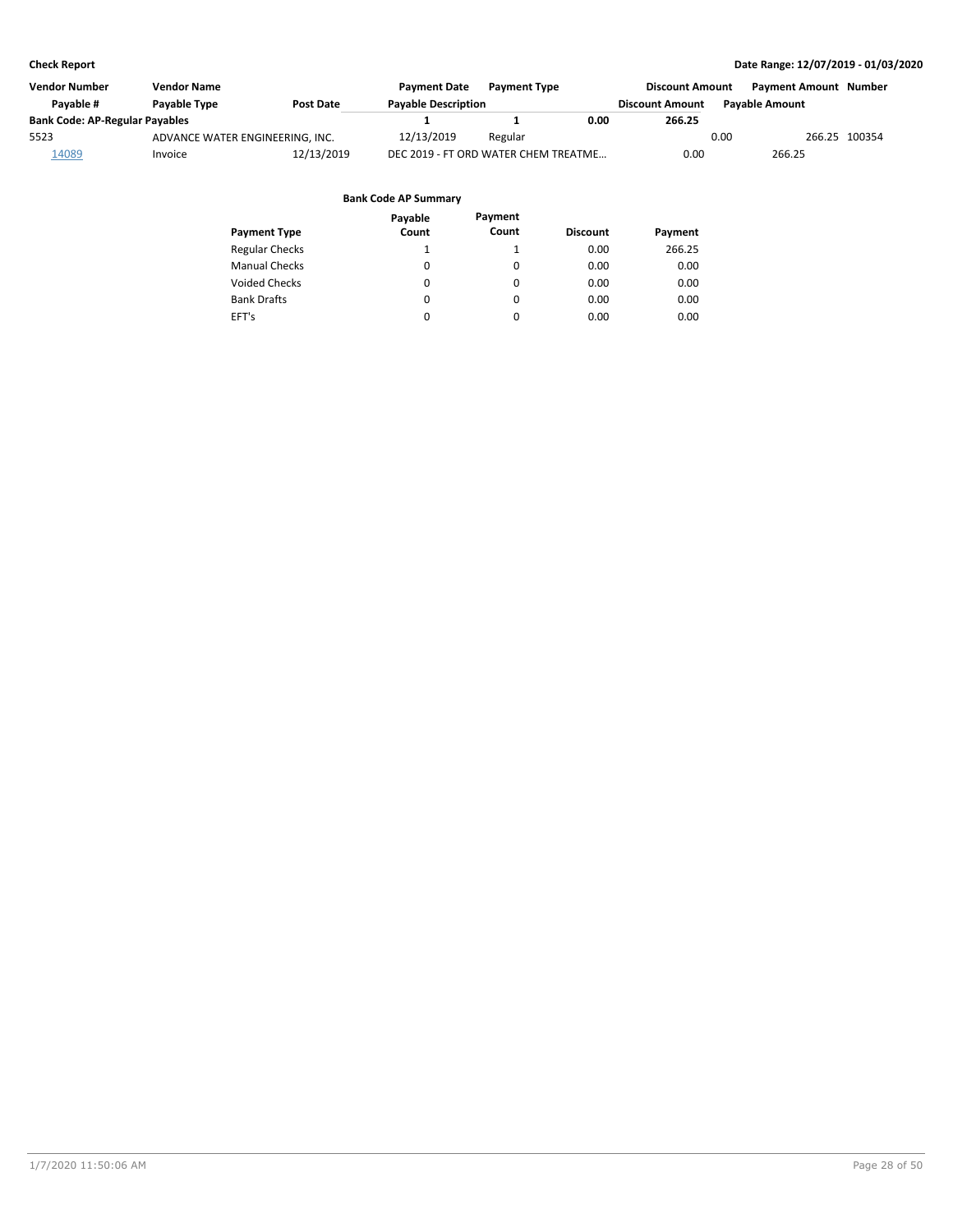| Vendor Number                         | <b>Vendor Name</b>                                             |            | <b>Payment Date</b>                  | <b>Payment Type</b>    |                       | <b>Discount Amount</b> | <b>Payment Amount Number</b> |               |
|---------------------------------------|----------------------------------------------------------------|------------|--------------------------------------|------------------------|-----------------------|------------------------|------------------------------|---------------|
| Pavable #                             | <b>Pavable Description</b><br><b>Pavable Type</b><br>Post Date |            |                                      | <b>Discount Amount</b> | <b>Pavable Amount</b> |                        |                              |               |
| <b>Bank Code: AP-Regular Payables</b> |                                                                |            |                                      |                        | 0.00                  | 266.25                 |                              |               |
| 5523                                  | ADVANCE WATER ENGINEERING, INC.                                |            | 12/13/2019                           | Regular                |                       |                        | 0.00                         | 266.25 100354 |
| 14089                                 | Invoice                                                        | 12/13/2019 | DEC 2019 - FT ORD WATER CHEM TREATME |                        |                       | 0.00                   | 266.25                       |               |

|                       | Payable  | Payment |                 |         |
|-----------------------|----------|---------|-----------------|---------|
| <b>Payment Type</b>   | Count    | Count   | <b>Discount</b> | Payment |
| <b>Regular Checks</b> |          | 1       | 0.00            | 266.25  |
| <b>Manual Checks</b>  | 0        | 0       | 0.00            | 0.00    |
| <b>Voided Checks</b>  | 0        | 0       | 0.00            | 0.00    |
| <b>Bank Drafts</b>    | $\Omega$ | 0       | 0.00            | 0.00    |
| EFT's                 | 0        | 0       | 0.00            | 0.00    |
|                       |          |         |                 |         |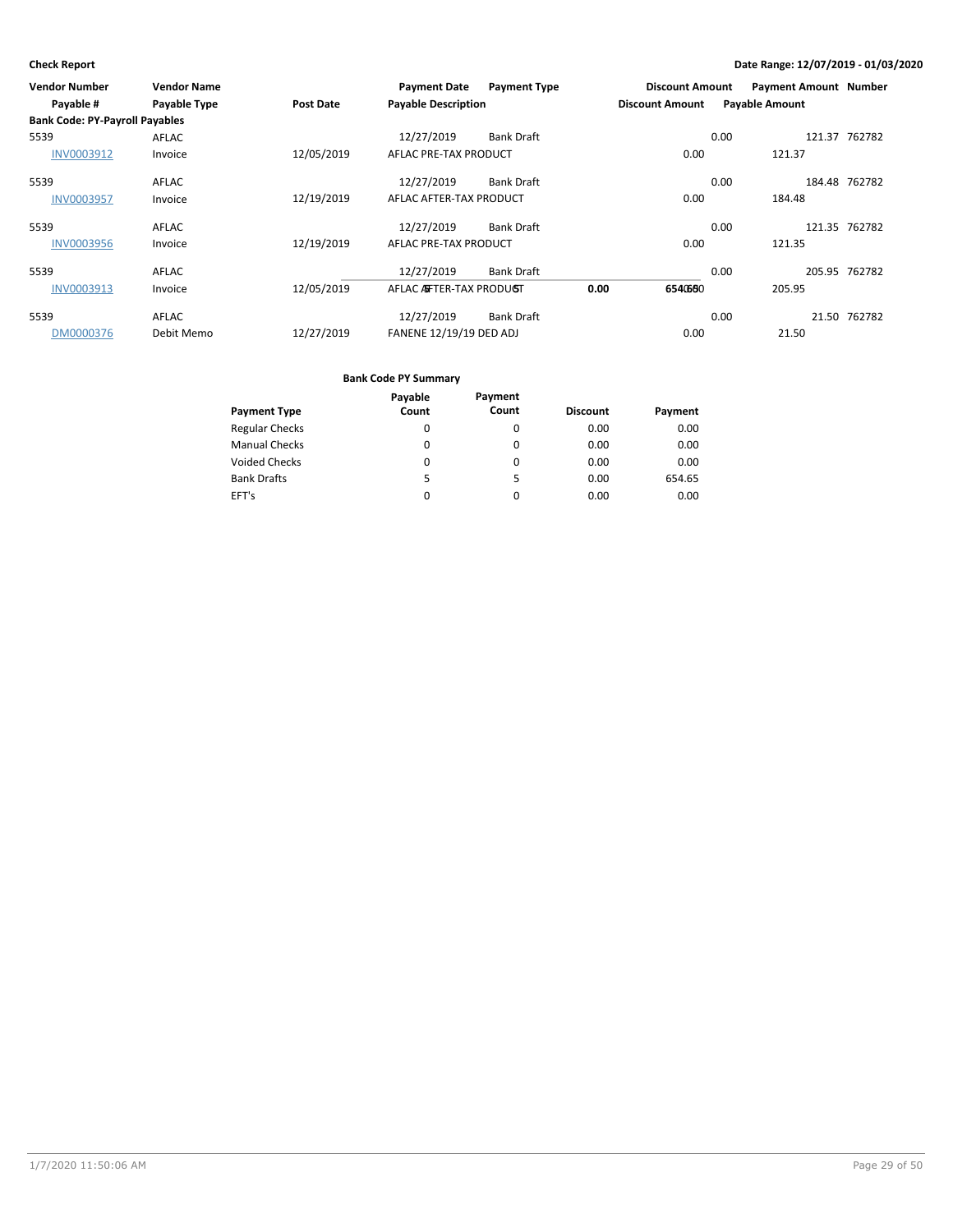| Vendor Number                         | <b>Vendor Name</b>  |            | <b>Payment Date</b>            | <b>Payment Type</b> | <b>Discount Amount</b> |      | <b>Payment Amount Number</b> |               |
|---------------------------------------|---------------------|------------|--------------------------------|---------------------|------------------------|------|------------------------------|---------------|
| Payable #                             | <b>Payable Type</b> | Post Date  | <b>Payable Description</b>     |                     | <b>Discount Amount</b> |      | <b>Payable Amount</b>        |               |
| <b>Bank Code: PY-Payroll Payables</b> |                     |            |                                |                     |                        |      |                              |               |
| 5539                                  | AFLAC               |            | 12/27/2019                     | <b>Bank Draft</b>   |                        | 0.00 |                              | 121.37 762782 |
| INV0003912                            | Invoice             | 12/05/2019 | AFLAC PRE-TAX PRODUCT          |                     | 0.00                   |      | 121.37                       |               |
| 5539                                  | AFLAC               |            | 12/27/2019                     | <b>Bank Draft</b>   |                        | 0.00 |                              | 184.48 762782 |
| <b>INV0003957</b>                     | Invoice             | 12/19/2019 | AFLAC AFTER-TAX PRODUCT        |                     | 0.00                   |      | 184.48                       |               |
| 5539                                  | AFLAC               |            | 12/27/2019                     | <b>Bank Draft</b>   |                        | 0.00 |                              | 121.35 762782 |
| <b>INV0003956</b>                     | Invoice             | 12/19/2019 | AFLAC PRE-TAX PRODUCT          |                     | 0.00                   |      | 121.35                       |               |
| 5539                                  | AFLAC               |            | 12/27/2019                     | <b>Bank Draft</b>   |                        | 0.00 |                              | 205.95 762782 |
| <b>INV0003913</b>                     | Invoice             | 12/05/2019 | AFLAC ASFTER-TAX PRODUGT       |                     | 0.00<br>6540660        |      | 205.95                       |               |
| 5539                                  | AFLAC               |            | 12/27/2019                     | <b>Bank Draft</b>   |                        | 0.00 |                              | 21.50 762782  |
| DM0000376                             | Debit Memo          | 12/27/2019 | <b>FANENE 12/19/19 DED ADJ</b> |                     | 0.00                   |      | 21.50                        |               |

|                       | Payable | Payment |                 |         |
|-----------------------|---------|---------|-----------------|---------|
| <b>Payment Type</b>   | Count   | Count   | <b>Discount</b> | Payment |
| <b>Regular Checks</b> | 0       | 0       | 0.00            | 0.00    |
| <b>Manual Checks</b>  | 0       | 0       | 0.00            | 0.00    |
| <b>Voided Checks</b>  | 0       | 0       | 0.00            | 0.00    |
| <b>Bank Drafts</b>    | 5.      | 5       | 0.00            | 654.65  |
| EFT's                 | 0       | 0       | 0.00            | 0.00    |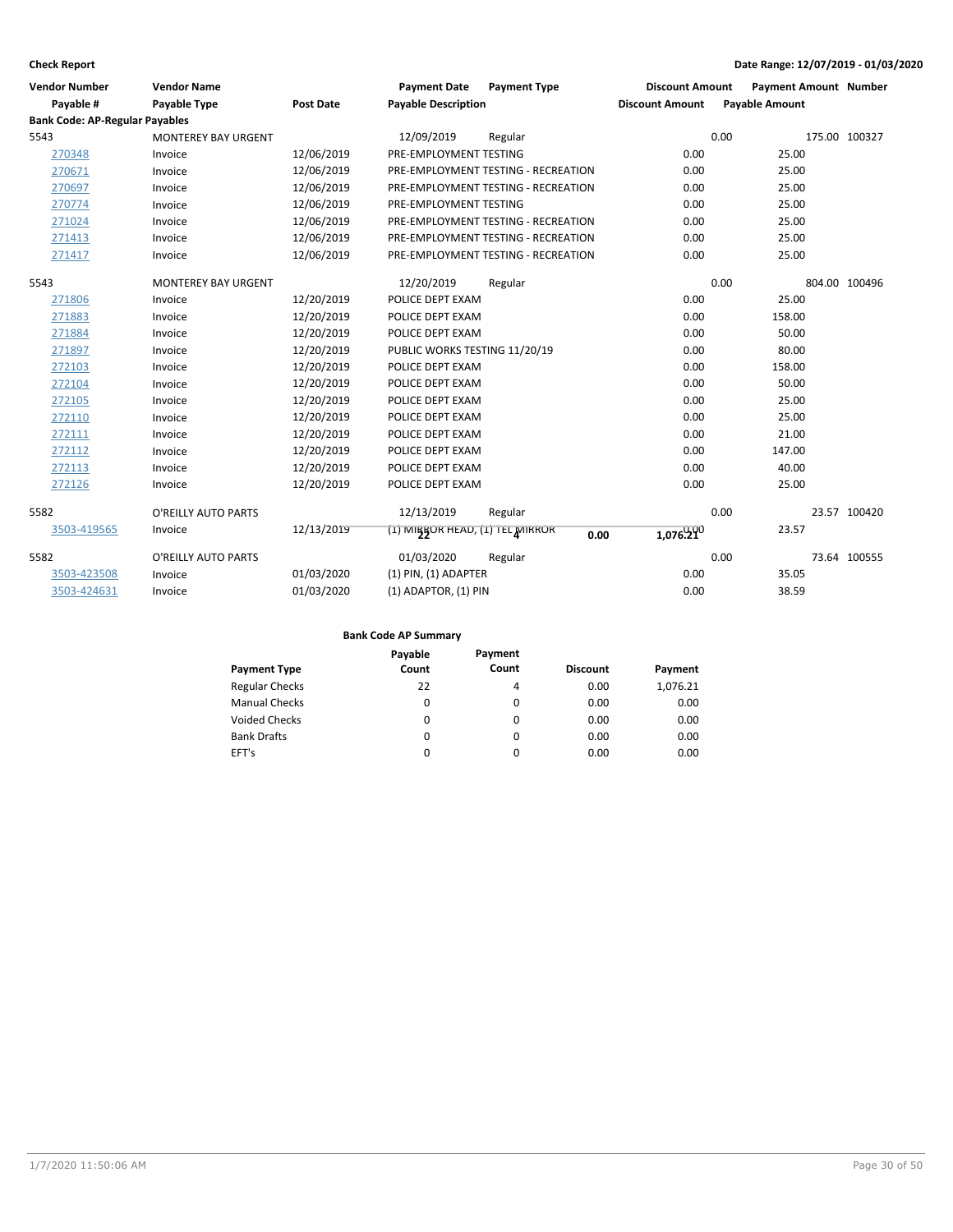| <b>Vendor Number</b>                  | <b>Vendor Name</b>         |                  | <b>Payment Date</b>             | <b>Payment Type</b>                 | <b>Discount Amount</b> | <b>Payment Amount Number</b> |               |  |
|---------------------------------------|----------------------------|------------------|---------------------------------|-------------------------------------|------------------------|------------------------------|---------------|--|
| Payable #                             | Payable Type               | <b>Post Date</b> | <b>Payable Description</b>      |                                     | <b>Discount Amount</b> | <b>Payable Amount</b>        |               |  |
| <b>Bank Code: AP-Regular Payables</b> |                            |                  |                                 |                                     |                        |                              |               |  |
| 5543                                  | <b>MONTEREY BAY URGENT</b> |                  | 12/09/2019                      | Regular                             |                        | 0.00                         | 175.00 100327 |  |
| 270348                                | Invoice                    | 12/06/2019       | PRE-EMPLOYMENT TESTING          |                                     | 0.00                   | 25.00                        |               |  |
| 270671                                | Invoice                    | 12/06/2019       |                                 | PRE-EMPLOYMENT TESTING - RECREATION | 0.00                   | 25.00                        |               |  |
| 270697                                | Invoice                    | 12/06/2019       |                                 | PRE-EMPLOYMENT TESTING - RECREATION | 0.00                   | 25.00                        |               |  |
| 270774                                | Invoice                    | 12/06/2019       | PRE-EMPLOYMENT TESTING          |                                     | 0.00                   | 25.00                        |               |  |
| 271024                                | Invoice                    | 12/06/2019       |                                 | PRE-EMPLOYMENT TESTING - RECREATION | 0.00                   | 25.00                        |               |  |
| 271413                                | Invoice                    | 12/06/2019       |                                 | PRE-EMPLOYMENT TESTING - RECREATION | 0.00                   | 25.00                        |               |  |
| 271417                                | Invoice                    | 12/06/2019       |                                 | PRE-EMPLOYMENT TESTING - RECREATION | 0.00                   | 25.00                        |               |  |
| 5543                                  | MONTEREY BAY URGENT        |                  | 12/20/2019                      | Regular                             |                        | 0.00                         | 804.00 100496 |  |
| 271806                                | Invoice                    | 12/20/2019       | POLICE DEPT EXAM                |                                     | 0.00                   | 25.00                        |               |  |
| 271883                                | Invoice                    | 12/20/2019       | POLICE DEPT EXAM                |                                     | 0.00                   | 158.00                       |               |  |
| 271884                                | Invoice                    | 12/20/2019       | POLICE DEPT EXAM                |                                     | 0.00                   | 50.00                        |               |  |
| 271897                                | Invoice                    | 12/20/2019       | PUBLIC WORKS TESTING 11/20/19   |                                     | 0.00                   | 80.00                        |               |  |
| 272103                                | Invoice                    | 12/20/2019       | POLICE DEPT EXAM                |                                     | 0.00                   | 158.00                       |               |  |
| 272104                                | Invoice                    | 12/20/2019       | POLICE DEPT EXAM                |                                     | 0.00                   | 50.00                        |               |  |
| 272105                                | Invoice                    | 12/20/2019       | POLICE DEPT EXAM                |                                     | 0.00                   | 25.00                        |               |  |
| 272110                                | Invoice                    | 12/20/2019       | POLICE DEPT EXAM                |                                     | 0.00                   | 25.00                        |               |  |
| 272111                                | Invoice                    | 12/20/2019       | POLICE DEPT EXAM                |                                     | 0.00                   | 21.00                        |               |  |
| 272112                                | Invoice                    | 12/20/2019       | POLICE DEPT EXAM                |                                     | 0.00                   | 147.00                       |               |  |
| 272113                                | Invoice                    | 12/20/2019       | POLICE DEPT EXAM                |                                     | 0.00                   | 40.00                        |               |  |
| 272126                                | Invoice                    | 12/20/2019       | POLICE DEPT EXAM                |                                     | 0.00                   | 25.00                        |               |  |
| 5582                                  | O'REILLY AUTO PARTS        |                  | 12/13/2019                      | Regular                             |                        | 0.00                         | 23.57 100420  |  |
| 3503-419565                           | Invoice                    | 12/13/2019       | (1) MIBROR HEAD, (1) TEL MIRROR | 0.00                                | 1,076.290              | 23.57                        |               |  |
| 5582                                  | O'REILLY AUTO PARTS        |                  | 01/03/2020                      | Regular                             |                        | 0.00                         | 73.64 100555  |  |
| 3503-423508                           | Invoice                    | 01/03/2020       | $(1)$ PIN, $(1)$ ADAPTER        |                                     | 0.00                   | 35.05                        |               |  |
| 3503-424631                           | Invoice                    | 01/03/2020       | (1) ADAPTOR, (1) PIN            |                                     | 0.00                   | 38.59                        |               |  |

|                       | Payable | Payment |                 |          |
|-----------------------|---------|---------|-----------------|----------|
| <b>Payment Type</b>   | Count   | Count   | <b>Discount</b> | Payment  |
| <b>Regular Checks</b> | 22      | 4       | 0.00            | 1,076.21 |
| <b>Manual Checks</b>  | 0       | 0       | 0.00            | 0.00     |
| <b>Voided Checks</b>  | 0       | 0       | 0.00            | 0.00     |
| <b>Bank Drafts</b>    | 0       | 0       | 0.00            | 0.00     |
| EFT's                 | 0       | 0       | 0.00            | 0.00     |
|                       |         |         |                 |          |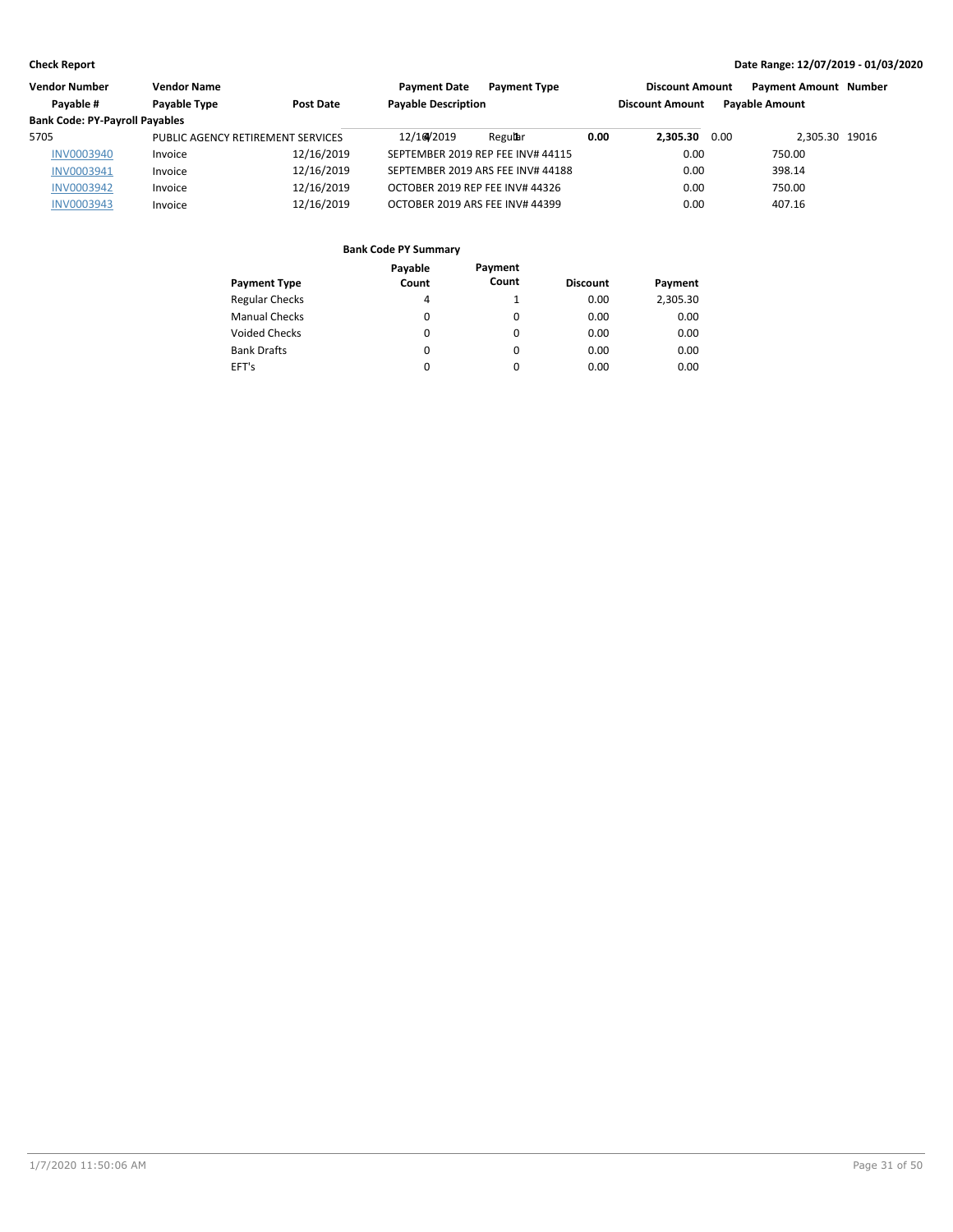| <b>Vendor Number</b>                  | Vendor Name                       |            | <b>Payment Date</b>        | <b>Payment Type</b>               |      | <b>Discount Amount</b> | <b>Payment Amount Number</b> |  |
|---------------------------------------|-----------------------------------|------------|----------------------------|-----------------------------------|------|------------------------|------------------------------|--|
| Payable #                             | Payable Type                      | Post Date  | <b>Payable Description</b> |                                   |      | <b>Discount Amount</b> | <b>Pavable Amount</b>        |  |
| <b>Bank Code: PY-Payroll Payables</b> |                                   |            |                            |                                   |      |                        |                              |  |
| 5705                                  | PUBLIC AGENCY RETIREMENT SERVICES |            | 12/16/2019                 | Regular                           | 0.00 | 2.305.30 0.00          | 2.305.30 19016               |  |
| <b>INV0003940</b>                     | Invoice                           | 12/16/2019 |                            | SEPTEMBER 2019 REP FEE INV# 44115 |      | 0.00                   | 750.00                       |  |
| INV0003941                            | Invoice                           | 12/16/2019 |                            | SEPTEMBER 2019 ARS FEE INV# 44188 |      | 0.00                   | 398.14                       |  |
| <b>INV0003942</b>                     | Invoice                           | 12/16/2019 |                            | OCTOBER 2019 REP FEE INV# 44326   |      | 0.00                   | 750.00                       |  |
| <b>INV0003943</b>                     | Invoice                           | 12/16/2019 |                            | OCTOBER 2019 ARS FEE INV# 44399   |      | 0.00                   | 407.16                       |  |

| Payable | Payment    |       | Payment                 |
|---------|------------|-------|-------------------------|
|         |            |       |                         |
|         |            |       | 2,305.30                |
| 0       | 0          | 0.00  | 0.00                    |
| 0       | $\Omega$   | 0.00  | 0.00                    |
| 0       | $\Omega$   | 0.00  | 0.00                    |
| 0       | $\Omega$   | 0.00  | 0.00                    |
|         | Count<br>4 | Count | <b>Discount</b><br>0.00 |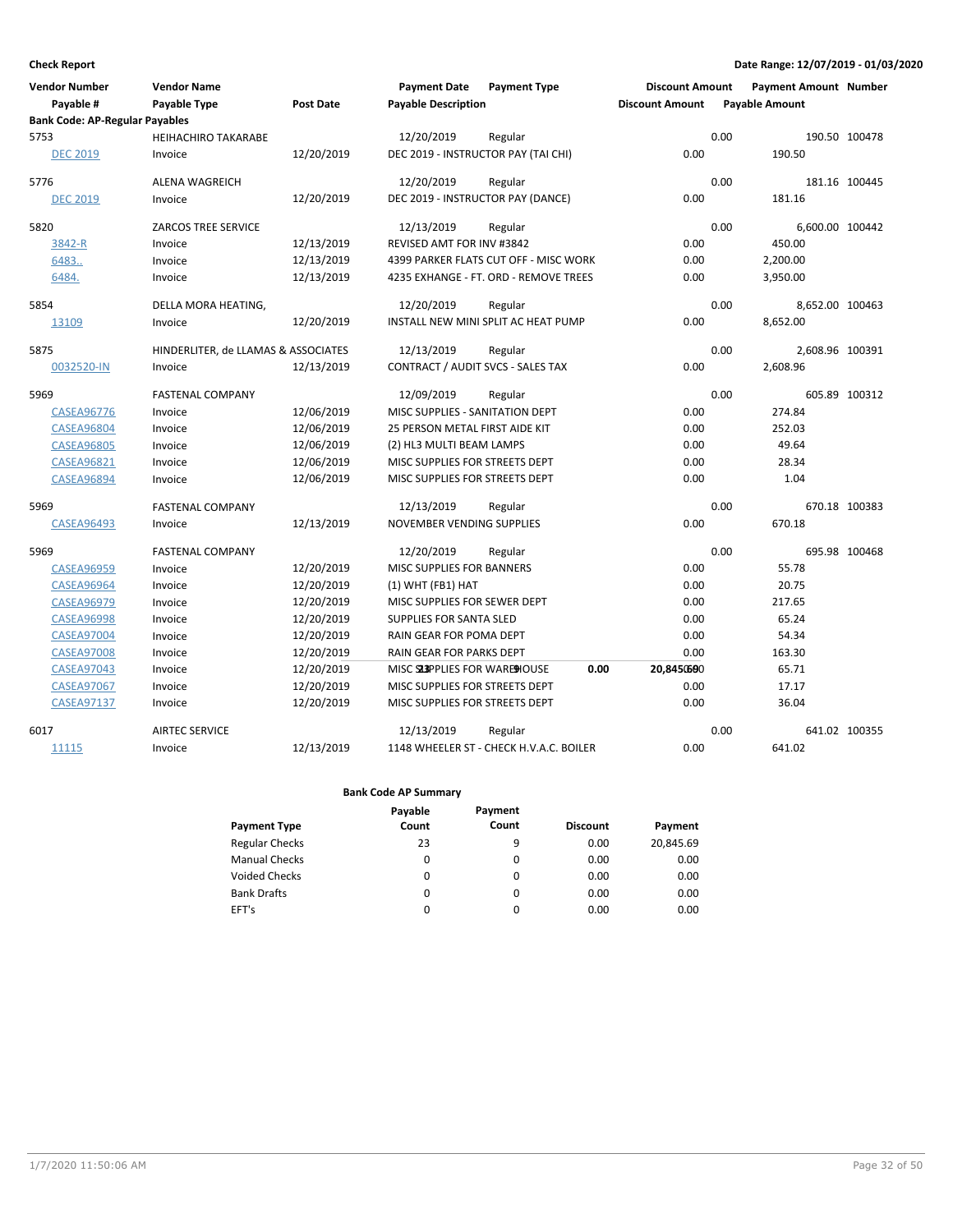| <b>Vendor Number</b><br>Payable #     | <b>Vendor Name</b><br>Payable Type  | <b>Post Date</b> | <b>Payment Date</b><br><b>Payable Description</b> | <b>Payment Type</b>                     | <b>Discount Amount</b><br><b>Discount Amount</b> |      | <b>Payment Amount Number</b><br><b>Payable Amount</b> |               |
|---------------------------------------|-------------------------------------|------------------|---------------------------------------------------|-----------------------------------------|--------------------------------------------------|------|-------------------------------------------------------|---------------|
| <b>Bank Code: AP-Regular Payables</b> |                                     |                  |                                                   |                                         |                                                  |      |                                                       |               |
| 5753                                  | <b>HEIHACHIRO TAKARABE</b>          |                  | 12/20/2019                                        | Regular                                 |                                                  | 0.00 |                                                       | 190.50 100478 |
| <b>DEC 2019</b>                       | Invoice                             | 12/20/2019       | DEC 2019 - INSTRUCTOR PAY (TAI CHI)               |                                         | 0.00                                             |      | 190.50                                                |               |
| 5776                                  | <b>ALENA WAGREICH</b>               |                  | 12/20/2019                                        | Regular                                 |                                                  | 0.00 |                                                       | 181.16 100445 |
| <b>DEC 2019</b>                       | Invoice                             | 12/20/2019       | DEC 2019 - INSTRUCTOR PAY (DANCE)                 |                                         | 0.00                                             |      | 181.16                                                |               |
| 5820                                  | <b>ZARCOS TREE SERVICE</b>          |                  | 12/13/2019                                        | Regular                                 |                                                  | 0.00 | 6,600.00 100442                                       |               |
| 3842-R                                | Invoice                             | 12/13/2019       | REVISED AMT FOR INV #3842                         |                                         | 0.00                                             |      | 450.00                                                |               |
| 6483.                                 | Invoice                             | 12/13/2019       |                                                   | 4399 PARKER FLATS CUT OFF - MISC WORK   | 0.00                                             |      | 2,200.00                                              |               |
| 6484.                                 | Invoice                             | 12/13/2019       |                                                   | 4235 EXHANGE - FT. ORD - REMOVE TREES   | 0.00                                             |      | 3,950.00                                              |               |
| 5854                                  | DELLA MORA HEATING,                 |                  | 12/20/2019                                        | Regular                                 |                                                  | 0.00 | 8,652.00 100463                                       |               |
| 13109                                 | Invoice                             | 12/20/2019       |                                                   | INSTALL NEW MINI SPLIT AC HEAT PUMP     | 0.00                                             |      | 8,652.00                                              |               |
| 5875                                  | HINDERLITER, de LLAMAS & ASSOCIATES |                  | 12/13/2019                                        | Regular                                 |                                                  | 0.00 | 2,608.96 100391                                       |               |
| 0032520-IN                            | Invoice                             | 12/13/2019       | CONTRACT / AUDIT SVCS - SALES TAX                 |                                         | 0.00                                             |      | 2,608.96                                              |               |
| 5969                                  | <b>FASTENAL COMPANY</b>             |                  | 12/09/2019                                        | Regular                                 |                                                  | 0.00 |                                                       | 605.89 100312 |
| <b>CASEA96776</b>                     | Invoice                             | 12/06/2019       | MISC SUPPLIES - SANITATION DEPT                   |                                         | 0.00                                             |      | 274.84                                                |               |
| <b>CASEA96804</b>                     | Invoice                             | 12/06/2019       | 25 PERSON METAL FIRST AIDE KIT                    |                                         | 0.00                                             |      | 252.03                                                |               |
| <b>CASEA96805</b>                     | Invoice                             | 12/06/2019       | (2) HL3 MULTI BEAM LAMPS                          |                                         | 0.00                                             |      | 49.64                                                 |               |
| <b>CASEA96821</b>                     | Invoice                             | 12/06/2019       | MISC SUPPLIES FOR STREETS DEPT                    |                                         | 0.00                                             |      | 28.34                                                 |               |
| <b>CASEA96894</b>                     | Invoice                             | 12/06/2019       | MISC SUPPLIES FOR STREETS DEPT                    |                                         | 0.00                                             |      | 1.04                                                  |               |
| 5969                                  | <b>FASTENAL COMPANY</b>             |                  | 12/13/2019                                        | Regular                                 |                                                  | 0.00 |                                                       | 670.18 100383 |
| <b>CASEA96493</b>                     | Invoice                             | 12/13/2019       | <b>NOVEMBER VENDING SUPPLIES</b>                  |                                         | 0.00                                             |      | 670.18                                                |               |
| 5969                                  | <b>FASTENAL COMPANY</b>             |                  | 12/20/2019                                        | Regular                                 |                                                  | 0.00 |                                                       | 695.98 100468 |
| <b>CASEA96959</b>                     | Invoice                             | 12/20/2019       | MISC SUPPLIES FOR BANNERS                         |                                         | 0.00                                             |      | 55.78                                                 |               |
| <b>CASEA96964</b>                     | Invoice                             | 12/20/2019       | $(1)$ WHT (FB1) HAT                               |                                         | 0.00                                             |      | 20.75                                                 |               |
| <b>CASEA96979</b>                     | Invoice                             | 12/20/2019       | MISC SUPPLIES FOR SEWER DEPT                      |                                         | 0.00                                             |      | 217.65                                                |               |
| <b>CASEA96998</b>                     | Invoice                             | 12/20/2019       | SUPPLIES FOR SANTA SLED                           |                                         | 0.00                                             |      | 65.24                                                 |               |
| <b>CASEA97004</b>                     | Invoice                             | 12/20/2019       | RAIN GEAR FOR POMA DEPT                           |                                         | 0.00                                             |      | 54.34                                                 |               |
| <b>CASEA97008</b>                     | Invoice                             | 12/20/2019       | RAIN GEAR FOR PARKS DEPT                          |                                         | 0.00                                             |      | 163.30                                                |               |
| <b>CASEA97043</b>                     | Invoice                             | 12/20/2019       | MISC SLIPPLIES FOR WARE HOUSE                     | 0.00                                    | 20,8450600                                       |      | 65.71                                                 |               |
| <b>CASEA97067</b>                     | Invoice                             | 12/20/2019       | MISC SUPPLIES FOR STREETS DEPT                    |                                         | 0.00                                             |      | 17.17                                                 |               |
| <b>CASEA97137</b>                     | Invoice                             | 12/20/2019       | MISC SUPPLIES FOR STREETS DEPT                    |                                         | 0.00                                             |      | 36.04                                                 |               |
| 6017                                  | <b>AIRTEC SERVICE</b>               |                  | 12/13/2019                                        | Regular                                 |                                                  | 0.00 |                                                       | 641.02 100355 |
| 11115                                 | Invoice                             | 12/13/2019       |                                                   | 1148 WHEELER ST - CHECK H.V.A.C. BOILER | 0.00                                             |      | 641.02                                                |               |

|                       | Payable  | Payment  |                 |           |
|-----------------------|----------|----------|-----------------|-----------|
| <b>Payment Type</b>   | Count    | Count    | <b>Discount</b> | Payment   |
| <b>Regular Checks</b> | 23       | 9        | 0.00            | 20,845.69 |
| <b>Manual Checks</b>  | $\Omega$ | 0        | 0.00            | 0.00      |
| Voided Checks         | $\Omega$ | 0        | 0.00            | 0.00      |
| <b>Bank Drafts</b>    | 0        | 0        | 0.00            | 0.00      |
| EFT's                 | 0        | $\Omega$ | 0.00            | 0.00      |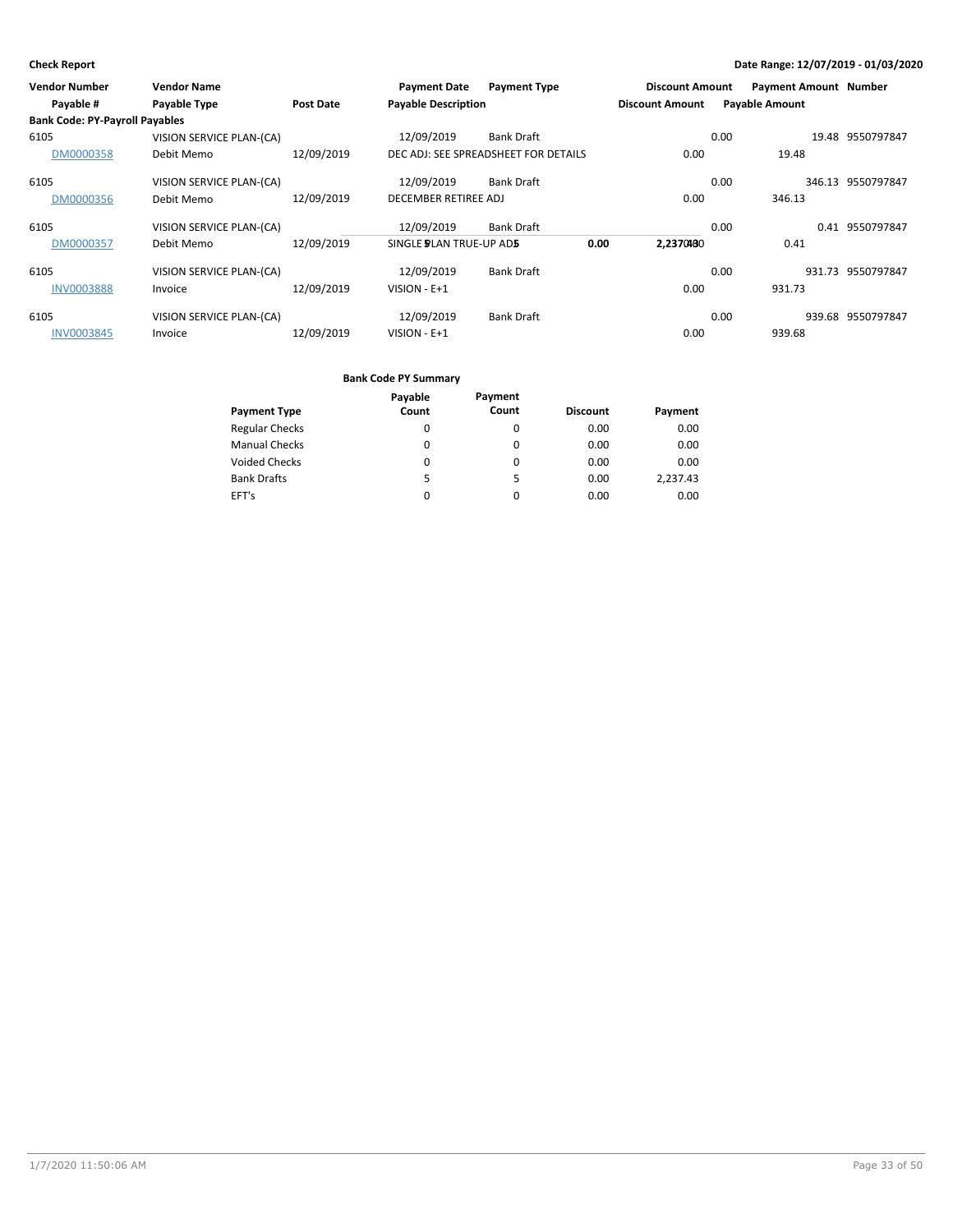| <b>Vendor Number</b>                  | <b>Vendor Name</b>       |                  | <b>Payment Date</b>            | <b>Payment Type</b>                  | <b>Discount Amount</b> |                       | <b>Payment Amount Number</b> |                   |
|---------------------------------------|--------------------------|------------------|--------------------------------|--------------------------------------|------------------------|-----------------------|------------------------------|-------------------|
| Payable #                             | Payable Type             | <b>Post Date</b> | <b>Payable Description</b>     |                                      | <b>Discount Amount</b> | <b>Payable Amount</b> |                              |                   |
| <b>Bank Code: PY-Payroll Payables</b> |                          |                  |                                |                                      |                        |                       |                              |                   |
| 6105                                  | VISION SERVICE PLAN-(CA) |                  | 12/09/2019                     | <b>Bank Draft</b>                    |                        | 0.00                  |                              | 19.48 9550797847  |
| DM0000358                             | Debit Memo               | 12/09/2019       |                                | DEC ADJ: SEE SPREADSHEET FOR DETAILS | 0.00                   |                       | 19.48                        |                   |
| 6105                                  | VISION SERVICE PLAN-(CA) |                  | 12/09/2019                     | <b>Bank Draft</b>                    |                        | 0.00                  |                              | 346.13 9550797847 |
| DM0000356                             | Debit Memo               | 12/09/2019       | DECEMBER RETIREE ADJ           |                                      | 0.00                   |                       | 346.13                       |                   |
| 6105                                  | VISION SERVICE PLAN-(CA) |                  | 12/09/2019                     | <b>Bank Draft</b>                    |                        | 0.00                  |                              | 0.41 9550797847   |
| DM0000357                             | Debit Memo               | 12/09/2019       | SINGLE <b>DEAN TRUE-UP ADS</b> |                                      | 0.00<br>2.2370480      |                       | 0.41                         |                   |
| 6105                                  | VISION SERVICE PLAN-(CA) |                  | 12/09/2019                     | <b>Bank Draft</b>                    |                        | 0.00                  |                              | 931.73 9550797847 |
| <b>INV0003888</b>                     | Invoice                  | 12/09/2019       | VISION - E+1                   |                                      | 0.00                   |                       | 931.73                       |                   |
| 6105                                  | VISION SERVICE PLAN-(CA) |                  | 12/09/2019                     | <b>Bank Draft</b>                    |                        | 0.00                  | 939.68                       | 9550797847        |
| <b>INV0003845</b>                     | Invoice                  | 12/09/2019       | VISION - E+1                   |                                      | 0.00                   |                       | 939.68                       |                   |

|                       | Payable | Payment |                 |          |
|-----------------------|---------|---------|-----------------|----------|
| <b>Payment Type</b>   | Count   | Count   | <b>Discount</b> | Payment  |
| <b>Regular Checks</b> | 0       | 0       | 0.00            | 0.00     |
| <b>Manual Checks</b>  | 0       | 0       | 0.00            | 0.00     |
| <b>Voided Checks</b>  | 0       | 0       | 0.00            | 0.00     |
| <b>Bank Drafts</b>    | 5.      | 5       | 0.00            | 2,237.43 |
| EFT's                 | 0       | 0       | 0.00            | 0.00     |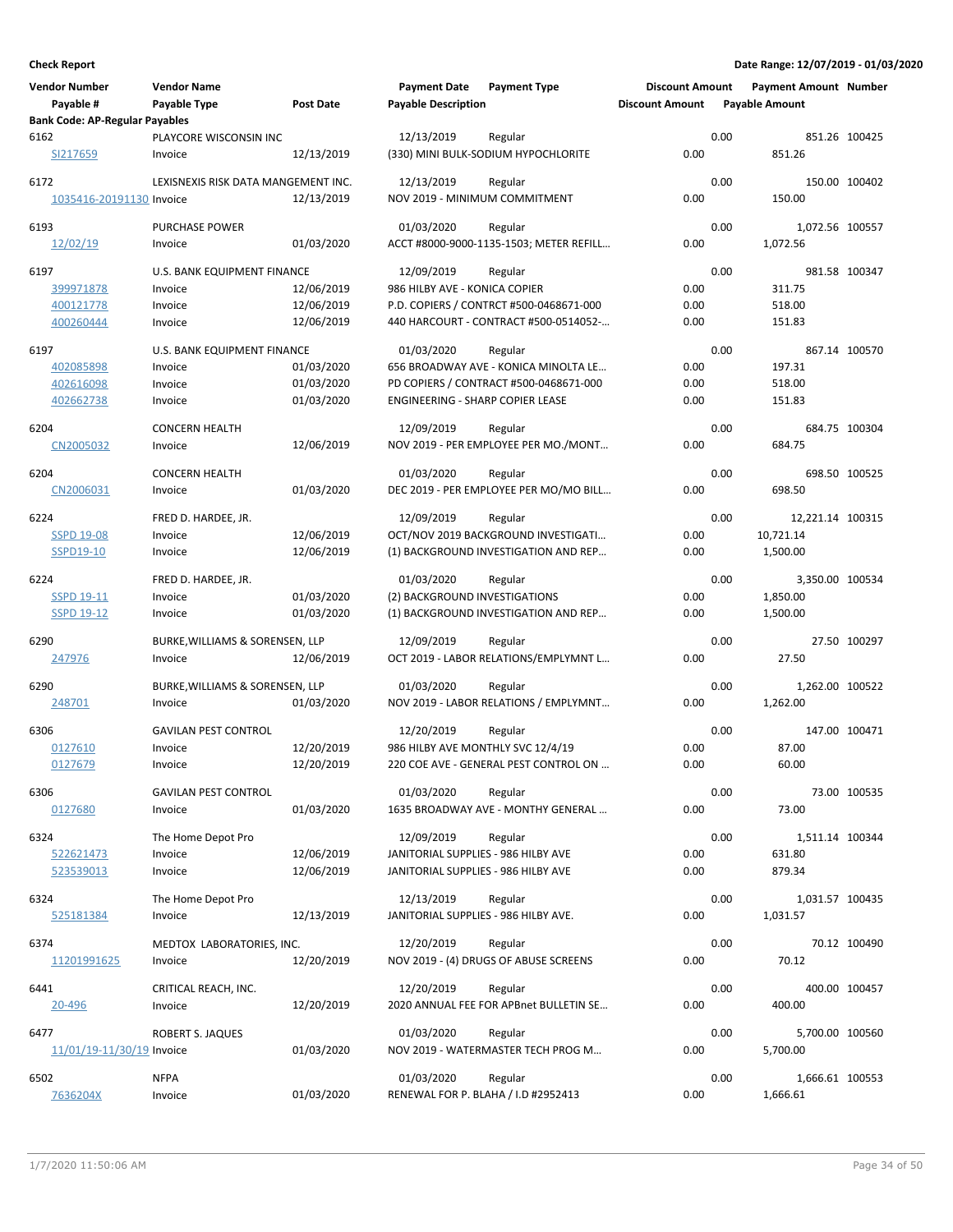| <b>Vendor Number</b>                               | <b>Vendor Name</b>                  |                  | <b>Payment Date</b>                  | <b>Payment Type</b>                     | <b>Discount Amount</b> |      | <b>Payment Amount Number</b> |               |
|----------------------------------------------------|-------------------------------------|------------------|--------------------------------------|-----------------------------------------|------------------------|------|------------------------------|---------------|
| Payable #<br><b>Bank Code: AP-Regular Payables</b> | Payable Type                        | <b>Post Date</b> | <b>Payable Description</b>           |                                         | <b>Discount Amount</b> |      | <b>Payable Amount</b>        |               |
| 6162                                               | PLAYCORE WISCONSIN INC              |                  | 12/13/2019                           | Regular                                 |                        | 0.00 |                              | 851.26 100425 |
| SI217659                                           | Invoice                             | 12/13/2019       |                                      | (330) MINI BULK-SODIUM HYPOCHLORITE     | 0.00                   |      | 851.26                       |               |
| 6172                                               | LEXISNEXIS RISK DATA MANGEMENT INC. |                  | 12/13/2019                           | Regular                                 |                        | 0.00 |                              | 150.00 100402 |
| 1035416-20191130 Invoice                           |                                     | 12/13/2019       | NOV 2019 - MINIMUM COMMITMENT        |                                         | 0.00                   |      | 150.00                       |               |
| 6193                                               | <b>PURCHASE POWER</b>               |                  | 01/03/2020                           | Regular                                 |                        | 0.00 | 1,072.56 100557              |               |
| 12/02/19                                           | Invoice                             | 01/03/2020       |                                      | ACCT #8000-9000-1135-1503; METER REFILL | 0.00                   |      | 1,072.56                     |               |
| 6197                                               | U.S. BANK EQUIPMENT FINANCE         |                  | 12/09/2019                           | Regular                                 |                        | 0.00 |                              | 981.58 100347 |
| 399971878                                          | Invoice                             | 12/06/2019       | 986 HILBY AVE - KONICA COPIER        |                                         | 0.00                   |      | 311.75                       |               |
| 400121778                                          | Invoice                             | 12/06/2019       |                                      | P.D. COPIERS / CONTRCT #500-0468671-000 | 0.00                   |      | 518.00                       |               |
| 400260444                                          | Invoice                             | 12/06/2019       |                                      | 440 HARCOURT - CONTRACT #500-0514052-   | 0.00                   |      | 151.83                       |               |
| 6197                                               | U.S. BANK EQUIPMENT FINANCE         |                  | 01/03/2020                           | Regular                                 |                        | 0.00 |                              | 867.14 100570 |
| 402085898                                          | Invoice                             | 01/03/2020       |                                      | 656 BROADWAY AVE - KONICA MINOLTA LE    | 0.00                   |      | 197.31                       |               |
| 402616098                                          | Invoice                             | 01/03/2020       |                                      | PD COPIERS / CONTRACT #500-0468671-000  | 0.00                   |      | 518.00                       |               |
| 402662738                                          | Invoice                             | 01/03/2020       | ENGINEERING - SHARP COPIER LEASE     |                                         | 0.00                   |      | 151.83                       |               |
| 6204                                               | <b>CONCERN HEALTH</b>               |                  | 12/09/2019                           | Regular                                 |                        | 0.00 |                              | 684.75 100304 |
| CN2005032                                          | Invoice                             | 12/06/2019       |                                      | NOV 2019 - PER EMPLOYEE PER MO./MONT    | 0.00                   |      | 684.75                       |               |
| 6204                                               | <b>CONCERN HEALTH</b>               |                  | 01/03/2020                           | Regular                                 |                        | 0.00 |                              | 698.50 100525 |
| CN2006031                                          | Invoice                             | 01/03/2020       |                                      | DEC 2019 - PER EMPLOYEE PER MO/MO BILL  | 0.00                   |      | 698.50                       |               |
| 6224                                               | FRED D. HARDEE, JR.                 |                  | 12/09/2019                           | Regular                                 |                        | 0.00 | 12,221.14 100315             |               |
| <b>SSPD 19-08</b>                                  | Invoice                             | 12/06/2019       |                                      | OCT/NOV 2019 BACKGROUND INVESTIGATI     | 0.00                   |      | 10,721.14                    |               |
| SSPD19-10                                          | Invoice                             | 12/06/2019       |                                      | (1) BACKGROUND INVESTIGATION AND REP    | 0.00                   |      | 1,500.00                     |               |
| 6224                                               | FRED D. HARDEE, JR.                 |                  | 01/03/2020                           | Regular                                 |                        | 0.00 | 3,350.00 100534              |               |
| <b>SSPD 19-11</b>                                  | Invoice                             | 01/03/2020       | (2) BACKGROUND INVESTIGATIONS        |                                         | 0.00                   |      | 1,850.00                     |               |
| <b>SSPD 19-12</b>                                  | Invoice                             | 01/03/2020       |                                      | (1) BACKGROUND INVESTIGATION AND REP    | 0.00                   |      | 1,500.00                     |               |
| 6290                                               | BURKE, WILLIAMS & SORENSEN, LLP     |                  | 12/09/2019                           | Regular                                 |                        | 0.00 |                              | 27.50 100297  |
| 247976                                             | Invoice                             | 12/06/2019       |                                      | OCT 2019 - LABOR RELATIONS/EMPLYMNT L   | 0.00                   |      | 27.50                        |               |
| 6290                                               | BURKE, WILLIAMS & SORENSEN, LLP     |                  | 01/03/2020                           | Regular                                 |                        | 0.00 | 1,262.00 100522              |               |
| 248701                                             | Invoice                             | 01/03/2020       |                                      | NOV 2019 - LABOR RELATIONS / EMPLYMNT   | 0.00                   |      | 1,262.00                     |               |
|                                                    |                                     |                  |                                      |                                         |                        |      |                              |               |
| 6306                                               | <b>GAVILAN PEST CONTROL</b>         |                  | 12/20/2019                           | Regular                                 |                        | 0.00 |                              | 147.00 100471 |
| 0127610                                            | Invoice                             | 12/20/2019       | 986 HILBY AVE MONTHLY SVC 12/4/19    |                                         | 0.00                   |      | 87.00                        |               |
| 0127679                                            | Invoice                             | 12/20/2019       |                                      | 220 COE AVE - GENERAL PEST CONTROL ON   | 0.00                   |      | 60.00                        |               |
| 6306                                               | <b>GAVILAN PEST CONTROL</b>         |                  | 01/03/2020                           | Regular                                 |                        | 0.00 |                              | 73.00 100535  |
| 0127680                                            | Invoice                             | 01/03/2020       |                                      | 1635 BROADWAY AVE - MONTHY GENERAL      | 0.00                   |      | 73.00                        |               |
| 6324                                               | The Home Depot Pro                  |                  | 12/09/2019                           | Regular                                 |                        | 0.00 | 1,511.14 100344              |               |
| 522621473                                          | Invoice                             | 12/06/2019       | JANITORIAL SUPPLIES - 986 HILBY AVE  |                                         | 0.00                   |      | 631.80                       |               |
| 523539013                                          | Invoice                             | 12/06/2019       | JANITORIAL SUPPLIES - 986 HILBY AVE  |                                         | 0.00                   |      | 879.34                       |               |
| 6324                                               | The Home Depot Pro                  |                  | 12/13/2019                           | Regular                                 |                        | 0.00 | 1,031.57 100435              |               |
| 525181384                                          | Invoice                             | 12/13/2019       | JANITORIAL SUPPLIES - 986 HILBY AVE. |                                         | 0.00                   |      | 1,031.57                     |               |
| 6374                                               | MEDTOX LABORATORIES, INC.           |                  | 12/20/2019                           | Regular                                 |                        | 0.00 |                              | 70.12 100490  |
| 11201991625                                        | Invoice                             | 12/20/2019       |                                      | NOV 2019 - (4) DRUGS OF ABUSE SCREENS   | 0.00                   |      | 70.12                        |               |
| 6441                                               |                                     |                  | 12/20/2019                           | Regular                                 |                        | 0.00 |                              | 400.00 100457 |
| 20-496                                             | CRITICAL REACH, INC.<br>Invoice     | 12/20/2019       |                                      | 2020 ANNUAL FEE FOR APBnet BULLETIN SE  | 0.00                   |      | 400.00                       |               |
|                                                    |                                     |                  |                                      |                                         |                        |      |                              |               |
| 6477                                               | ROBERT S. JAQUES                    |                  | 01/03/2020                           | Regular                                 |                        | 0.00 | 5,700.00 100560              |               |
| 11/01/19-11/30/19 Invoice                          |                                     | 01/03/2020       |                                      | NOV 2019 - WATERMASTER TECH PROG M      | 0.00                   |      | 5,700.00                     |               |
| 6502                                               | <b>NFPA</b>                         |                  | 01/03/2020                           | Regular                                 |                        | 0.00 | 1,666.61 100553              |               |
| 7636204X                                           | Invoice                             | 01/03/2020       |                                      | RENEWAL FOR P. BLAHA / I.D #2952413     | 0.00                   |      | 1,666.61                     |               |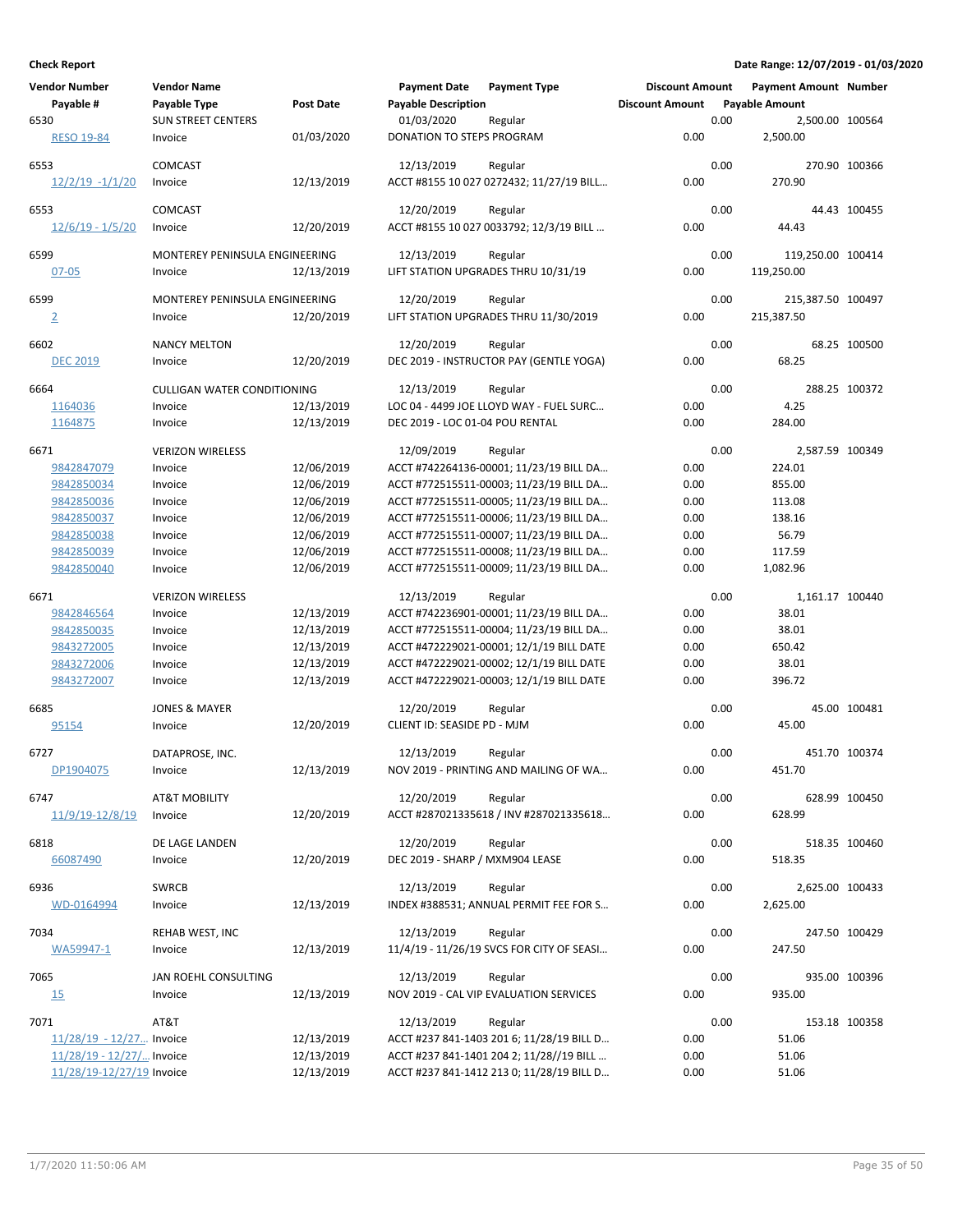| <b>Vendor Number</b>        | <b>Vendor Name</b>                 |                  | <b>Payment Date</b>             | <b>Payment Type</b>                       | <b>Discount Amount</b> |      | <b>Payment Amount Number</b> |               |
|-----------------------------|------------------------------------|------------------|---------------------------------|-------------------------------------------|------------------------|------|------------------------------|---------------|
| Payable #                   | Payable Type                       | <b>Post Date</b> | <b>Payable Description</b>      |                                           | <b>Discount Amount</b> |      | <b>Payable Amount</b>        |               |
| 6530                        | <b>SUN STREET CENTERS</b>          |                  | 01/03/2020                      | Regular                                   |                        | 0.00 | 2,500.00 100564              |               |
| <b>RESO 19-84</b>           | Invoice                            | 01/03/2020       | DONATION TO STEPS PROGRAM       |                                           | 0.00                   |      | 2,500.00                     |               |
|                             |                                    |                  |                                 |                                           |                        |      |                              |               |
| 6553                        | <b>COMCAST</b>                     |                  | 12/13/2019                      | Regular                                   |                        | 0.00 |                              | 270.90 100366 |
| $12/2/19 - 1/1/20$          | Invoice                            | 12/13/2019       |                                 | ACCT #8155 10 027 0272432; 11/27/19 BILL  | 0.00                   |      | 270.90                       |               |
|                             |                                    |                  |                                 |                                           |                        |      |                              |               |
| 6553                        | <b>COMCAST</b>                     |                  | 12/20/2019                      | Regular                                   |                        | 0.00 |                              | 44.43 100455  |
| $12/6/19 - 1/5/20$          | Invoice                            | 12/20/2019       |                                 | ACCT #8155 10 027 0033792; 12/3/19 BILL   | 0.00                   |      | 44.43                        |               |
| 6599                        | MONTEREY PENINSULA ENGINEERING     |                  | 12/13/2019                      | Regular                                   |                        | 0.00 | 119,250.00 100414            |               |
| $07 - 05$                   | Invoice                            | 12/13/2019       |                                 | LIFT STATION UPGRADES THRU 10/31/19       | 0.00                   |      | 119,250.00                   |               |
|                             |                                    |                  |                                 |                                           |                        |      |                              |               |
| 6599                        | MONTEREY PENINSULA ENGINEERING     |                  | 12/20/2019                      | Regular                                   |                        | 0.00 | 215,387.50 100497            |               |
| $\overline{2}$              | Invoice                            | 12/20/2019       |                                 | LIFT STATION UPGRADES THRU 11/30/2019     | 0.00                   |      | 215,387.50                   |               |
|                             |                                    |                  |                                 |                                           |                        |      |                              |               |
| 6602                        | <b>NANCY MELTON</b>                |                  | 12/20/2019                      | Regular                                   |                        | 0.00 |                              | 68.25 100500  |
| <b>DEC 2019</b>             | Invoice                            | 12/20/2019       |                                 | DEC 2019 - INSTRUCTOR PAY (GENTLE YOGA)   | 0.00                   |      | 68.25                        |               |
| 6664                        | <b>CULLIGAN WATER CONDITIONING</b> |                  | 12/13/2019                      | Regular                                   |                        | 0.00 |                              | 288.25 100372 |
| 1164036                     | Invoice                            | 12/13/2019       |                                 | LOC 04 - 4499 JOE LLOYD WAY - FUEL SURC   | 0.00                   |      | 4.25                         |               |
| 1164875                     | Invoice                            | 12/13/2019       | DEC 2019 - LOC 01-04 POU RENTAL |                                           | 0.00                   |      | 284.00                       |               |
|                             |                                    |                  |                                 |                                           |                        |      |                              |               |
| 6671                        | <b>VERIZON WIRELESS</b>            |                  | 12/09/2019                      | Regular                                   |                        | 0.00 | 2,587.59 100349              |               |
| 9842847079                  | Invoice                            | 12/06/2019       |                                 | ACCT #742264136-00001; 11/23/19 BILL DA   | 0.00                   |      | 224.01                       |               |
| 9842850034                  | Invoice                            | 12/06/2019       |                                 | ACCT #772515511-00003; 11/23/19 BILL DA   | 0.00                   |      | 855.00                       |               |
| 9842850036                  | Invoice                            | 12/06/2019       |                                 | ACCT #772515511-00005; 11/23/19 BILL DA   | 0.00                   |      | 113.08                       |               |
| 9842850037                  | Invoice                            | 12/06/2019       |                                 | ACCT #772515511-00006; 11/23/19 BILL DA   | 0.00                   |      | 138.16                       |               |
| 9842850038                  | Invoice                            | 12/06/2019       |                                 | ACCT #772515511-00007; 11/23/19 BILL DA   | 0.00                   |      | 56.79                        |               |
| 9842850039                  | Invoice                            | 12/06/2019       |                                 | ACCT #772515511-00008; 11/23/19 BILL DA   | 0.00                   |      | 117.59                       |               |
| 9842850040                  | Invoice                            | 12/06/2019       |                                 | ACCT #772515511-00009; 11/23/19 BILL DA   | 0.00                   |      | 1,082.96                     |               |
|                             |                                    |                  |                                 |                                           |                        |      |                              |               |
| 6671                        | <b>VERIZON WIRELESS</b>            |                  | 12/13/2019                      | Regular                                   |                        | 0.00 | 1,161.17 100440              |               |
| 9842846564                  | Invoice                            | 12/13/2019       |                                 | ACCT #742236901-00001; 11/23/19 BILL DA   | 0.00                   |      | 38.01                        |               |
| 9842850035                  | Invoice                            | 12/13/2019       |                                 | ACCT #772515511-00004; 11/23/19 BILL DA   | 0.00                   |      | 38.01                        |               |
| 9843272005                  | Invoice                            | 12/13/2019       |                                 | ACCT #472229021-00001; 12/1/19 BILL DATE  | 0.00                   |      | 650.42                       |               |
| 9843272006                  | Invoice                            | 12/13/2019       |                                 | ACCT #472229021-00002; 12/1/19 BILL DATE  | 0.00                   |      | 38.01                        |               |
| 9843272007                  | Invoice                            | 12/13/2019       |                                 | ACCT #472229021-00003; 12/1/19 BILL DATE  | 0.00                   |      | 396.72                       |               |
|                             |                                    |                  |                                 |                                           |                        |      |                              |               |
| 6685                        | <b>JONES &amp; MAYER</b>           |                  | 12/20/2019                      | Regular                                   |                        | 0.00 |                              | 45.00 100481  |
| 95154                       | Invoice                            | 12/20/2019       | CLIENT ID: SEASIDE PD - MJM     |                                           | 0.00                   |      | 45.00                        |               |
| 6727                        | DATAPROSE, INC.                    |                  | 12/13/2019                      | Regular                                   |                        | 0.00 |                              | 451.70 100374 |
| DP1904075                   | Invoice                            | 12/13/2019       |                                 | NOV 2019 - PRINTING AND MAILING OF WA     | 0.00                   |      | 451.70                       |               |
|                             |                                    |                  |                                 |                                           |                        |      |                              |               |
| 6747                        | <b>AT&amp;T MOBILITY</b>           |                  | 12/20/2019                      | Regular                                   |                        | 0.00 |                              | 628.99 100450 |
| 11/9/19-12/8/19             | Invoice                            | 12/20/2019       |                                 | ACCT #287021335618 / INV #287021335618    | 0.00                   |      | 628.99                       |               |
|                             |                                    |                  |                                 |                                           |                        |      |                              |               |
| 6818                        | DE LAGE LANDEN                     |                  | 12/20/2019                      | Regular                                   |                        | 0.00 |                              | 518.35 100460 |
| 66087490                    | Invoice                            | 12/20/2019       | DEC 2019 - SHARP / MXM904 LEASE |                                           | 0.00                   |      | 518.35                       |               |
|                             |                                    |                  |                                 | Regular                                   |                        |      |                              |               |
| 6936                        | <b>SWRCB</b>                       | 12/13/2019       | 12/13/2019                      | INDEX #388531; ANNUAL PERMIT FEE FOR S    | 0.00                   | 0.00 | 2,625.00 100433<br>2,625.00  |               |
| WD-0164994                  | Invoice                            |                  |                                 |                                           |                        |      |                              |               |
| 7034                        | REHAB WEST, INC                    |                  | 12/13/2019                      | Regular                                   |                        | 0.00 |                              | 247.50 100429 |
| WA59947-1                   | Invoice                            | 12/13/2019       |                                 | 11/4/19 - 11/26/19 SVCS FOR CITY OF SEASI | 0.00                   |      | 247.50                       |               |
|                             |                                    |                  |                                 |                                           |                        |      |                              |               |
| 7065                        | JAN ROEHL CONSULTING               |                  | 12/13/2019                      | Regular                                   |                        | 0.00 |                              | 935.00 100396 |
| 15                          | Invoice                            | 12/13/2019       |                                 | NOV 2019 - CAL VIP EVALUATION SERVICES    | 0.00                   |      | 935.00                       |               |
|                             |                                    |                  |                                 |                                           |                        |      |                              |               |
| 7071                        | AT&T                               |                  | 12/13/2019                      | Regular                                   |                        | 0.00 |                              | 153.18 100358 |
| $11/28/19 - 12/27$ Invoice  |                                    | 12/13/2019       |                                 | ACCT #237 841-1403 201 6; 11/28/19 BILL D | 0.00                   |      | 51.06                        |               |
| $11/28/19 - 12/27/$ Invoice |                                    | 12/13/2019       |                                 | ACCT #237 841-1401 204 2; 11/28//19 BILL  | 0.00                   |      | 51.06                        |               |
| 11/28/19-12/27/19 Invoice   |                                    | 12/13/2019       |                                 | ACCT #237 841-1412 213 0; 11/28/19 BILL D | 0.00                   |      | 51.06                        |               |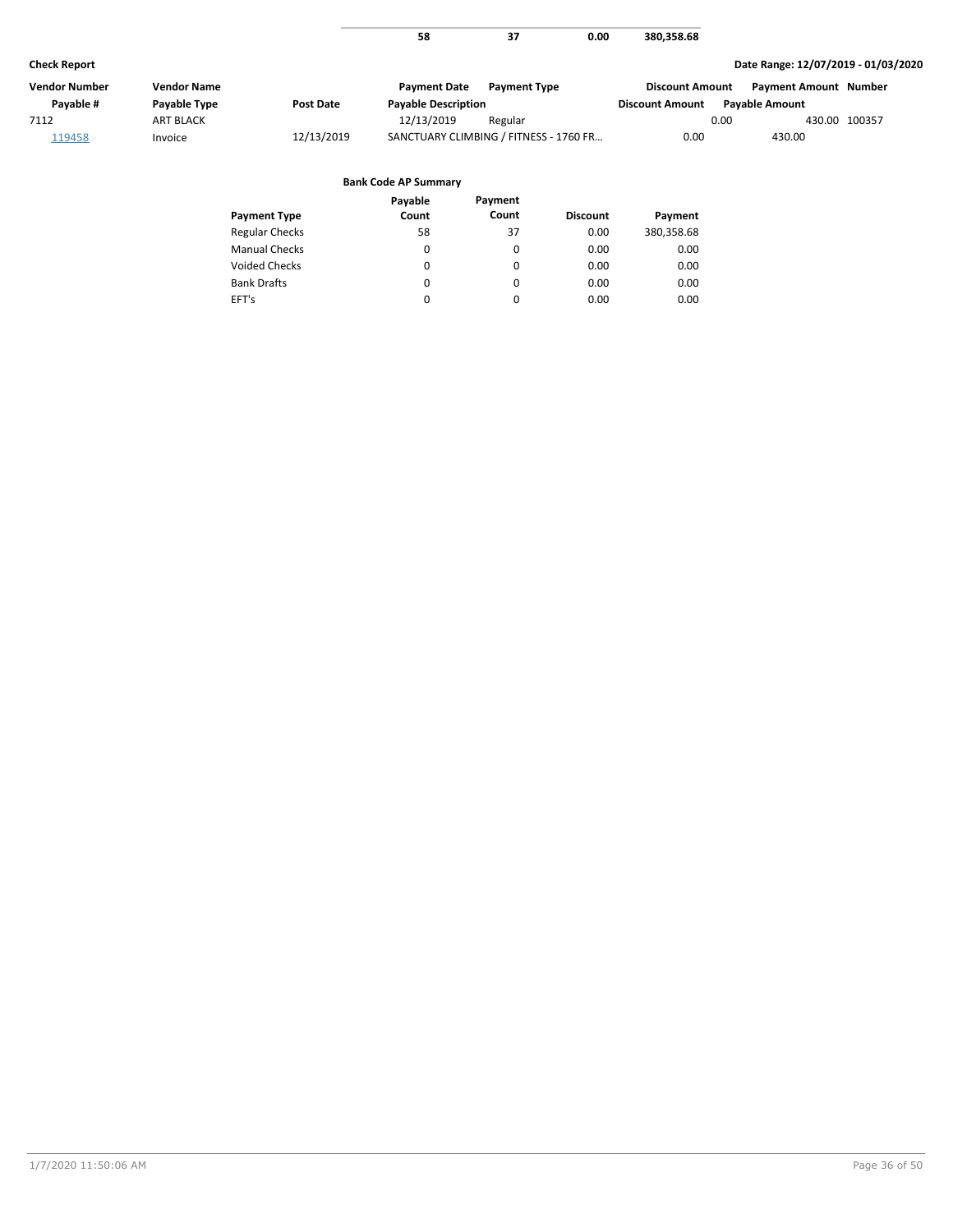|                      |                    |                       | 58                                     | 37                  | 0.00     | 380,358.68             |                                     |               |
|----------------------|--------------------|-----------------------|----------------------------------------|---------------------|----------|------------------------|-------------------------------------|---------------|
| <b>Check Report</b>  |                    |                       |                                        |                     |          |                        | Date Range: 12/07/2019 - 01/03/2020 |               |
| <b>Vendor Number</b> | <b>Vendor Name</b> |                       | <b>Payment Date</b>                    | <b>Payment Type</b> |          | <b>Discount Amount</b> | <b>Payment Amount Number</b>        |               |
| Payable #            | Payable Type       | <b>Post Date</b>      | <b>Payable Description</b>             |                     |          | <b>Discount Amount</b> | <b>Payable Amount</b>               |               |
| 7112                 | <b>ART BLACK</b>   |                       | 12/13/2019                             | Regular             |          |                        | 0.00                                | 430.00 100357 |
| 119458               | Invoice            | 12/13/2019            | SANCTUARY CLIMBING / FITNESS - 1760 FR |                     |          | 0.00                   | 430.00                              |               |
|                      |                    |                       | <b>Bank Code AP Summary</b>            |                     |          |                        |                                     |               |
|                      |                    |                       | Payable                                | Payment             |          |                        |                                     |               |
|                      |                    | <b>Payment Type</b>   | Count                                  | Count               | Discount | Payment                |                                     |               |
|                      |                    | <b>Regular Checks</b> | 58                                     | 37                  | 0.00     | 380,358.68             |                                     |               |
|                      |                    | <b>Manual Checks</b>  | 0                                      | 0                   | 0.00     | 0.00                   |                                     |               |

0 0 0

0 0 0 0.00 0.00 0.00

0.00 0.00 0.00

Voided Checks

Bank Drafts EFT's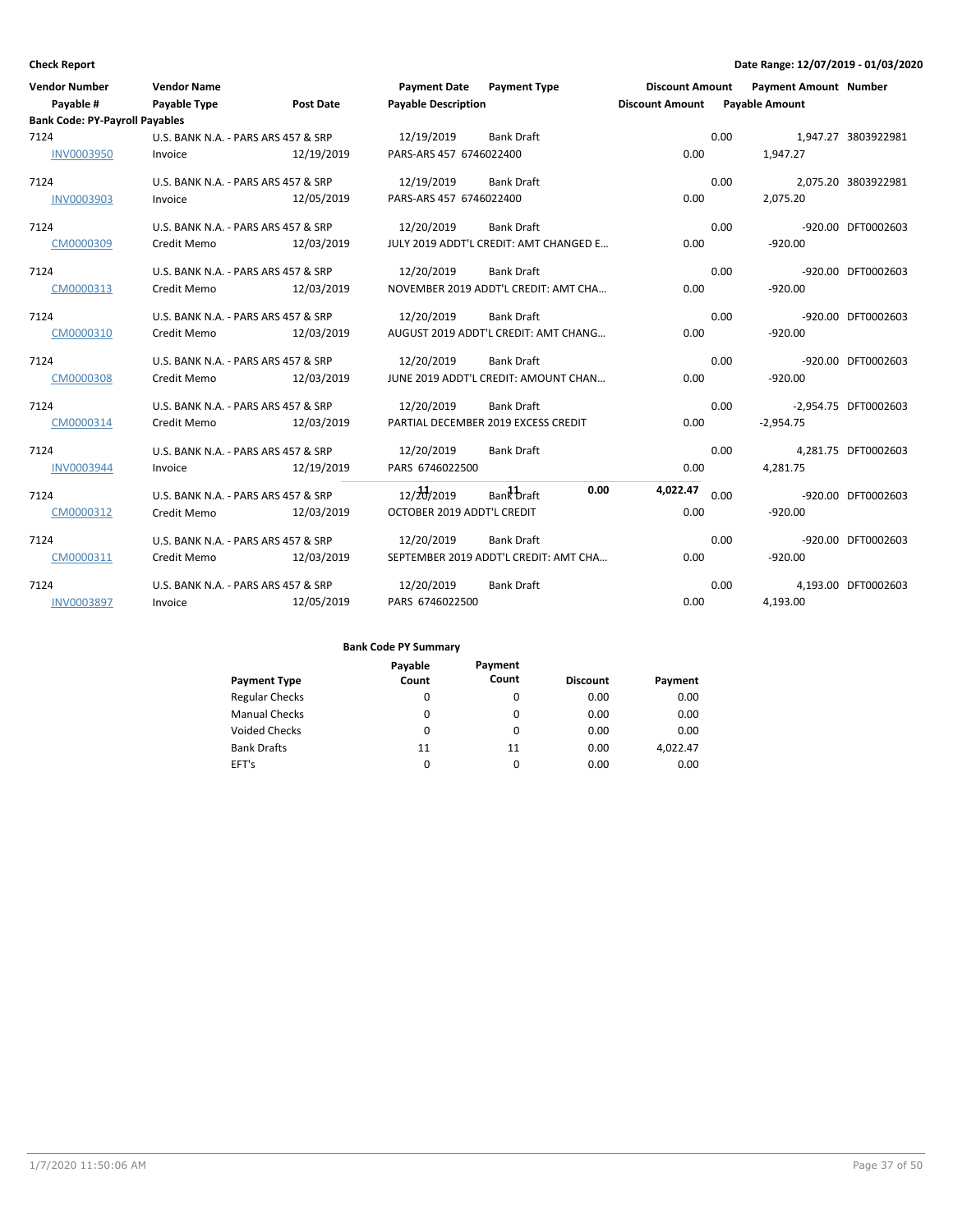| <b>Vendor Number</b>                  | <b>Vendor Name</b>                  |                  | <b>Payment Date</b>        | <b>Payment Type</b>                    | <b>Discount Amount</b> |      | <b>Payment Amount Number</b> |                      |
|---------------------------------------|-------------------------------------|------------------|----------------------------|----------------------------------------|------------------------|------|------------------------------|----------------------|
| Payable #                             | <b>Payable Type</b>                 | <b>Post Date</b> | <b>Payable Description</b> |                                        | <b>Discount Amount</b> |      | <b>Payable Amount</b>        |                      |
| <b>Bank Code: PY-Payroll Payables</b> |                                     |                  |                            |                                        |                        |      |                              |                      |
| 7124                                  | U.S. BANK N.A. - PARS ARS 457 & SRP |                  | 12/19/2019                 | <b>Bank Draft</b>                      |                        | 0.00 |                              | 1,947.27 3803922981  |
| <b>INV0003950</b>                     | Invoice                             | 12/19/2019       | PARS-ARS 457 6746022400    |                                        | 0.00                   |      | 1,947.27                     |                      |
| 7124                                  | U.S. BANK N.A. - PARS ARS 457 & SRP |                  | 12/19/2019                 | <b>Bank Draft</b>                      |                        | 0.00 |                              | 2,075.20 3803922981  |
| <b>INV0003903</b>                     | Invoice                             | 12/05/2019       | PARS-ARS 457 6746022400    |                                        | 0.00                   |      | 2,075.20                     |                      |
| 7124                                  | U.S. BANK N.A. - PARS ARS 457 & SRP |                  | 12/20/2019                 | <b>Bank Draft</b>                      |                        | 0.00 |                              | -920.00 DFT0002603   |
| CM0000309                             | Credit Memo                         | 12/03/2019       |                            | JULY 2019 ADDT'L CREDIT: AMT CHANGED E | 0.00                   |      | $-920.00$                    |                      |
| 7124                                  | U.S. BANK N.A. - PARS ARS 457 & SRP |                  | 12/20/2019                 | <b>Bank Draft</b>                      |                        | 0.00 |                              | -920.00 DFT0002603   |
| CM0000313                             | Credit Memo                         | 12/03/2019       |                            | NOVEMBER 2019 ADDT'L CREDIT: AMT CHA   | 0.00                   |      | $-920.00$                    |                      |
| 7124                                  | U.S. BANK N.A. - PARS ARS 457 & SRP |                  | 12/20/2019                 | <b>Bank Draft</b>                      |                        | 0.00 |                              | -920.00 DFT0002603   |
| CM0000310                             | Credit Memo                         | 12/03/2019       |                            | AUGUST 2019 ADDT'L CREDIT: AMT CHANG   | 0.00                   |      | $-920.00$                    |                      |
| 7124                                  | U.S. BANK N.A. - PARS ARS 457 & SRP |                  | 12/20/2019                 | <b>Bank Draft</b>                      |                        | 0.00 |                              | -920.00 DFT0002603   |
| CM0000308                             | Credit Memo                         | 12/03/2019       |                            | JUNE 2019 ADDT'L CREDIT: AMOUNT CHAN   | 0.00                   |      | $-920.00$                    |                      |
| 7124                                  | U.S. BANK N.A. - PARS ARS 457 & SRP |                  | 12/20/2019                 | <b>Bank Draft</b>                      |                        | 0.00 |                              | -2.954.75 DFT0002603 |
| CM0000314                             | Credit Memo                         | 12/03/2019       |                            | PARTIAL DECEMBER 2019 EXCESS CREDIT    | 0.00                   |      | $-2.954.75$                  |                      |
| 7124                                  | U.S. BANK N.A. - PARS ARS 457 & SRP |                  | 12/20/2019                 | <b>Bank Draft</b>                      |                        | 0.00 |                              | 4.281.75 DFT0002603  |
| <b>INV0003944</b>                     | Invoice                             | 12/19/2019       | PARS 6746022500            |                                        | 0.00                   |      | 4,281.75                     |                      |
| 7124                                  | U.S. BANK N.A. - PARS ARS 457 & SRP |                  | $12/\frac{11}{20}/2019$    | 0.00<br>Bank Draft                     | 4,022.47               | 0.00 |                              | -920.00 DFT0002603   |
| CM0000312                             | Credit Memo                         | 12/03/2019       | OCTOBER 2019 ADDT'L CREDIT |                                        | 0.00                   |      | $-920.00$                    |                      |
| 7124                                  | U.S. BANK N.A. - PARS ARS 457 & SRP |                  | 12/20/2019                 | <b>Bank Draft</b>                      |                        | 0.00 |                              | -920.00 DFT0002603   |
| CM0000311                             | Credit Memo                         | 12/03/2019       |                            | SEPTEMBER 2019 ADDT'L CREDIT: AMT CHA  | 0.00                   |      | $-920.00$                    |                      |
| 7124                                  | U.S. BANK N.A. - PARS ARS 457 & SRP |                  | 12/20/2019                 | <b>Bank Draft</b>                      |                        | 0.00 |                              | 4,193.00 DFT0002603  |
| <b>INV0003897</b>                     | Invoice                             | 12/05/2019       | PARS 6746022500            |                                        | 0.00                   |      | 4,193.00                     |                      |

|                       | Payable | Payment |                 |          |
|-----------------------|---------|---------|-----------------|----------|
| <b>Payment Type</b>   | Count   | Count   | <b>Discount</b> | Payment  |
| <b>Regular Checks</b> | 0       | 0       | 0.00            | 0.00     |
| <b>Manual Checks</b>  | 0       | 0       | 0.00            | 0.00     |
| <b>Voided Checks</b>  | 0       | 0       | 0.00            | 0.00     |
| <b>Bank Drafts</b>    | 11      | 11      | 0.00            | 4,022.47 |
| EFT's                 | 0       | 0       | 0.00            | 0.00     |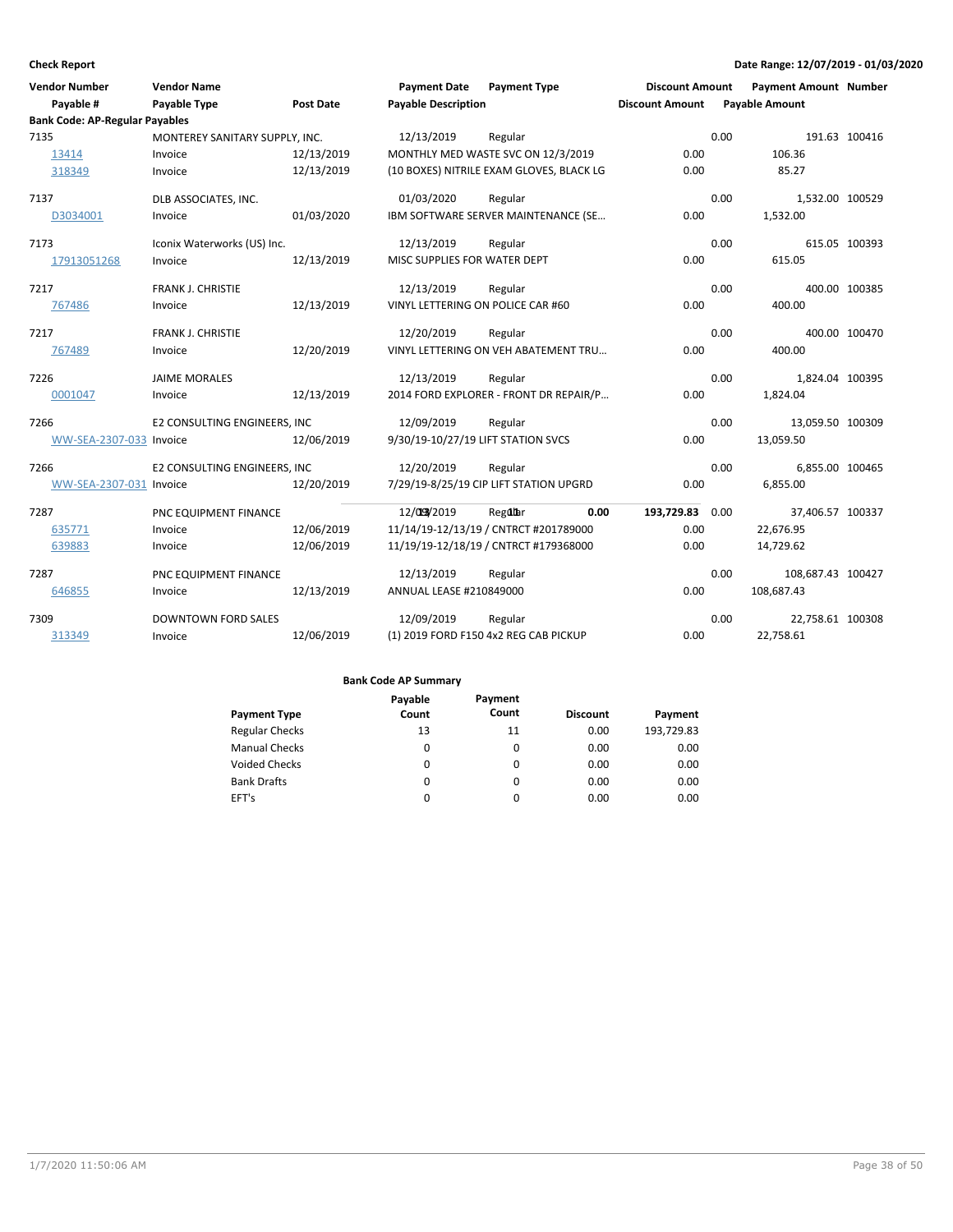| <b>Vendor Number</b>                  | <b>Vendor Name</b>             |                  | <b>Payment Date</b>                | <b>Payment Type</b>                      | <b>Discount Amount</b> |      | <b>Payment Amount Number</b> |               |
|---------------------------------------|--------------------------------|------------------|------------------------------------|------------------------------------------|------------------------|------|------------------------------|---------------|
| Payable #                             | Payable Type                   | <b>Post Date</b> | <b>Payable Description</b>         |                                          | <b>Discount Amount</b> |      | <b>Payable Amount</b>        |               |
| <b>Bank Code: AP-Regular Payables</b> |                                |                  |                                    |                                          |                        |      |                              |               |
| 7135                                  | MONTEREY SANITARY SUPPLY, INC. |                  | 12/13/2019                         | Regular                                  |                        | 0.00 |                              | 191.63 100416 |
| 13414                                 | Invoice                        | 12/13/2019       |                                    | MONTHLY MED WASTE SVC ON 12/3/2019       | 0.00                   |      | 106.36                       |               |
| 318349                                | Invoice                        | 12/13/2019       |                                    | (10 BOXES) NITRILE EXAM GLOVES, BLACK LG | 0.00                   |      | 85.27                        |               |
| 7137                                  | DLB ASSOCIATES, INC.           |                  | 01/03/2020                         | Regular                                  |                        | 0.00 | 1,532.00 100529              |               |
| D3034001                              | Invoice                        | 01/03/2020       |                                    | IBM SOFTWARE SERVER MAINTENANCE (SE      | 0.00                   |      | 1,532.00                     |               |
| 7173                                  | Iconix Waterworks (US) Inc.    |                  | 12/13/2019                         | Regular                                  |                        | 0.00 |                              | 615.05 100393 |
| 17913051268                           | Invoice                        | 12/13/2019       | MISC SUPPLIES FOR WATER DEPT       |                                          | 0.00                   |      | 615.05                       |               |
| 7217                                  | FRANK J. CHRISTIE              |                  | 12/13/2019                         | Regular                                  |                        | 0.00 |                              | 400.00 100385 |
| 767486                                | Invoice                        | 12/13/2019       | VINYL LETTERING ON POLICE CAR #60  |                                          | 0.00                   |      | 400.00                       |               |
| 7217                                  | FRANK J. CHRISTIE              |                  | 12/20/2019                         | Regular                                  |                        | 0.00 |                              | 400.00 100470 |
| 767489                                | Invoice                        | 12/20/2019       |                                    | VINYL LETTERING ON VEH ABATEMENT TRU     | 0.00                   |      | 400.00                       |               |
| 7226                                  | <b>JAIME MORALES</b>           |                  | 12/13/2019                         | Regular                                  |                        | 0.00 | 1,824.04 100395              |               |
| 0001047                               | Invoice                        | 12/13/2019       |                                    | 2014 FORD EXPLORER - FRONT DR REPAIR/P   | 0.00                   |      | 1,824.04                     |               |
| 7266                                  | E2 CONSULTING ENGINEERS, INC   |                  | 12/09/2019                         | Regular                                  |                        | 0.00 | 13,059.50 100309             |               |
| WW-SEA-2307-033 Invoice               |                                | 12/06/2019       | 9/30/19-10/27/19 LIFT STATION SVCS |                                          | 0.00                   |      | 13,059.50                    |               |
| 7266                                  | E2 CONSULTING ENGINEERS, INC   |                  | 12/20/2019                         | Regular                                  |                        | 0.00 | 6,855.00 100465              |               |
| WW-SEA-2307-031 Invoice               |                                | 12/20/2019       |                                    | 7/29/19-8/25/19 CIP LIFT STATION UPGRD   | 0.00                   |      | 6,855.00                     |               |
| 7287                                  | PNC EQUIPMENT FINANCE          |                  | 12/03/2019                         | 0.00<br>Regular                          | 193,729.83 0.00        |      | 37,406.57 100337             |               |
| 635771                                | Invoice                        | 12/06/2019       |                                    | 11/14/19-12/13/19 / CNTRCT #201789000    | 0.00                   |      | 22,676.95                    |               |
| 639883                                | Invoice                        | 12/06/2019       |                                    | 11/19/19-12/18/19 / CNTRCT #179368000    | 0.00                   |      | 14,729.62                    |               |
| 7287                                  | PNC EQUIPMENT FINANCE          |                  | 12/13/2019                         | Regular                                  |                        | 0.00 | 108,687.43 100427            |               |
| 646855                                | Invoice                        | 12/13/2019       | ANNUAL LEASE #210849000            |                                          | 0.00                   |      | 108,687.43                   |               |
| 7309                                  | <b>DOWNTOWN FORD SALES</b>     |                  | 12/09/2019                         | Regular                                  |                        | 0.00 | 22,758.61 100308             |               |
| 313349                                | Invoice                        | 12/06/2019       |                                    | (1) 2019 FORD F150 4x2 REG CAB PICKUP    | 0.00                   |      | 22,758.61                    |               |

|                       | Payable  | Payment  |                 |            |
|-----------------------|----------|----------|-----------------|------------|
| <b>Payment Type</b>   | Count    | Count    | <b>Discount</b> | Payment    |
| <b>Regular Checks</b> | 13       | 11       | 0.00            | 193,729.83 |
| <b>Manual Checks</b>  | 0        | 0        | 0.00            | 0.00       |
| <b>Voided Checks</b>  | 0        | 0        | 0.00            | 0.00       |
| <b>Bank Drafts</b>    | $\Omega$ | 0        | 0.00            | 0.00       |
| EFT's                 | 0        | $\Omega$ | 0.00            | 0.00       |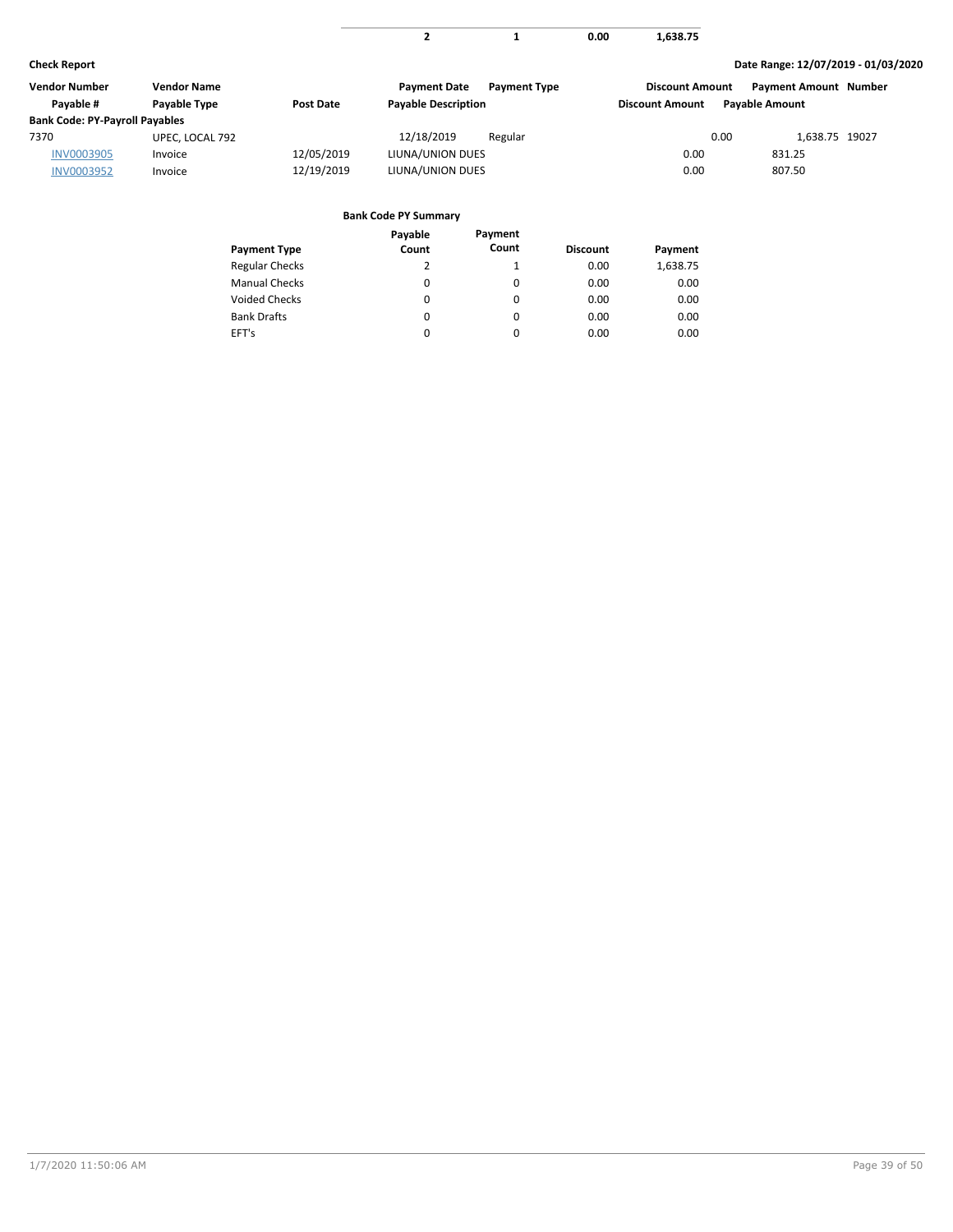| $\sim$<br>638.75<br>. |
|-----------------------|
|                       |

| Vendor Number                         | Vendor Name     |            | <b>Payment Date</b><br><b>Payment Type</b> | <b>Discount Amount</b> | <b>Payment Amount Number</b> |
|---------------------------------------|-----------------|------------|--------------------------------------------|------------------------|------------------------------|
| Pavable #                             | Payable Type    | Post Date  | <b>Payable Description</b>                 | <b>Discount Amount</b> | <b>Pavable Amount</b>        |
| <b>Bank Code: PY-Payroll Payables</b> |                 |            |                                            |                        |                              |
| 7370                                  | UPEC, LOCAL 792 |            | 12/18/2019<br>Regular                      | 0.00                   | 1,638.75 19027               |
| <b>INV0003905</b>                     | Invoice         | 12/05/2019 | LIUNA/UNION DUES                           | 0.00                   | 831.25                       |
| <b>INV0003952</b>                     | Invoice         | 12/19/2019 | LIUNA/UNION DUES                           | 0.00                   | 807.50                       |

|                       | Payable | Payment  |                 |          |
|-----------------------|---------|----------|-----------------|----------|
| <b>Payment Type</b>   | Count   | Count    | <b>Discount</b> | Payment  |
| <b>Regular Checks</b> | 2       |          | 0.00            | 1,638.75 |
| <b>Manual Checks</b>  | 0       | 0        | 0.00            | 0.00     |
| <b>Voided Checks</b>  | 0       | 0        | 0.00            | 0.00     |
| <b>Bank Drafts</b>    | 0       | $\Omega$ | 0.00            | 0.00     |
| EFT's                 | 0       | 0        | 0.00            | 0.00     |
|                       |         |          |                 |          |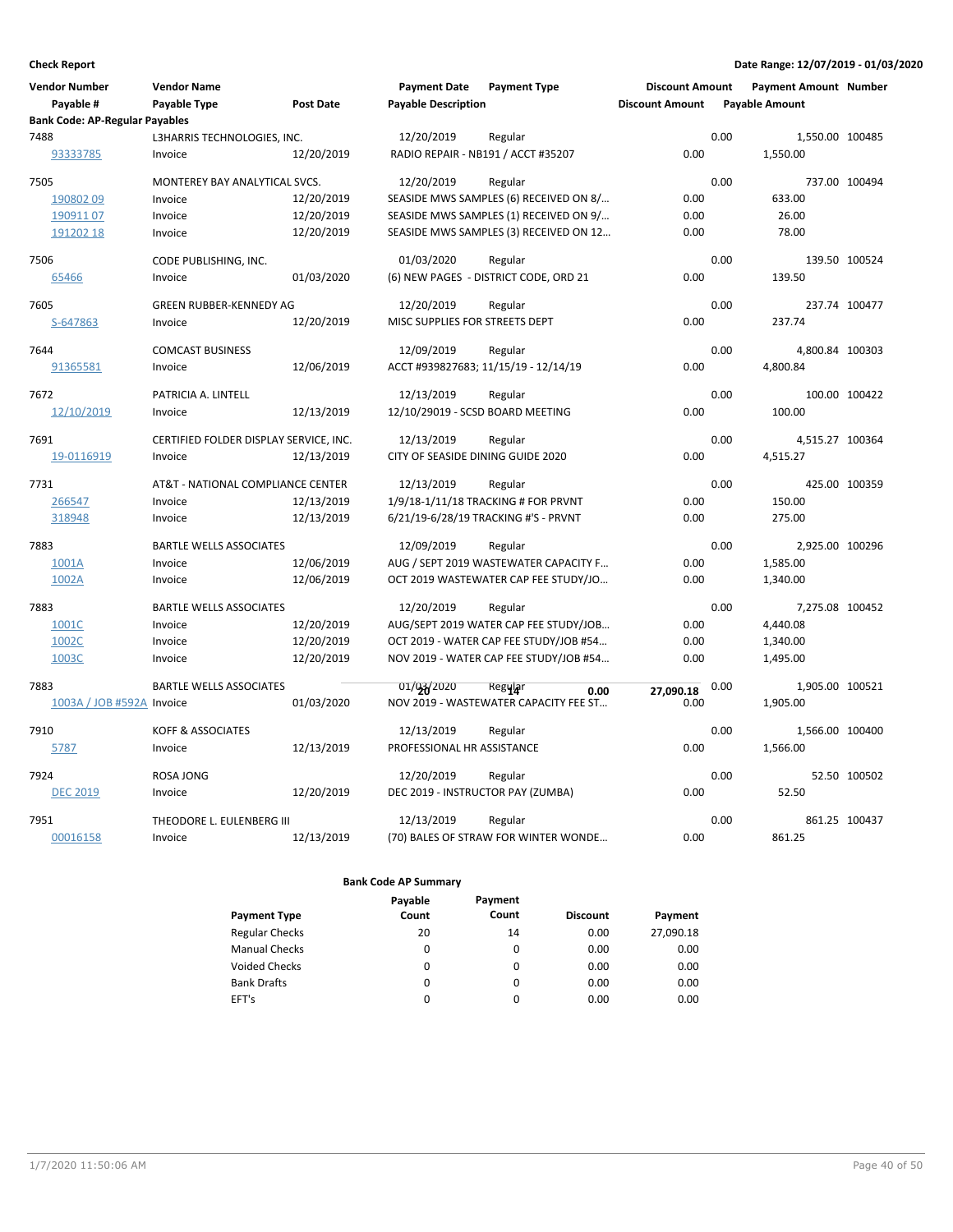| Vendor Number<br>Payable #            | <b>Vendor Name</b><br>Payable Type     | <b>Post Date</b> | <b>Payment Date</b><br><b>Payable Description</b> | <b>Payment Type</b>                    | <b>Discount Amount</b><br><b>Discount Amount</b> |      | <b>Payment Amount Number</b><br><b>Payable Amount</b> |               |
|---------------------------------------|----------------------------------------|------------------|---------------------------------------------------|----------------------------------------|--------------------------------------------------|------|-------------------------------------------------------|---------------|
| <b>Bank Code: AP-Regular Payables</b> |                                        |                  |                                                   |                                        |                                                  |      |                                                       |               |
| 7488<br>93333785                      | L3HARRIS TECHNOLOGIES, INC.<br>Invoice | 12/20/2019       | 12/20/2019<br>RADIO REPAIR - NB191 / ACCT #35207  | Regular                                | 0.00                                             | 0.00 | 1,550.00 100485<br>1,550.00                           |               |
| 7505                                  | MONTEREY BAY ANALYTICAL SVCS.          |                  | 12/20/2019                                        | Regular                                |                                                  | 0.00 |                                                       | 737.00 100494 |
| 19080209                              | Invoice                                | 12/20/2019       |                                                   | SEASIDE MWS SAMPLES (6) RECEIVED ON 8/ | 0.00                                             |      | 633.00                                                |               |
| 19091107                              | Invoice                                | 12/20/2019       |                                                   | SEASIDE MWS SAMPLES (1) RECEIVED ON 9/ | 0.00                                             |      | 26.00                                                 |               |
| 191202 18                             | Invoice                                | 12/20/2019       |                                                   | SEASIDE MWS SAMPLES (3) RECEIVED ON 12 | 0.00                                             |      | 78.00                                                 |               |
| 7506                                  | CODE PUBLISHING, INC.                  |                  | 01/03/2020                                        | Regular                                |                                                  | 0.00 |                                                       | 139.50 100524 |
| 65466                                 | Invoice                                | 01/03/2020       |                                                   | (6) NEW PAGES - DISTRICT CODE, ORD 21  | 0.00                                             |      | 139.50                                                |               |
| 7605                                  | GREEN RUBBER-KENNEDY AG                |                  | 12/20/2019                                        | Regular                                |                                                  | 0.00 |                                                       | 237.74 100477 |
| S-647863                              | Invoice                                | 12/20/2019       | MISC SUPPLIES FOR STREETS DEPT                    |                                        | 0.00                                             |      | 237.74                                                |               |
| 7644                                  | <b>COMCAST BUSINESS</b>                |                  | 12/09/2019                                        | Regular                                |                                                  | 0.00 | 4,800.84 100303                                       |               |
| 91365581                              | Invoice                                | 12/06/2019       |                                                   | ACCT #939827683; 11/15/19 - 12/14/19   | 0.00                                             |      | 4,800.84                                              |               |
| 7672                                  | PATRICIA A. LINTELL                    |                  | 12/13/2019                                        | Regular                                |                                                  | 0.00 |                                                       | 100.00 100422 |
| 12/10/2019                            | Invoice                                | 12/13/2019       | 12/10/29019 - SCSD BOARD MEETING                  |                                        | 0.00                                             |      | 100.00                                                |               |
| 7691                                  | CERTIFIED FOLDER DISPLAY SERVICE, INC. |                  | 12/13/2019                                        | Regular                                |                                                  | 0.00 | 4,515.27 100364                                       |               |
| 19-0116919                            | Invoice                                | 12/13/2019       | CITY OF SEASIDE DINING GUIDE 2020                 |                                        | 0.00                                             |      | 4,515.27                                              |               |
| 7731                                  | AT&T - NATIONAL COMPLIANCE CENTER      |                  | 12/13/2019                                        | Regular                                |                                                  | 0.00 |                                                       | 425.00 100359 |
| 266547                                | Invoice                                | 12/13/2019       |                                                   | 1/9/18-1/11/18 TRACKING # FOR PRVNT    | 0.00                                             |      | 150.00                                                |               |
| 318948                                | Invoice                                | 12/13/2019       |                                                   | 6/21/19-6/28/19 TRACKING #'S - PRVNT   | 0.00                                             |      | 275.00                                                |               |
| 7883                                  | <b>BARTLE WELLS ASSOCIATES</b>         |                  | 12/09/2019                                        | Regular                                |                                                  | 0.00 | 2,925.00 100296                                       |               |
| 1001A                                 | Invoice                                | 12/06/2019       |                                                   | AUG / SEPT 2019 WASTEWATER CAPACITY F  | 0.00                                             |      | 1,585.00                                              |               |
| 1002A                                 | Invoice                                | 12/06/2019       |                                                   | OCT 2019 WASTEWATER CAP FEE STUDY/JO   | 0.00                                             |      | 1,340.00                                              |               |
| 7883                                  | <b>BARTLE WELLS ASSOCIATES</b>         |                  | 12/20/2019                                        | Regular                                |                                                  | 0.00 | 7,275.08 100452                                       |               |
| 1001C                                 | Invoice                                | 12/20/2019       |                                                   | AUG/SEPT 2019 WATER CAP FEE STUDY/JOB  | 0.00                                             |      | 4,440.08                                              |               |
| 1002C                                 | Invoice                                | 12/20/2019       |                                                   | OCT 2019 - WATER CAP FEE STUDY/JOB #54 | 0.00                                             |      | 1,340.00                                              |               |
| 1003C                                 | Invoice                                | 12/20/2019       |                                                   | NOV 2019 - WATER CAP FEE STUDY/JOB #54 | 0.00                                             |      | 1,495.00                                              |               |
| 7883                                  | <b>BARTLE WELLS ASSOCIATES</b>         |                  | 01/03/2020                                        | Regyjar<br>0.00                        | 27.090.18                                        | 0.00 | 1,905.00 100521                                       |               |
| 1003A / JOB #592A Invoice             |                                        | 01/03/2020       |                                                   | NOV 2019 - WASTEWATER CAPACITY FEE ST  | 0.00                                             |      | 1,905.00                                              |               |
| 7910                                  | <b>KOFF &amp; ASSOCIATES</b>           |                  | 12/13/2019                                        | Regular                                |                                                  | 0.00 | 1,566.00 100400                                       |               |
| 5787                                  | Invoice                                | 12/13/2019       | PROFESSIONAL HR ASSISTANCE                        |                                        | 0.00                                             |      | 1,566.00                                              |               |
| 7924                                  | <b>ROSA JONG</b>                       |                  | 12/20/2019                                        | Regular                                |                                                  | 0.00 |                                                       | 52.50 100502  |
| <b>DEC 2019</b>                       | Invoice                                | 12/20/2019       | DEC 2019 - INSTRUCTOR PAY (ZUMBA)                 |                                        | 0.00                                             |      | 52.50                                                 |               |
| 7951                                  | THEODORE L. EULENBERG III              |                  | 12/13/2019                                        | Regular                                |                                                  | 0.00 |                                                       | 861.25 100437 |
| 00016158                              | Invoice                                | 12/13/2019       |                                                   | (70) BALES OF STRAW FOR WINTER WONDE   | 0.00                                             |      | 861.25                                                |               |

|                       | Payable | Payment  |                 |           |
|-----------------------|---------|----------|-----------------|-----------|
| <b>Payment Type</b>   | Count   | Count    | <b>Discount</b> | Payment   |
| <b>Regular Checks</b> | 20      | 14       | 0.00            | 27,090.18 |
| <b>Manual Checks</b>  | 0       | $\Omega$ | 0.00            | 0.00      |
| <b>Voided Checks</b>  | 0       | $\Omega$ | 0.00            | 0.00      |
| <b>Bank Drafts</b>    | 0       | $\Omega$ | 0.00            | 0.00      |
| EFT's                 | 0       | $\Omega$ | 0.00            | 0.00      |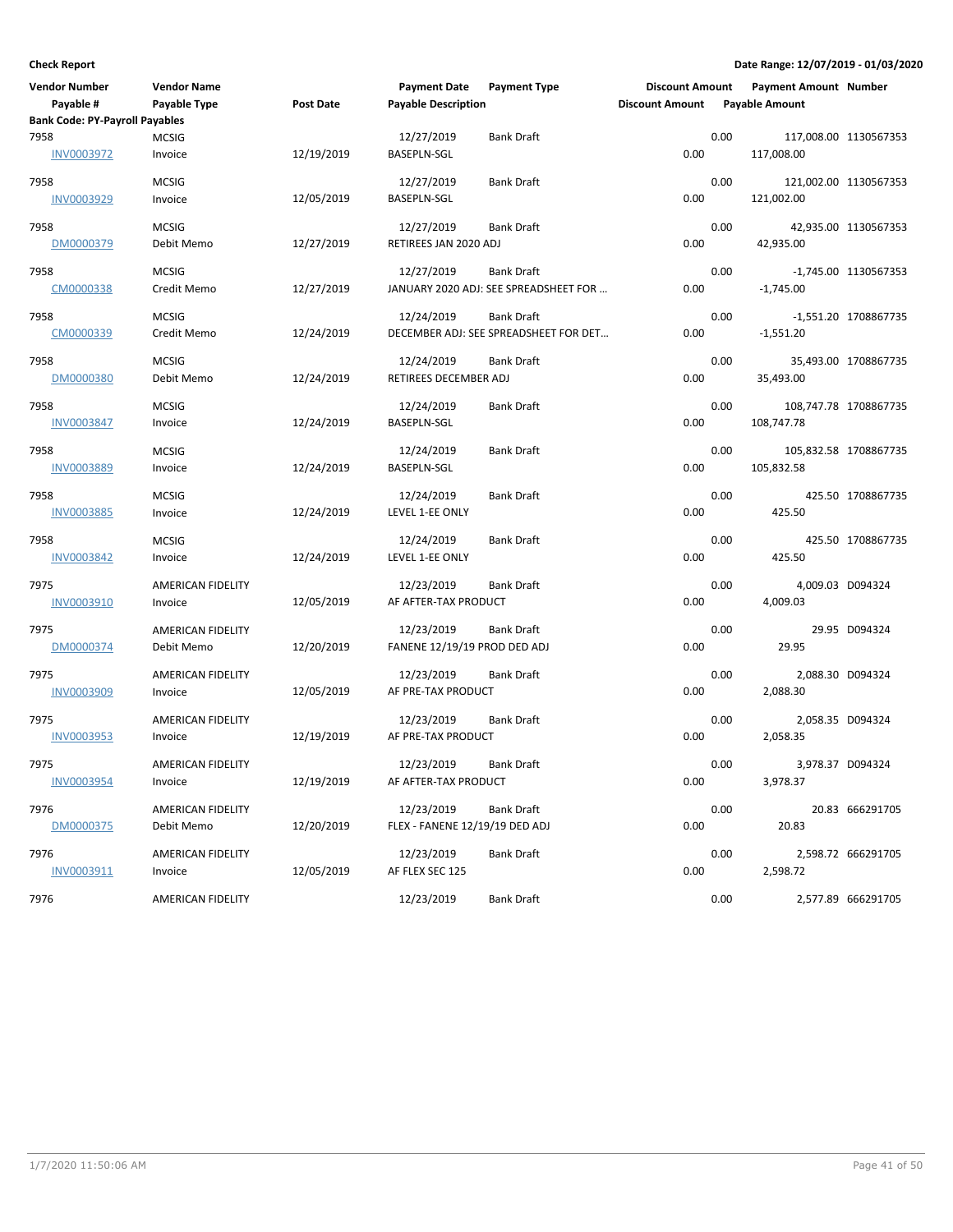| <b>Vendor Number</b><br>Payable #     | <b>Vendor Name</b><br>Payable Type | Post Date  | <b>Payment Date</b><br><b>Payable Description</b> | <b>Payment Type</b>                                        | <b>Discount Amount</b><br><b>Discount Amount</b> |      | <b>Payment Amount Number</b><br><b>Payable Amount</b> |                       |
|---------------------------------------|------------------------------------|------------|---------------------------------------------------|------------------------------------------------------------|--------------------------------------------------|------|-------------------------------------------------------|-----------------------|
| <b>Bank Code: PY-Payroll Payables</b> |                                    |            |                                                   |                                                            |                                                  |      |                                                       |                       |
| 7958<br><b>INV0003972</b>             | <b>MCSIG</b><br>Invoice            | 12/19/2019 | 12/27/2019<br>BASEPLN-SGL                         | <b>Bank Draft</b>                                          | 0.00                                             | 0.00 | 117,008.00                                            | 117,008.00 1130567353 |
| 7958<br><b>INV0003929</b>             | <b>MCSIG</b><br>Invoice            | 12/05/2019 | 12/27/2019<br><b>BASEPLN-SGL</b>                  | Bank Draft                                                 | 0.00                                             | 0.00 | 121,002.00                                            | 121,002.00 1130567353 |
| 7958<br>DM0000379                     | <b>MCSIG</b><br>Debit Memo         | 12/27/2019 | 12/27/2019<br>RETIREES JAN 2020 ADJ               | <b>Bank Draft</b>                                          | 0.00                                             | 0.00 | 42,935.00                                             | 42,935.00 1130567353  |
| 7958<br>CM0000338                     | <b>MCSIG</b><br>Credit Memo        | 12/27/2019 | 12/27/2019                                        | <b>Bank Draft</b><br>JANUARY 2020 ADJ: SEE SPREADSHEET FOR | 0.00                                             | 0.00 | $-1,745.00$                                           | -1,745.00 1130567353  |
| 7958<br>CM0000339                     | <b>MCSIG</b><br>Credit Memo        | 12/24/2019 | 12/24/2019                                        | <b>Bank Draft</b><br>DECEMBER ADJ: SEE SPREADSHEET FOR DET | 0.00                                             | 0.00 | $-1,551.20$                                           | -1,551.20 1708867735  |
| 7958<br>DM0000380                     | <b>MCSIG</b><br>Debit Memo         | 12/24/2019 | 12/24/2019<br>RETIREES DECEMBER ADJ               | <b>Bank Draft</b>                                          | 0.00                                             | 0.00 | 35,493.00                                             | 35,493.00 1708867735  |
| 7958<br><b>INV0003847</b>             | <b>MCSIG</b><br>Invoice            | 12/24/2019 | 12/24/2019<br><b>BASEPLN-SGL</b>                  | Bank Draft                                                 | 0.00                                             | 0.00 | 108,747.78                                            | 108,747.78 1708867735 |
| 7958<br><b>INV0003889</b>             | <b>MCSIG</b><br>Invoice            | 12/24/2019 | 12/24/2019<br><b>BASEPLN-SGL</b>                  | Bank Draft                                                 | 0.00                                             | 0.00 | 105,832.58                                            | 105,832.58 1708867735 |
| 7958<br>INV0003885                    | <b>MCSIG</b><br>Invoice            | 12/24/2019 | 12/24/2019<br>LEVEL 1-EE ONLY                     | Bank Draft                                                 | 0.00                                             | 0.00 | 425.50                                                | 425.50 1708867735     |
| 7958<br><b>INV0003842</b>             | <b>MCSIG</b><br>Invoice            | 12/24/2019 | 12/24/2019<br>LEVEL 1-EE ONLY                     | Bank Draft                                                 | 0.00                                             | 0.00 | 425.50                                                | 425.50 1708867735     |
| 7975<br><b>INV0003910</b>             | AMERICAN FIDELITY<br>Invoice       | 12/05/2019 | 12/23/2019<br>AF AFTER-TAX PRODUCT                | <b>Bank Draft</b>                                          | 0.00                                             | 0.00 | 4,009.03                                              | 4,009.03 D094324      |
| 7975<br>DM0000374                     | AMERICAN FIDELITY<br>Debit Memo    | 12/20/2019 | 12/23/2019<br>FANENE 12/19/19 PROD DED ADJ        | Bank Draft                                                 | 0.00                                             | 0.00 | 29.95                                                 | 29.95 D094324         |
| 7975<br>INV0003909                    | AMERICAN FIDELITY<br>Invoice       | 12/05/2019 | 12/23/2019<br>AF PRE-TAX PRODUCT                  | Bank Draft                                                 | 0.00                                             | 0.00 | 2,088.30                                              | 2,088.30 D094324      |
| 7975<br><b>INV0003953</b>             | AMERICAN FIDELITY<br>Invoice       | 12/19/2019 | 12/23/2019<br>AF PRE-TAX PRODUCT                  | Bank Draft                                                 | 0.00                                             | 0.00 | 2,058.35                                              | 2,058.35 D094324      |
| 7975<br><b>INV0003954</b>             | AMERICAN FIDELITY<br>Invoice       | 12/19/2019 | 12/23/2019<br>AF AFTER-TAX PRODUCT                | Bank Draft                                                 | 0.00                                             | 0.00 | 3,978.37                                              | 3,978.37 D094324      |
| 7976<br>DM0000375                     | AMERICAN FIDELITY<br>Debit Memo    | 12/20/2019 | 12/23/2019<br>FLEX - FANENE 12/19/19 DED ADJ      | <b>Bank Draft</b>                                          | 0.00                                             | 0.00 | 20.83                                                 | 20.83 666291705       |
| 7976<br>INV0003911                    | AMERICAN FIDELITY<br>Invoice       | 12/05/2019 | 12/23/2019<br>AF FLEX SEC 125                     | Bank Draft                                                 | 0.00                                             | 0.00 | 2,598.72                                              | 2,598.72 666291705    |
| 7976                                  | AMERICAN FIDELITY                  |            | 12/23/2019                                        | <b>Bank Draft</b>                                          |                                                  | 0.00 |                                                       | 2,577.89 666291705    |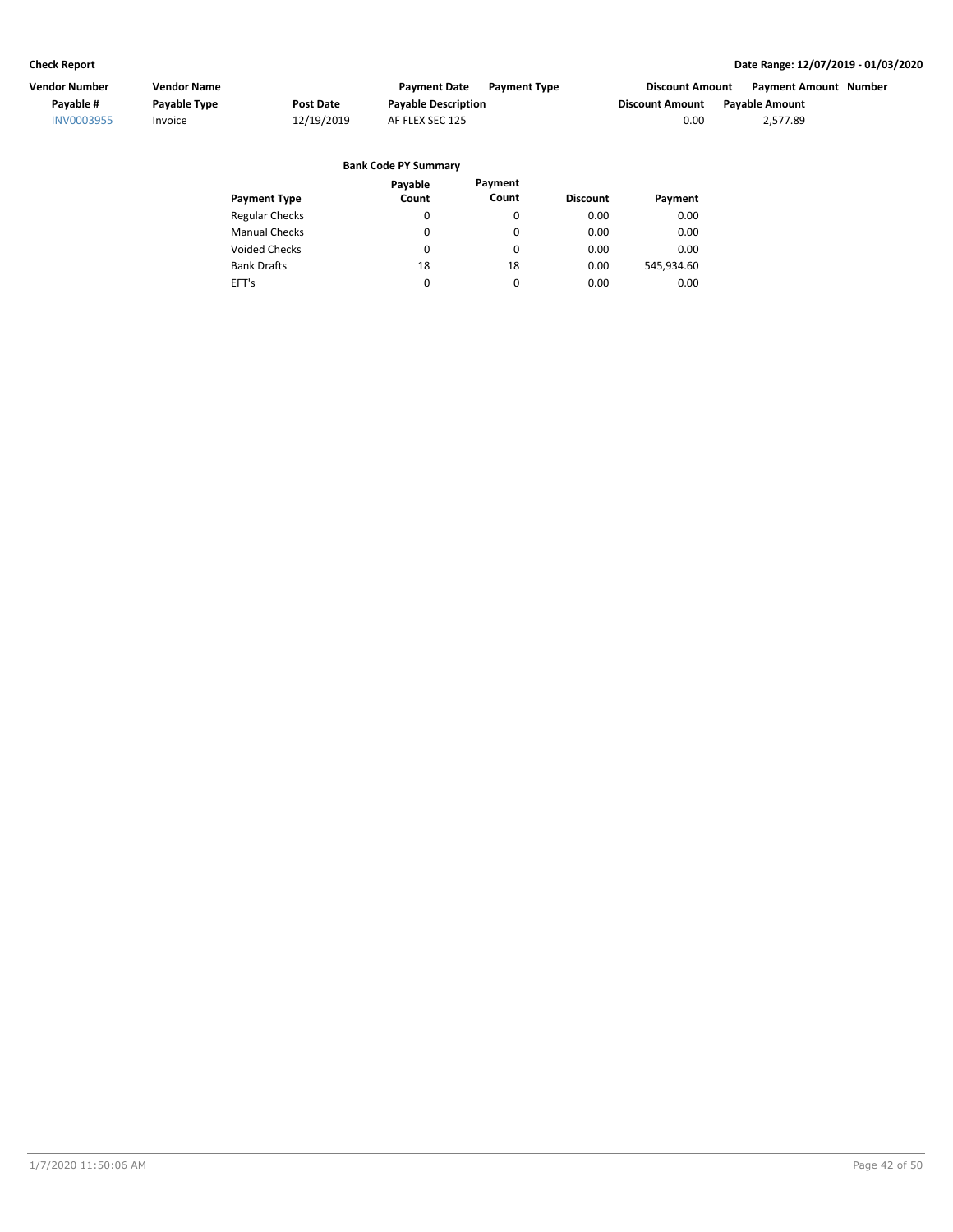| Vendor Number     | <b>Vendor Name</b> |                  | <b>Payment Date</b><br><b>Payment Type</b> | <b>Discount Amount</b> | Payment Amount Number |  |
|-------------------|--------------------|------------------|--------------------------------------------|------------------------|-----------------------|--|
| Pavable #         | Payable Type       | <b>Post Date</b> | <b>Payable Description</b>                 | Discount Amount        | <b>Pavable Amount</b> |  |
| <b>INV0003955</b> | Invoice            | 12/19/2019       | AF FLEX SEC 125                            | 0.00                   | 2.577.89              |  |
|                   |                    |                  | <b>Bank Code PY Summary</b>                |                        |                       |  |

|  | Bank Code PY Summary |  |
|--|----------------------|--|
|  |                      |  |

|                       | Payable | Payment  |                 |            |
|-----------------------|---------|----------|-----------------|------------|
| <b>Payment Type</b>   | Count   | Count    | <b>Discount</b> | Payment    |
| <b>Regular Checks</b> | 0       | 0        | 0.00            | 0.00       |
| <b>Manual Checks</b>  | 0       | 0        | 0.00            | 0.00       |
| Voided Checks         | 0       | $\Omega$ | 0.00            | 0.00       |
| <b>Bank Drafts</b>    | 18      | 18       | 0.00            | 545,934.60 |
| EFT's                 | 0       | 0        | 0.00            | 0.00       |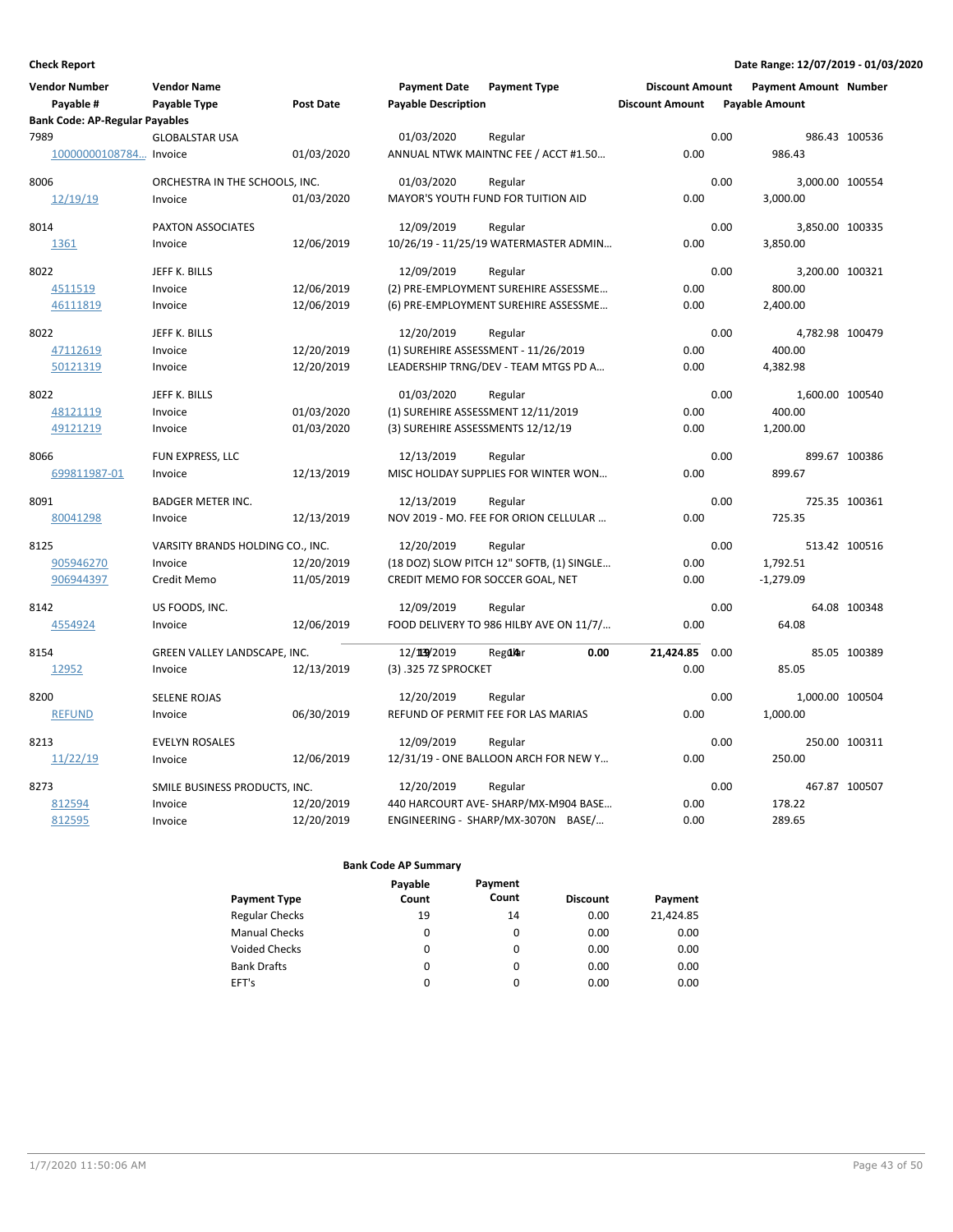| <b>Vendor Number</b><br>Payable #<br><b>Bank Code: AP-Regular Payables</b> | <b>Vendor Name</b><br>Payable Type | <b>Post Date</b> | <b>Payment Date</b><br><b>Payable Description</b> | <b>Payment Type</b>                       | <b>Discount Amount</b><br><b>Discount Amount</b> |      | <b>Payment Amount Number</b><br><b>Payable Amount</b> |               |
|----------------------------------------------------------------------------|------------------------------------|------------------|---------------------------------------------------|-------------------------------------------|--------------------------------------------------|------|-------------------------------------------------------|---------------|
| 7989                                                                       | <b>GLOBALSTAR USA</b>              |                  | 01/03/2020                                        | Regular                                   |                                                  | 0.00 |                                                       | 986.43 100536 |
| 10000000108784 Invoice                                                     |                                    | 01/03/2020       |                                                   | ANNUAL NTWK MAINTNC FEE / ACCT #1.50      | 0.00                                             |      | 986.43                                                |               |
| 8006                                                                       | ORCHESTRA IN THE SCHOOLS, INC.     |                  | 01/03/2020                                        | Regular                                   |                                                  | 0.00 | 3,000.00 100554                                       |               |
| 12/19/19                                                                   | Invoice                            | 01/03/2020       |                                                   | MAYOR'S YOUTH FUND FOR TUITION AID        | 0.00                                             |      | 3,000.00                                              |               |
| 8014                                                                       | PAXTON ASSOCIATES                  |                  | 12/09/2019                                        | Regular                                   |                                                  | 0.00 | 3,850.00 100335                                       |               |
| 1361                                                                       | Invoice                            | 12/06/2019       |                                                   | 10/26/19 - 11/25/19 WATERMASTER ADMIN     | 0.00                                             |      | 3,850.00                                              |               |
| 8022                                                                       | JEFF K. BILLS                      |                  | 12/09/2019                                        | Regular                                   |                                                  | 0.00 | 3,200.00 100321                                       |               |
| 4511519                                                                    | Invoice                            | 12/06/2019       |                                                   | (2) PRE-EMPLOYMENT SUREHIRE ASSESSME      | 0.00                                             |      | 800.00                                                |               |
| 46111819                                                                   | Invoice                            | 12/06/2019       |                                                   | (6) PRE-EMPLOYMENT SUREHIRE ASSESSME      | 0.00                                             |      | 2,400.00                                              |               |
| 8022                                                                       | JEFF K. BILLS                      |                  | 12/20/2019                                        | Regular                                   |                                                  | 0.00 | 4,782.98 100479                                       |               |
| 47112619                                                                   | Invoice                            | 12/20/2019       |                                                   | (1) SUREHIRE ASSESSMENT - 11/26/2019      | 0.00                                             |      | 400.00                                                |               |
| 50121319                                                                   | Invoice                            | 12/20/2019       |                                                   | LEADERSHIP TRNG/DEV - TEAM MTGS PD A      | 0.00                                             |      | 4,382.98                                              |               |
| 8022                                                                       | JEFF K. BILLS                      |                  | 01/03/2020                                        | Regular                                   |                                                  | 0.00 | 1,600.00 100540                                       |               |
| 48121119                                                                   | Invoice                            | 01/03/2020       | (1) SUREHIRE ASSESSMENT 12/11/2019                |                                           | 0.00                                             |      | 400.00                                                |               |
| 49121219                                                                   | Invoice                            | 01/03/2020       | (3) SUREHIRE ASSESSMENTS 12/12/19                 |                                           | 0.00                                             |      | 1,200.00                                              |               |
| 8066                                                                       | FUN EXPRESS, LLC                   |                  | 12/13/2019                                        | Regular                                   |                                                  | 0.00 |                                                       | 899.67 100386 |
| 699811987-01                                                               | Invoice                            | 12/13/2019       |                                                   | MISC HOLIDAY SUPPLIES FOR WINTER WON      | 0.00                                             |      | 899.67                                                |               |
| 8091                                                                       | <b>BADGER METER INC.</b>           |                  | 12/13/2019                                        | Regular                                   |                                                  | 0.00 |                                                       | 725.35 100361 |
| 80041298                                                                   | Invoice                            | 12/13/2019       |                                                   | NOV 2019 - MO. FEE FOR ORION CELLULAR     | 0.00                                             |      | 725.35                                                |               |
| 8125                                                                       | VARSITY BRANDS HOLDING CO., INC.   |                  | 12/20/2019                                        | Regular                                   |                                                  | 0.00 |                                                       | 513.42 100516 |
| 905946270                                                                  | Invoice                            | 12/20/2019       |                                                   | (18 DOZ) SLOW PITCH 12" SOFTB, (1) SINGLE | 0.00                                             |      | 1,792.51                                              |               |
| 906944397                                                                  | Credit Memo                        | 11/05/2019       | CREDIT MEMO FOR SOCCER GOAL, NET                  |                                           | 0.00                                             |      | $-1,279.09$                                           |               |
| 8142                                                                       | US FOODS, INC.                     |                  | 12/09/2019                                        | Regular                                   |                                                  | 0.00 |                                                       | 64.08 100348  |
| 4554924                                                                    | Invoice                            | 12/06/2019       |                                                   | FOOD DELIVERY TO 986 HILBY AVE ON 11/7/   | 0.00                                             |      | 64.08                                                 |               |
| 8154                                                                       | GREEN VALLEY LANDSCAPE, INC.       |                  | 12/139/2019                                       | 0.00<br>RegdAar                           | 21.424.85                                        | 0.00 |                                                       | 85.05 100389  |
| 12952                                                                      | Invoice                            | 12/13/2019       | (3) .325 7Z SPROCKET                              |                                           | 0.00                                             |      | 85.05                                                 |               |
| 8200                                                                       | <b>SELENE ROJAS</b>                |                  | 12/20/2019                                        | Regular                                   |                                                  | 0.00 | 1,000.00 100504                                       |               |
| <b>REFUND</b>                                                              | Invoice                            | 06/30/2019       |                                                   | REFUND OF PERMIT FEE FOR LAS MARIAS       | 0.00                                             |      | 1,000.00                                              |               |
| 8213                                                                       | <b>EVELYN ROSALES</b>              |                  | 12/09/2019                                        | Regular                                   |                                                  | 0.00 |                                                       | 250.00 100311 |
| 11/22/19                                                                   | Invoice                            | 12/06/2019       |                                                   | 12/31/19 - ONE BALLOON ARCH FOR NEW Y     | 0.00                                             |      | 250.00                                                |               |
| 8273                                                                       | SMILE BUSINESS PRODUCTS, INC.      |                  | 12/20/2019                                        | Regular                                   |                                                  | 0.00 |                                                       | 467.87 100507 |
| 812594                                                                     | Invoice                            | 12/20/2019       |                                                   | 440 HARCOURT AVE-SHARP/MX-M904 BASE       | 0.00                                             |      | 178.22                                                |               |
| 812595                                                                     | Invoice                            | 12/20/2019       |                                                   | ENGINEERING - SHARP/MX-3070N BASE/        | 0.00                                             |      | 289.65                                                |               |

|                       | Payable | Payment  |                 |           |
|-----------------------|---------|----------|-----------------|-----------|
| <b>Payment Type</b>   | Count   | Count    | <b>Discount</b> | Payment   |
| <b>Regular Checks</b> | 19      | 14       | 0.00            | 21,424.85 |
| <b>Manual Checks</b>  | 0       | $\Omega$ | 0.00            | 0.00      |
| <b>Voided Checks</b>  | 0       | $\Omega$ | 0.00            | 0.00      |
| <b>Bank Drafts</b>    | 0       | $\Omega$ | 0.00            | 0.00      |
| EFT's                 | 0       | $\Omega$ | 0.00            | 0.00      |
|                       |         |          |                 |           |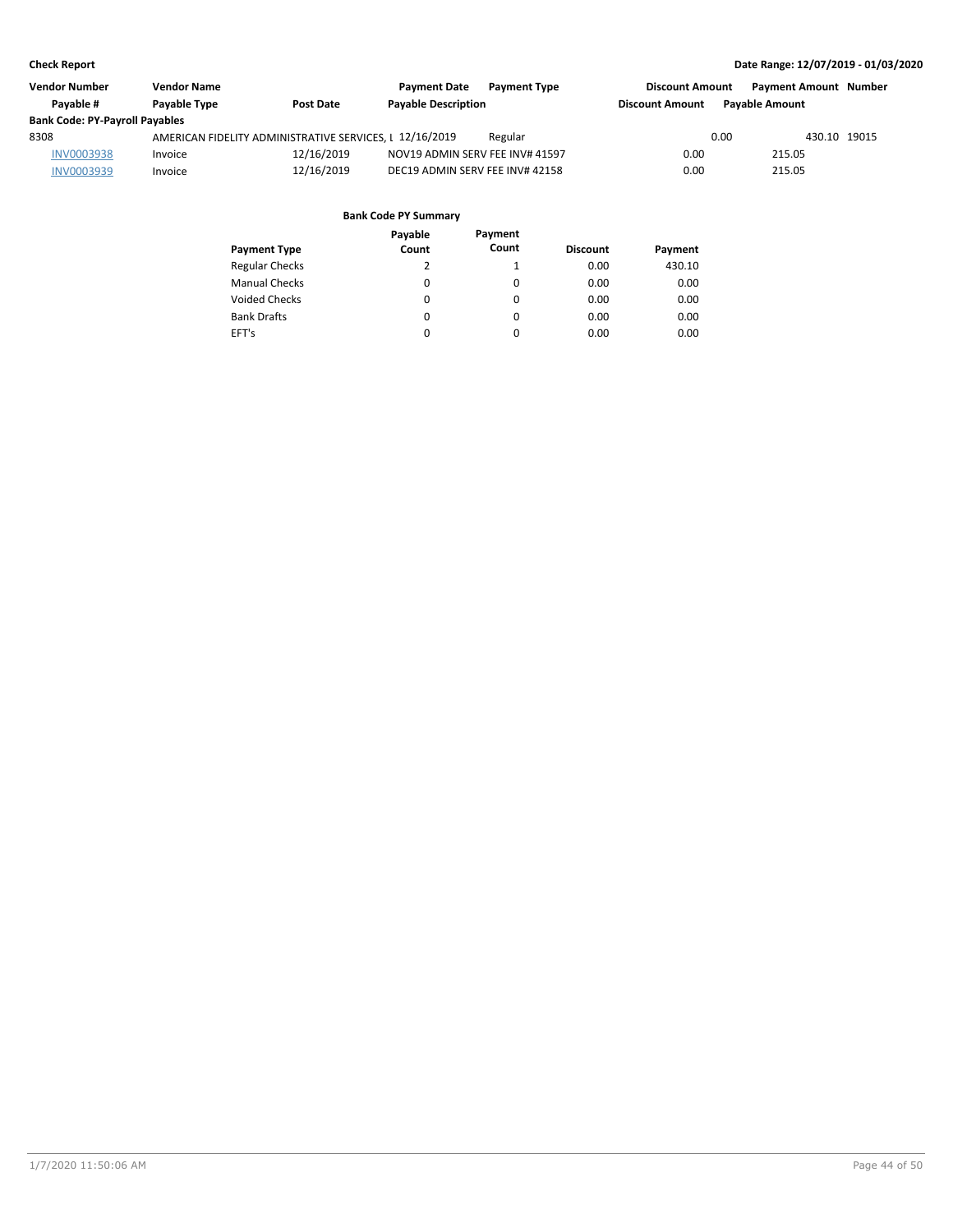| <b>Vendor Number</b>                  | <b>Vendor Name</b>  |                                                         | <b>Payment Date</b><br><b>Payment Type</b> | <b>Discount Amount</b> | <b>Payment Amount Number</b> |
|---------------------------------------|---------------------|---------------------------------------------------------|--------------------------------------------|------------------------|------------------------------|
| Pavable #                             | <b>Pavable Type</b> | <b>Post Date</b>                                        | <b>Payable Description</b>                 | <b>Discount Amount</b> | <b>Pavable Amount</b>        |
| <b>Bank Code: PY-Payroll Payables</b> |                     |                                                         |                                            |                        |                              |
| 8308                                  |                     | AMERICAN FIDELITY ADMINISTRATIVE SERVICES. L 12/16/2019 | Regular                                    | 0.00                   | 430.10 19015                 |
| <b>INV0003938</b>                     | Invoice             | 12/16/2019                                              | NOV19 ADMIN SERV FEE INV# 41597            | 0.00                   | 215.05                       |
| INV0003939                            | Invoice             | 12/16/2019                                              | DEC19 ADMIN SERV FEE INV# 42158            | 0.00                   | 215.05                       |

|                       | Payable | Payment  |                 |         |
|-----------------------|---------|----------|-----------------|---------|
| <b>Payment Type</b>   | Count   | Count    | <b>Discount</b> | Payment |
| <b>Regular Checks</b> | 2       | 1        | 0.00            | 430.10  |
| <b>Manual Checks</b>  | 0       | 0        | 0.00            | 0.00    |
| <b>Voided Checks</b>  | 0       | 0        | 0.00            | 0.00    |
| <b>Bank Drafts</b>    | 0       | $\Omega$ | 0.00            | 0.00    |
| EFT's                 | 0       | 0        | 0.00            | 0.00    |
|                       |         |          |                 |         |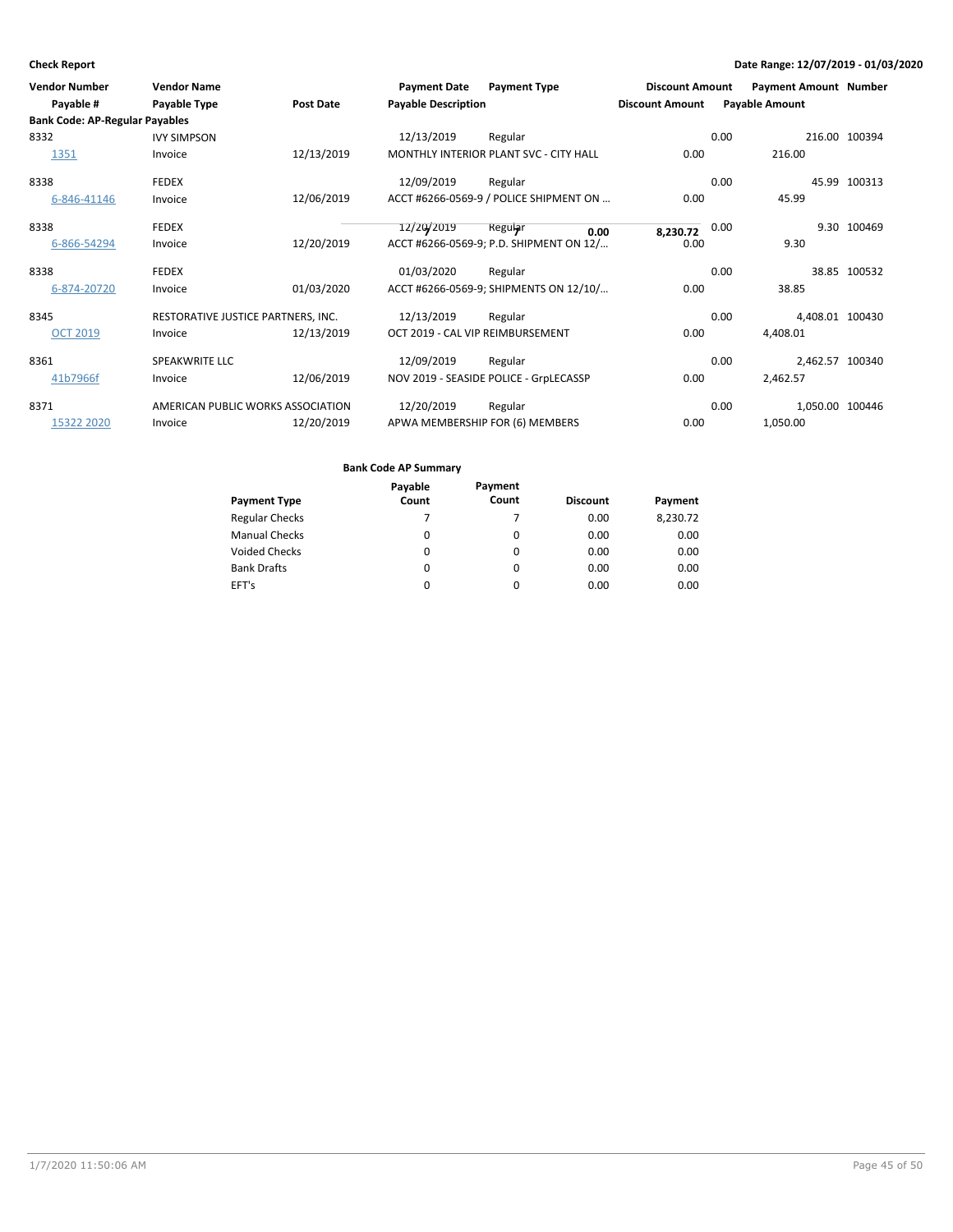| Vendor Number                         | <b>Vendor Name</b>                 |            | <b>Payment Date</b>              | <b>Payment Type</b>                     | <b>Discount Amount</b> | <b>Payment Amount Number</b> |               |
|---------------------------------------|------------------------------------|------------|----------------------------------|-----------------------------------------|------------------------|------------------------------|---------------|
| Payable #                             | Payable Type                       | Post Date  | <b>Payable Description</b>       |                                         | <b>Discount Amount</b> | <b>Payable Amount</b>        |               |
| <b>Bank Code: AP-Regular Payables</b> |                                    |            |                                  |                                         |                        |                              |               |
| 8332                                  | <b>IVY SIMPSON</b>                 |            | 12/13/2019                       | Regular                                 |                        | 0.00                         | 216.00 100394 |
| 1351                                  | Invoice                            | 12/13/2019 |                                  | MONTHLY INTERIOR PLANT SVC - CITY HALL  | 0.00                   | 216.00                       |               |
| 8338                                  | <b>FEDEX</b>                       |            | 12/09/2019                       | Regular                                 |                        | 0.00                         | 45.99 100313  |
| 6-846-41146                           | Invoice                            | 12/06/2019 |                                  | ACCT #6266-0569-9 / POLICE SHIPMENT ON  | 0.00                   | 45.99                        |               |
| 8338                                  | <b>FEDEX</b>                       |            | 12/20/2019                       | Reguiar<br>0.00                         | 8,230.72               | 0.00                         | 9.30 100469   |
| 6-866-54294                           | Invoice                            | 12/20/2019 |                                  | ACCT #6266-0569-9; P.D. SHIPMENT ON 12/ | 0.00                   | 9.30                         |               |
| 8338                                  | <b>FEDEX</b>                       |            | 01/03/2020                       | Regular                                 |                        | 0.00                         | 38.85 100532  |
| 6-874-20720                           | Invoice                            | 01/03/2020 |                                  | ACCT #6266-0569-9; SHIPMENTS ON 12/10/  | 0.00                   | 38.85                        |               |
| 8345                                  | RESTORATIVE JUSTICE PARTNERS, INC. |            | 12/13/2019                       | Regular                                 |                        | 4,408.01 100430<br>0.00      |               |
| <b>OCT 2019</b>                       | Invoice                            | 12/13/2019 | OCT 2019 - CAL VIP REIMBURSEMENT |                                         | 0.00                   | 4,408.01                     |               |
| 8361                                  | SPEAKWRITE LLC                     |            | 12/09/2019                       | Regular                                 |                        | 0.00<br>2,462.57 100340      |               |
| 41b7966f                              | Invoice                            | 12/06/2019 |                                  | NOV 2019 - SEASIDE POLICE - GrpLECASSP  | 0.00                   | 2,462.57                     |               |
| 8371                                  | AMERICAN PUBLIC WORKS ASSOCIATION  |            | 12/20/2019                       | Regular                                 |                        | 0.00<br>1,050.00 100446      |               |
| 15322 2020                            | Invoice                            | 12/20/2019 | APWA MEMBERSHIP FOR (6) MEMBERS  |                                         | 0.00                   | 1,050.00                     |               |

|                       | Payable  | Payment  |                 |          |
|-----------------------|----------|----------|-----------------|----------|
| <b>Payment Type</b>   | Count    | Count    | <b>Discount</b> | Payment  |
| <b>Regular Checks</b> | 7        |          | 0.00            | 8,230.72 |
| <b>Manual Checks</b>  | 0        | 0        | 0.00            | 0.00     |
| <b>Voided Checks</b>  | 0        | 0        | 0.00            | 0.00     |
| <b>Bank Drafts</b>    | $\Omega$ | $\Omega$ | 0.00            | 0.00     |
| EFT's                 | 0        | $\Omega$ | 0.00            | 0.00     |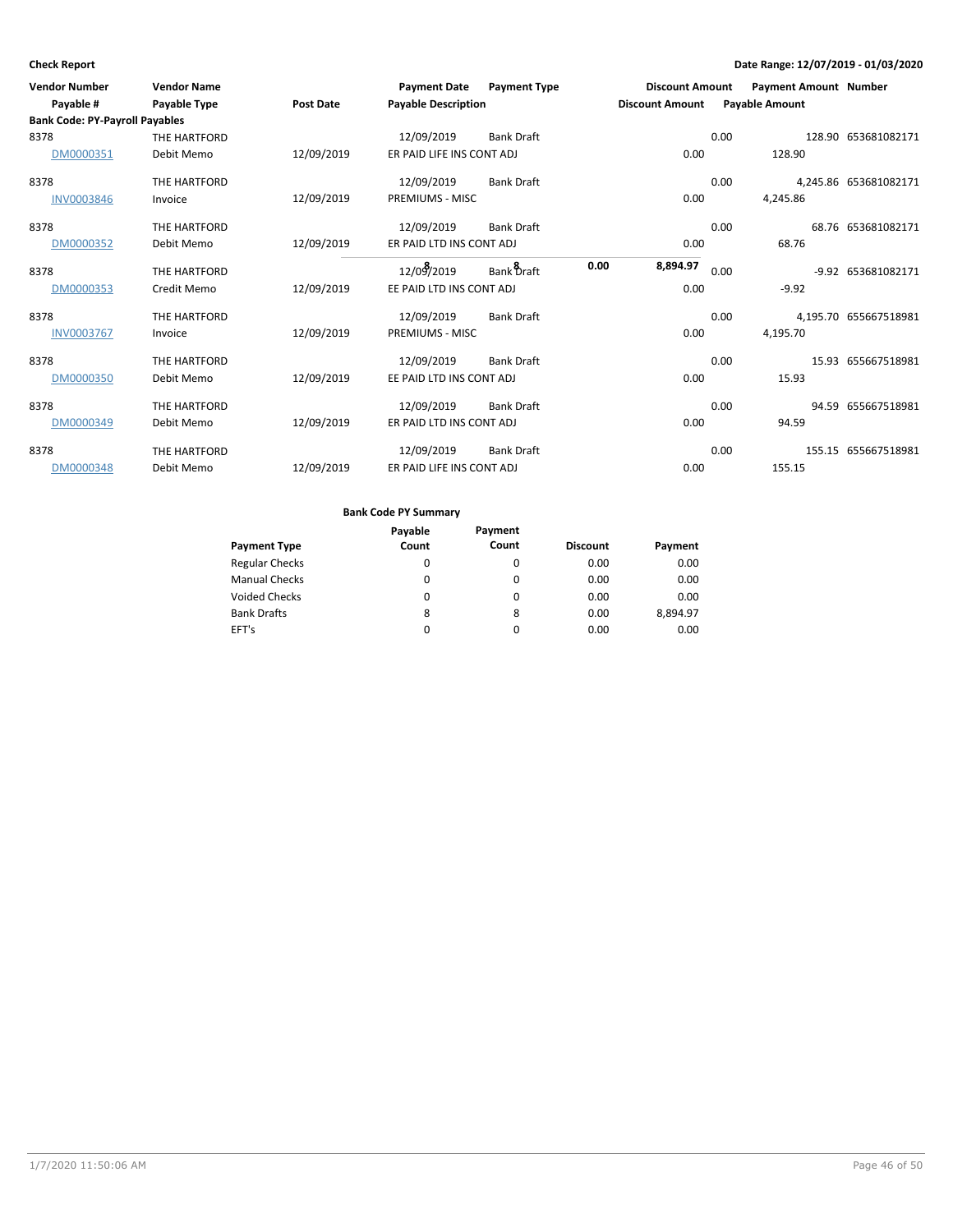| <b>Vendor Number</b><br>Payable #     | <b>Vendor Name</b><br><b>Payable Type</b> | <b>Post Date</b> | <b>Payment Date</b><br><b>Payable Description</b> | <b>Payment Type</b> | <b>Discount Amount</b><br><b>Discount Amount</b> |      | <b>Payment Amount Number</b><br><b>Payable Amount</b> |                       |
|---------------------------------------|-------------------------------------------|------------------|---------------------------------------------------|---------------------|--------------------------------------------------|------|-------------------------------------------------------|-----------------------|
| <b>Bank Code: PY-Payroll Payables</b> |                                           |                  |                                                   |                     |                                                  |      |                                                       |                       |
| 8378                                  | THE HARTFORD                              |                  | 12/09/2019                                        | <b>Bank Draft</b>   |                                                  | 0.00 |                                                       | 128.90 653681082171   |
| DM0000351                             | Debit Memo                                | 12/09/2019       | ER PAID LIFE INS CONT ADJ                         |                     | 0.00                                             |      | 128.90                                                |                       |
| 8378                                  | THE HARTFORD                              |                  | 12/09/2019                                        | <b>Bank Draft</b>   |                                                  | 0.00 |                                                       | 4.245.86 653681082171 |
| <b>INV0003846</b>                     | Invoice                                   | 12/09/2019       | PREMIUMS - MISC                                   |                     | 0.00                                             |      | 4,245.86                                              |                       |
| 8378                                  | THE HARTFORD                              |                  | 12/09/2019                                        | <b>Bank Draft</b>   |                                                  | 0.00 |                                                       | 68.76 653681082171    |
| DM0000352                             | Debit Memo                                | 12/09/2019       | ER PAID LTD INS CONT ADJ                          |                     | 0.00                                             |      | 68.76                                                 |                       |
| 8378                                  | THE HARTFORD                              |                  | 12/09/2019                                        | Bank Draft          | 0.00<br>8,894.97                                 | 0.00 |                                                       | -9.92 653681082171    |
| DM0000353                             | Credit Memo                               | 12/09/2019       | EE PAID LTD INS CONT ADJ                          |                     | 0.00                                             |      | $-9.92$                                               |                       |
| 8378                                  | THE HARTFORD                              |                  | 12/09/2019                                        | <b>Bank Draft</b>   |                                                  | 0.00 |                                                       | 4,195.70 655667518981 |
| <b>INV0003767</b>                     | Invoice                                   | 12/09/2019       | PREMIUMS - MISC                                   |                     | 0.00                                             |      | 4,195.70                                              |                       |
| 8378                                  | THE HARTFORD                              |                  | 12/09/2019                                        | <b>Bank Draft</b>   |                                                  | 0.00 |                                                       | 15.93 655667518981    |
| DM0000350                             | Debit Memo                                | 12/09/2019       | EE PAID LTD INS CONT ADJ                          |                     | 0.00                                             |      | 15.93                                                 |                       |
| 8378                                  | THE HARTFORD                              |                  | 12/09/2019                                        | <b>Bank Draft</b>   |                                                  | 0.00 |                                                       | 94.59 655667518981    |
| DM0000349                             | Debit Memo                                | 12/09/2019       | ER PAID LTD INS CONT ADJ                          |                     | 0.00                                             |      | 94.59                                                 |                       |
| 8378                                  | THE HARTFORD                              |                  | 12/09/2019                                        | <b>Bank Draft</b>   |                                                  | 0.00 |                                                       | 155.15 655667518981   |
| DM0000348                             | Debit Memo                                | 12/09/2019       | ER PAID LIFE INS CONT ADJ                         |                     | 0.00                                             |      | 155.15                                                |                       |

|                       | Payable | Payment  |                 |          |
|-----------------------|---------|----------|-----------------|----------|
| <b>Payment Type</b>   | Count   | Count    | <b>Discount</b> | Payment  |
| <b>Regular Checks</b> | 0       | 0        | 0.00            | 0.00     |
| <b>Manual Checks</b>  | 0       | $\Omega$ | 0.00            | 0.00     |
| <b>Voided Checks</b>  | 0       | $\Omega$ | 0.00            | 0.00     |
| <b>Bank Drafts</b>    | 8       | 8        | 0.00            | 8,894.97 |
| EFT's                 | 0       | 0        | 0.00            | 0.00     |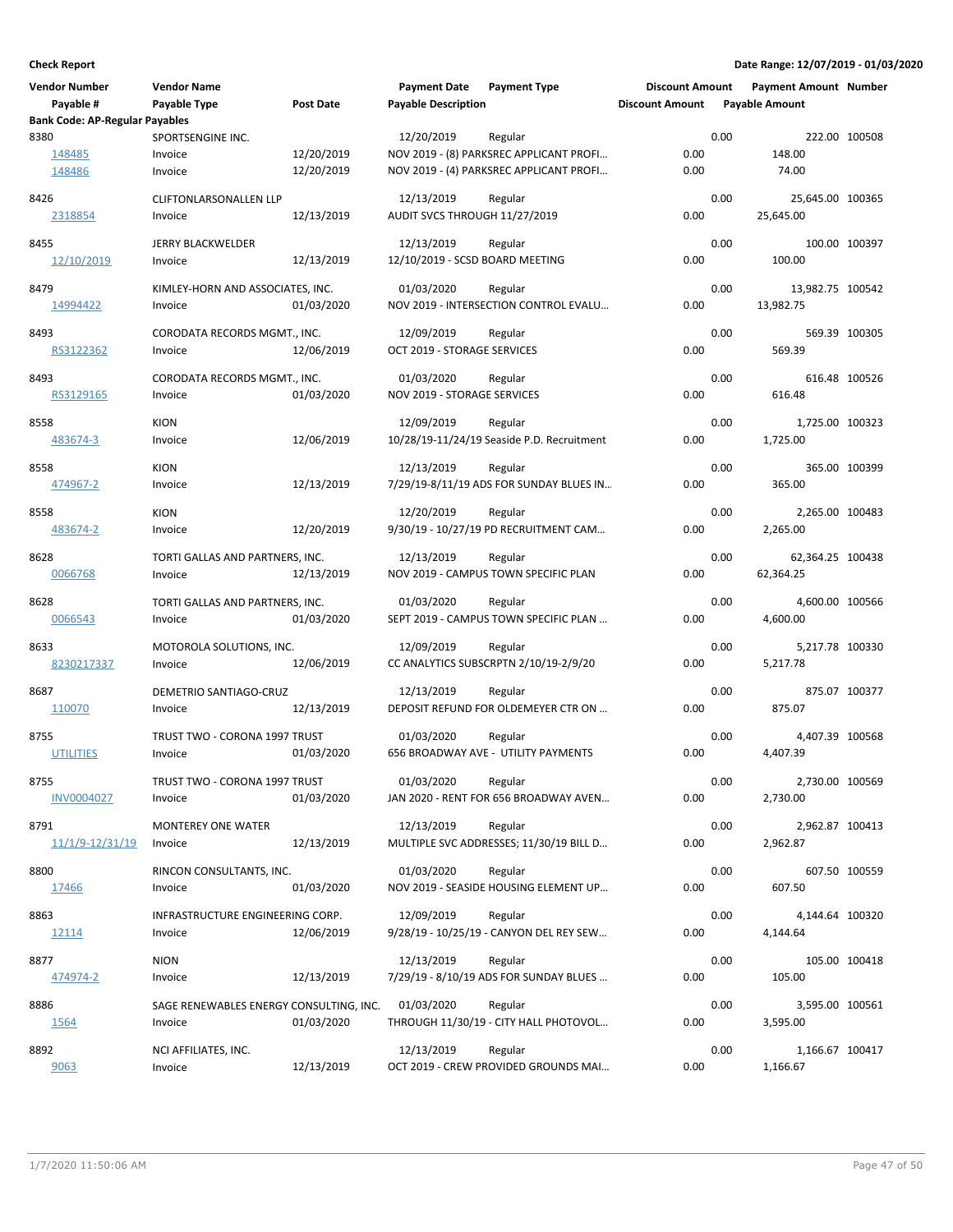| <b>Vendor Number</b>                  | <b>Vendor Name</b>                          |                  | <b>Payment Date</b>             | <b>Payment Type</b>                                   | <b>Discount Amount</b> |      | <b>Payment Amount Number</b>  |               |
|---------------------------------------|---------------------------------------------|------------------|---------------------------------|-------------------------------------------------------|------------------------|------|-------------------------------|---------------|
| Payable #                             | Payable Type                                | <b>Post Date</b> | <b>Payable Description</b>      |                                                       | <b>Discount Amount</b> |      | <b>Payable Amount</b>         |               |
| <b>Bank Code: AP-Regular Payables</b> |                                             |                  |                                 |                                                       |                        |      |                               |               |
| 8380<br>148485                        | SPORTSENGINE INC.<br>Invoice                | 12/20/2019       | 12/20/2019                      | Regular<br>NOV 2019 - (8) PARKSREC APPLICANT PROFI    | 0.00                   | 0.00 | 148.00                        | 222.00 100508 |
| 148486                                | Invoice                                     | 12/20/2019       |                                 | NOV 2019 - (4) PARKSREC APPLICANT PROFI               | 0.00                   |      | 74.00                         |               |
|                                       |                                             |                  |                                 |                                                       |                        |      |                               |               |
| 8426                                  | CLIFTONLARSONALLEN LLP                      |                  | 12/13/2019                      | Regular                                               |                        | 0.00 | 25,645.00 100365              |               |
| 2318854                               | Invoice                                     | 12/13/2019       | AUDIT SVCS THROUGH 11/27/2019   |                                                       | 0.00                   |      | 25,645.00                     |               |
| 8455                                  | JERRY BLACKWELDER                           |                  | 12/13/2019                      | Regular                                               |                        | 0.00 |                               | 100.00 100397 |
| 12/10/2019                            | Invoice                                     | 12/13/2019       | 12/10/2019 - SCSD BOARD MEETING |                                                       | 0.00                   |      | 100.00                        |               |
|                                       |                                             |                  |                                 |                                                       |                        |      |                               |               |
| 8479<br>14994422                      | KIMLEY-HORN AND ASSOCIATES, INC.<br>Invoice | 01/03/2020       | 01/03/2020                      | Regular<br>NOV 2019 - INTERSECTION CONTROL EVALU      | 0.00                   | 0.00 | 13,982.75 100542<br>13,982.75 |               |
|                                       |                                             |                  |                                 |                                                       |                        |      |                               |               |
| 8493                                  | CORODATA RECORDS MGMT., INC.                |                  | 12/09/2019                      | Regular                                               |                        | 0.00 |                               | 569.39 100305 |
| RS3122362                             | Invoice                                     | 12/06/2019       | OCT 2019 - STORAGE SERVICES     |                                                       | 0.00                   |      | 569.39                        |               |
| 8493                                  | CORODATA RECORDS MGMT., INC.                |                  | 01/03/2020                      | Regular                                               |                        | 0.00 |                               | 616.48 100526 |
| RS3129165                             | Invoice                                     | 01/03/2020       | NOV 2019 - STORAGE SERVICES     |                                                       | 0.00                   |      | 616.48                        |               |
|                                       |                                             |                  |                                 |                                                       |                        |      |                               |               |
| 8558                                  | <b>KION</b><br>Invoice                      |                  | 12/09/2019                      | Regular<br>10/28/19-11/24/19 Seaside P.D. Recruitment | 0.00                   | 0.00 | 1,725.00 100323<br>1,725.00   |               |
| 483674-3                              |                                             | 12/06/2019       |                                 |                                                       |                        |      |                               |               |
| 8558                                  | <b>KION</b>                                 |                  | 12/13/2019                      | Regular                                               |                        | 0.00 |                               | 365.00 100399 |
| 474967-2                              | Invoice                                     | 12/13/2019       |                                 | 7/29/19-8/11/19 ADS FOR SUNDAY BLUES IN               | 0.00                   |      | 365.00                        |               |
| 8558                                  | <b>KION</b>                                 |                  | 12/20/2019                      | Regular                                               |                        | 0.00 | 2,265.00 100483               |               |
| 483674-2                              | Invoice                                     | 12/20/2019       |                                 | 9/30/19 - 10/27/19 PD RECRUITMENT CAM                 | 0.00                   |      | 2,265.00                      |               |
|                                       |                                             |                  |                                 |                                                       |                        |      |                               |               |
| 8628                                  | TORTI GALLAS AND PARTNERS, INC.             |                  | 12/13/2019                      | Regular                                               |                        | 0.00 | 62,364.25 100438              |               |
| 0066768                               | Invoice                                     | 12/13/2019       |                                 | NOV 2019 - CAMPUS TOWN SPECIFIC PLAN                  | 0.00                   |      | 62,364.25                     |               |
| 8628                                  | TORTI GALLAS AND PARTNERS, INC.             |                  | 01/03/2020                      | Regular                                               |                        | 0.00 | 4,600.00 100566               |               |
| 0066543                               | Invoice                                     | 01/03/2020       |                                 | SEPT 2019 - CAMPUS TOWN SPECIFIC PLAN                 | 0.00                   |      | 4,600.00                      |               |
| 8633                                  | MOTOROLA SOLUTIONS, INC.                    |                  | 12/09/2019                      | Regular                                               |                        | 0.00 | 5,217.78 100330               |               |
| 8230217337                            | Invoice                                     | 12/06/2019       |                                 | CC ANALYTICS SUBSCRPTN 2/10/19-2/9/20                 | 0.00                   |      | 5,217.78                      |               |
|                                       |                                             |                  |                                 |                                                       |                        |      |                               |               |
| 8687                                  | DEMETRIO SANTIAGO-CRUZ                      |                  | 12/13/2019                      | Regular<br>DEPOSIT REFUND FOR OLDEMEYER CTR ON        | 0.00                   | 0.00 | 875.07                        | 875.07 100377 |
| 110070                                | Invoice                                     | 12/13/2019       |                                 |                                                       |                        |      |                               |               |
| 8755                                  | TRUST TWO - CORONA 1997 TRUST               |                  | 01/03/2020                      | Regular                                               |                        | 0.00 | 4,407.39 100568               |               |
| <b>UTILITIES</b>                      | Invoice                                     | 01/03/2020       |                                 | 656 BROADWAY AVE - UTILITY PAYMENTS                   | 0.00                   |      | 4,407.39                      |               |
| 8755                                  | TRUST TWO - CORONA 1997 TRUST               |                  | 01/03/2020                      | Regular                                               |                        | 0.00 | 2,730.00 100569               |               |
| <b>INV0004027</b>                     | Invoice                                     | 01/03/2020       |                                 | JAN 2020 - RENT FOR 656 BROADWAY AVEN                 | 0.00                   |      | 2,730.00                      |               |
|                                       |                                             |                  |                                 |                                                       |                        |      |                               |               |
| 8791                                  | MONTEREY ONE WATER                          |                  | 12/13/2019                      | Regular                                               |                        | 0.00 | 2,962.87 100413               |               |
| <u>11/1/9-12/31/19</u>                | Invoice                                     | 12/13/2019       |                                 | MULTIPLE SVC ADDRESSES; 11/30/19 BILL D               | 0.00                   |      | 2,962.87                      |               |
| 8800                                  | RINCON CONSULTANTS, INC.                    |                  | 01/03/2020                      | Regular                                               |                        | 0.00 |                               | 607.50 100559 |
| 17466                                 | Invoice                                     | 01/03/2020       |                                 | NOV 2019 - SEASIDE HOUSING ELEMENT UP                 | 0.00                   |      | 607.50                        |               |
| 8863                                  | INFRASTRUCTURE ENGINEERING CORP.            |                  | 12/09/2019                      | Regular                                               |                        | 0.00 | 4,144.64 100320               |               |
| 12114                                 | Invoice                                     | 12/06/2019       |                                 | 9/28/19 - 10/25/19 - CANYON DEL REY SEW               | 0.00                   |      | 4,144.64                      |               |
|                                       |                                             |                  |                                 |                                                       |                        |      |                               |               |
| 8877                                  | <b>NION</b>                                 |                  | 12/13/2019                      | Regular                                               |                        | 0.00 |                               | 105.00 100418 |
| 474974-2                              | Invoice                                     | 12/13/2019       |                                 | 7/29/19 - 8/10/19 ADS FOR SUNDAY BLUES                | 0.00                   |      | 105.00                        |               |
| 8886                                  | SAGE RENEWABLES ENERGY CONSULTING, INC.     |                  | 01/03/2020                      | Regular                                               |                        | 0.00 | 3,595.00 100561               |               |
| 1564                                  | Invoice                                     | 01/03/2020       |                                 | THROUGH 11/30/19 - CITY HALL PHOTOVOL                 | 0.00                   |      | 3,595.00                      |               |
| 8892                                  | NCI AFFILIATES, INC.                        |                  | 12/13/2019                      | Regular                                               |                        | 0.00 | 1,166.67 100417               |               |
| 9063                                  | Invoice                                     | 12/13/2019       |                                 | OCT 2019 - CREW PROVIDED GROUNDS MAI                  | 0.00                   |      | 1,166.67                      |               |
|                                       |                                             |                  |                                 |                                                       |                        |      |                               |               |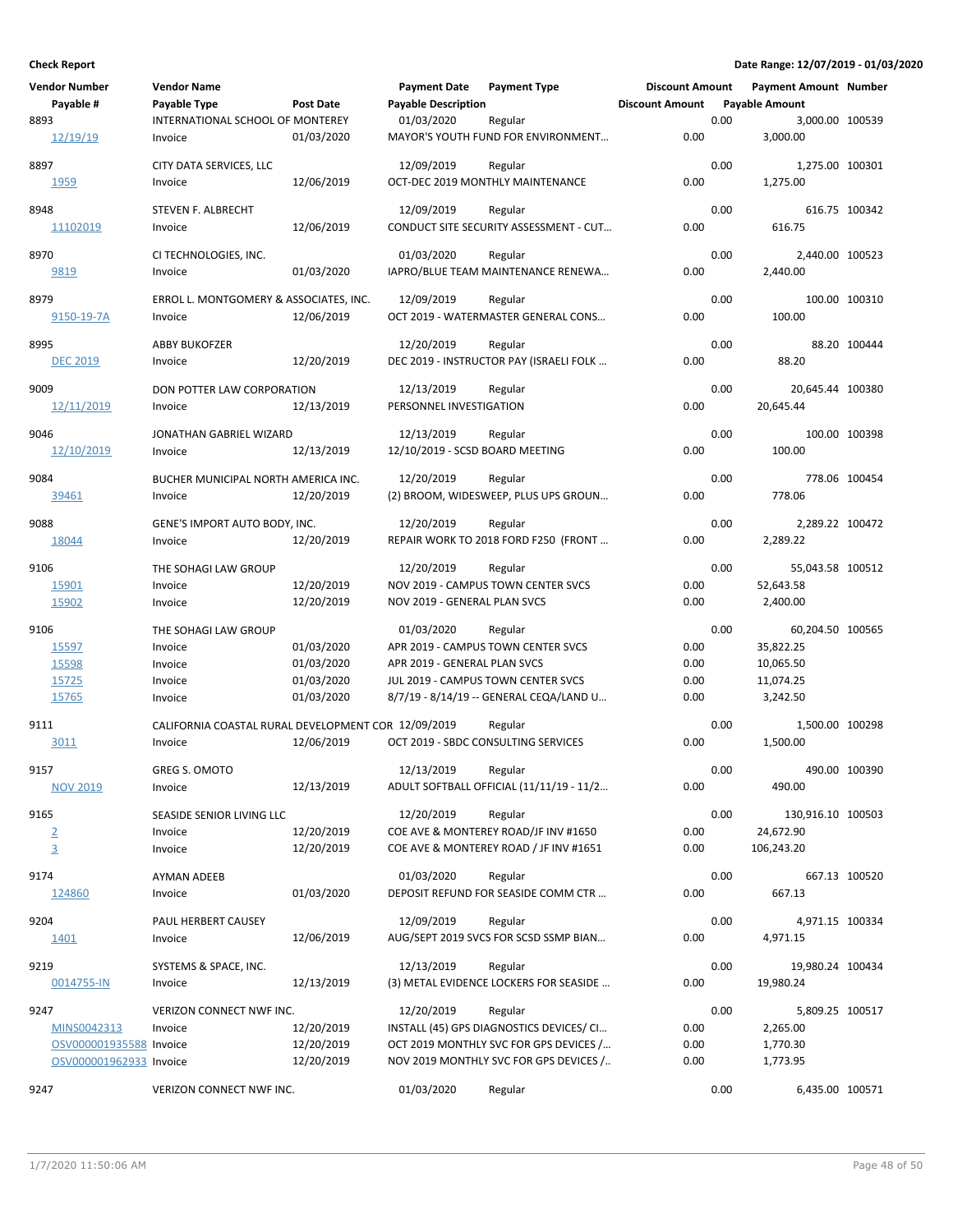|      | <b>Vendor Number</b>    | <b>Vendor Name</b>                                  |            | <b>Payment Date</b>             | <b>Payment Type</b>                      | <b>Discount Amount</b> |      | Payment Amount Number |               |
|------|-------------------------|-----------------------------------------------------|------------|---------------------------------|------------------------------------------|------------------------|------|-----------------------|---------------|
|      | Payable #               | Payable Type                                        | Post Date  | <b>Payable Description</b>      |                                          | <b>Discount Amount</b> |      | <b>Payable Amount</b> |               |
| 8893 |                         | INTERNATIONAL SCHOOL OF MONTEREY                    |            | 01/03/2020                      | Regular                                  |                        | 0.00 | 3,000.00 100539       |               |
|      | 12/19/19                | Invoice                                             | 01/03/2020 |                                 | MAYOR'S YOUTH FUND FOR ENVIRONMENT       | 0.00                   |      | 3,000.00              |               |
|      |                         |                                                     |            |                                 |                                          |                        |      |                       |               |
| 8897 |                         | CITY DATA SERVICES, LLC                             |            | 12/09/2019                      | Regular                                  |                        | 0.00 | 1,275.00 100301       |               |
|      | 1959                    | Invoice                                             | 12/06/2019 |                                 | OCT-DEC 2019 MONTHLY MAINTENANCE         | 0.00                   |      | 1,275.00              |               |
|      |                         |                                                     |            |                                 |                                          |                        |      |                       |               |
| 8948 |                         | STEVEN F. ALBRECHT                                  |            | 12/09/2019                      | Regular                                  |                        | 0.00 |                       | 616.75 100342 |
|      | 11102019                | Invoice                                             | 12/06/2019 |                                 | CONDUCT SITE SECURITY ASSESSMENT - CUT   | 0.00                   |      | 616.75                |               |
| 8970 |                         | CI TECHNOLOGIES, INC.                               |            | 01/03/2020                      | Regular                                  |                        | 0.00 | 2,440.00 100523       |               |
|      | 9819                    | Invoice                                             | 01/03/2020 |                                 | IAPRO/BLUE TEAM MAINTENANCE RENEWA       | 0.00                   |      | 2,440.00              |               |
|      |                         |                                                     |            |                                 |                                          |                        |      |                       |               |
| 8979 |                         | ERROL L. MONTGOMERY & ASSOCIATES, INC.              |            | 12/09/2019                      | Regular                                  |                        | 0.00 |                       | 100.00 100310 |
|      | 9150-19-7A              | Invoice                                             | 12/06/2019 |                                 | OCT 2019 - WATERMASTER GENERAL CONS      | 0.00                   |      | 100.00                |               |
|      |                         |                                                     |            |                                 |                                          |                        |      |                       |               |
| 8995 |                         | <b>ABBY BUKOFZER</b>                                |            | 12/20/2019                      | Regular                                  |                        | 0.00 |                       | 88.20 100444  |
|      | <b>DEC 2019</b>         | Invoice                                             | 12/20/2019 |                                 | DEC 2019 - INSTRUCTOR PAY (ISRAELI FOLK  | 0.00                   |      | 88.20                 |               |
| 9009 |                         | DON POTTER LAW CORPORATION                          |            | 12/13/2019                      | Regular                                  |                        | 0.00 | 20,645.44 100380      |               |
|      | 12/11/2019              | Invoice                                             | 12/13/2019 | PERSONNEL INVESTIGATION         |                                          | 0.00                   |      | 20,645.44             |               |
|      |                         |                                                     |            |                                 |                                          |                        |      |                       |               |
| 9046 |                         | JONATHAN GABRIEL WIZARD                             |            | 12/13/2019                      | Regular                                  |                        | 0.00 |                       | 100.00 100398 |
|      | 12/10/2019              | Invoice                                             | 12/13/2019 | 12/10/2019 - SCSD BOARD MEETING |                                          | 0.00                   |      | 100.00                |               |
|      |                         |                                                     |            |                                 |                                          |                        |      |                       |               |
| 9084 |                         | BUCHER MUNICIPAL NORTH AMERICA INC.                 |            | 12/20/2019                      | Regular                                  |                        | 0.00 |                       | 778.06 100454 |
|      | 39461                   | Invoice                                             | 12/20/2019 |                                 | (2) BROOM, WIDESWEEP, PLUS UPS GROUN     | 0.00                   |      | 778.06                |               |
|      |                         |                                                     |            |                                 |                                          |                        |      |                       |               |
| 9088 |                         | GENE'S IMPORT AUTO BODY, INC.                       |            | 12/20/2019                      | Regular                                  |                        | 0.00 | 2,289.22 100472       |               |
|      | 18044                   | Invoice                                             | 12/20/2019 |                                 | REPAIR WORK TO 2018 FORD F250 (FRONT     | 0.00                   |      | 2,289.22              |               |
| 9106 |                         | THE SOHAGI LAW GROUP                                |            | 12/20/2019                      | Regular                                  |                        | 0.00 | 55,043.58 100512      |               |
|      | 15901                   | Invoice                                             | 12/20/2019 |                                 | NOV 2019 - CAMPUS TOWN CENTER SVCS       | 0.00                   |      | 52,643.58             |               |
|      |                         |                                                     |            |                                 |                                          |                        |      |                       |               |
|      | 15902                   | Invoice                                             | 12/20/2019 | NOV 2019 - GENERAL PLAN SVCS    |                                          | 0.00                   |      | 2,400.00              |               |
| 9106 |                         | THE SOHAGI LAW GROUP                                |            | 01/03/2020                      | Regular                                  |                        | 0.00 | 60,204.50 100565      |               |
|      | 15597                   | Invoice                                             | 01/03/2020 |                                 | APR 2019 - CAMPUS TOWN CENTER SVCS       | 0.00                   |      | 35,822.25             |               |
|      | 15598                   | Invoice                                             | 01/03/2020 | APR 2019 - GENERAL PLAN SVCS    |                                          | 0.00                   |      | 10,065.50             |               |
|      | 15725                   | Invoice                                             | 01/03/2020 |                                 | JUL 2019 - CAMPUS TOWN CENTER SVCS       | 0.00                   |      | 11,074.25             |               |
|      | 15765                   | Invoice                                             | 01/03/2020 |                                 | 8/7/19 - 8/14/19 -- GENERAL CEQA/LAND U  | 0.00                   |      | 3,242.50              |               |
|      |                         |                                                     |            |                                 |                                          |                        |      |                       |               |
| 9111 |                         | CALIFORNIA COASTAL RURAL DEVELOPMENT COR 12/09/2019 |            |                                 | Regular                                  |                        | 0.00 | 1,500.00 100298       |               |
|      | 3011                    | Invoice                                             | 12/06/2019 |                                 | OCT 2019 - SBDC CONSULTING SERVICES      | 0.00                   |      | 1,500.00              |               |
|      |                         |                                                     |            |                                 |                                          |                        |      |                       |               |
| 9157 |                         | <b>GREG S. OMOTO</b>                                |            | 12/13/2019                      | Regular                                  |                        | 0.00 |                       | 490.00 100390 |
|      | <b>NOV 2019</b>         | Invoice                                             | 12/13/2019 |                                 | ADULT SOFTBALL OFFICIAL (11/11/19 - 11/2 | 0.00                   |      | 490.00                |               |
| 9165 |                         | SEASIDE SENIOR LIVING LLC                           |            | 12/20/2019                      | Regular                                  |                        | 0.00 | 130,916.10 100503     |               |
|      |                         | Invoice                                             | 12/20/2019 |                                 | COE AVE & MONTEREY ROAD/JF INV #1650     | 0.00                   |      | 24,672.90             |               |
|      | $\overline{2}$          |                                                     |            |                                 |                                          |                        |      |                       |               |
|      | $\overline{3}$          | Invoice                                             | 12/20/2019 |                                 | COE AVE & MONTEREY ROAD / JF INV #1651   | 0.00                   |      | 106,243.20            |               |
| 9174 |                         | <b>AYMAN ADEEB</b>                                  |            | 01/03/2020                      | Regular                                  |                        | 0.00 |                       | 667.13 100520 |
|      | 124860                  | Invoice                                             | 01/03/2020 |                                 | DEPOSIT REFUND FOR SEASIDE COMM CTR      | 0.00                   |      | 667.13                |               |
|      |                         |                                                     |            |                                 |                                          |                        |      |                       |               |
| 9204 |                         | PAUL HERBERT CAUSEY                                 |            | 12/09/2019                      | Regular                                  |                        | 0.00 | 4,971.15 100334       |               |
|      | <u>1401</u>             | Invoice                                             | 12/06/2019 |                                 | AUG/SEPT 2019 SVCS FOR SCSD SSMP BIAN    | 0.00                   |      | 4,971.15              |               |
|      |                         |                                                     |            |                                 |                                          |                        |      |                       |               |
| 9219 |                         | SYSTEMS & SPACE, INC.                               |            | 12/13/2019                      | Regular                                  |                        | 0.00 | 19,980.24 100434      |               |
|      | 0014755-IN              | Invoice                                             | 12/13/2019 |                                 | (3) METAL EVIDENCE LOCKERS FOR SEASIDE   | 0.00                   |      | 19,980.24             |               |
| 9247 |                         | VERIZON CONNECT NWF INC.                            |            | 12/20/2019                      | Regular                                  |                        | 0.00 | 5,809.25 100517       |               |
|      | MINS0042313             | Invoice                                             | 12/20/2019 |                                 | INSTALL (45) GPS DIAGNOSTICS DEVICES/ CI | 0.00                   |      | 2,265.00              |               |
|      | OSV000001935588 Invoice |                                                     | 12/20/2019 |                                 | OCT 2019 MONTHLY SVC FOR GPS DEVICES /   | 0.00                   |      | 1,770.30              |               |
|      | OSV000001962933 Invoice |                                                     | 12/20/2019 |                                 | NOV 2019 MONTHLY SVC FOR GPS DEVICES /   | 0.00                   |      |                       |               |
|      |                         |                                                     |            |                                 |                                          |                        |      | 1,773.95              |               |
| 9247 |                         | VERIZON CONNECT NWF INC.                            |            | 01/03/2020                      | Regular                                  |                        | 0.00 | 6,435.00 100571       |               |
|      |                         |                                                     |            |                                 |                                          |                        |      |                       |               |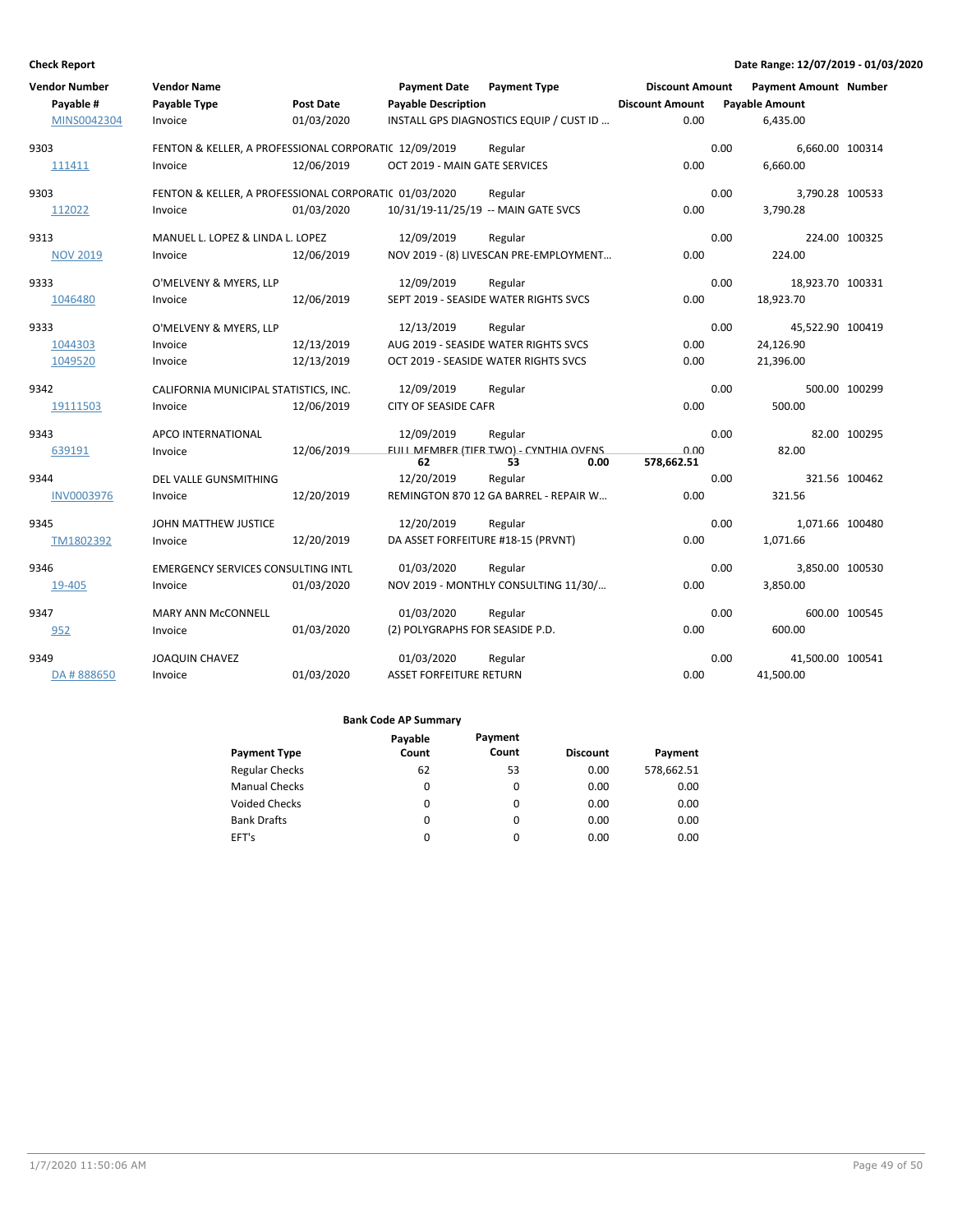| <b>Vendor Number</b><br>Payable #<br>MINS0042304 | <b>Vendor Name</b><br>Payable Type<br>Invoice         | Post Date<br>01/03/2020 | <b>Payment Date</b><br><b>Payable Description</b> | <b>Payment Type</b><br>INSTALL GPS DIAGNOSTICS EQUIP / CUST ID | <b>Discount Amount</b><br><b>Discount Amount</b><br>0.00 |      | <b>Payment Amount Number</b><br><b>Payable Amount</b><br>6,435.00 |               |
|--------------------------------------------------|-------------------------------------------------------|-------------------------|---------------------------------------------------|----------------------------------------------------------------|----------------------------------------------------------|------|-------------------------------------------------------------------|---------------|
| 9303                                             | FENTON & KELLER, A PROFESSIONAL CORPORATIC 12/09/2019 |                         |                                                   | Regular                                                        |                                                          | 0.00 | 6,660.00 100314                                                   |               |
| 111411                                           | Invoice                                               | 12/06/2019              | OCT 2019 - MAIN GATE SERVICES                     |                                                                | 0.00                                                     |      | 6,660.00                                                          |               |
| 9303                                             | FENTON & KELLER, A PROFESSIONAL CORPORATIC 01/03/2020 |                         |                                                   | Regular                                                        |                                                          | 0.00 | 3,790.28 100533                                                   |               |
| 112022                                           | Invoice                                               | 01/03/2020              |                                                   | 10/31/19-11/25/19 -- MAIN GATE SVCS                            | 0.00                                                     |      | 3.790.28                                                          |               |
| 9313                                             | MANUEL L. LOPEZ & LINDA L. LOPEZ                      |                         | 12/09/2019                                        | Regular                                                        |                                                          | 0.00 |                                                                   | 224.00 100325 |
| <b>NOV 2019</b>                                  | Invoice                                               | 12/06/2019              |                                                   | NOV 2019 - (8) LIVESCAN PRE-EMPLOYMENT                         | 0.00                                                     |      | 224.00                                                            |               |
| 9333                                             | O'MELVENY & MYERS, LLP                                |                         | 12/09/2019                                        | Regular                                                        |                                                          | 0.00 | 18,923.70 100331                                                  |               |
| 1046480                                          | Invoice                                               | 12/06/2019              |                                                   | SEPT 2019 - SEASIDE WATER RIGHTS SVCS                          | 0.00                                                     |      | 18,923.70                                                         |               |
| 9333                                             | O'MELVENY & MYERS, LLP                                |                         | 12/13/2019                                        | Regular                                                        |                                                          | 0.00 | 45,522.90 100419                                                  |               |
| 1044303                                          | Invoice                                               | 12/13/2019              |                                                   | AUG 2019 - SEASIDE WATER RIGHTS SVCS                           | 0.00                                                     |      | 24,126.90                                                         |               |
| 1049520                                          | Invoice                                               | 12/13/2019              |                                                   | OCT 2019 - SEASIDE WATER RIGHTS SVCS                           | 0.00                                                     |      | 21,396.00                                                         |               |
| 9342                                             | CALIFORNIA MUNICIPAL STATISTICS, INC.                 |                         | 12/09/2019                                        | Regular                                                        |                                                          | 0.00 |                                                                   | 500.00 100299 |
| 19111503                                         | Invoice                                               | 12/06/2019              | CITY OF SEASIDE CAFR                              |                                                                | 0.00                                                     |      | 500.00                                                            |               |
| 9343                                             | APCO INTERNATIONAL                                    |                         | 12/09/2019                                        | Regular                                                        |                                                          | 0.00 |                                                                   | 82.00 100295  |
| 639191                                           | Invoice                                               | 12/06/2019              | 62                                                | FULL MEMBER (TIER TWO) - CYNTHIA OVENS<br>53<br>0.00           | 0.00<br>578,662.51                                       |      | 82.00                                                             |               |
| 9344                                             | DEL VALLE GUNSMITHING                                 |                         | 12/20/2019                                        | Regular                                                        |                                                          | 0.00 |                                                                   | 321.56 100462 |
| <b>INV0003976</b>                                | Invoice                                               | 12/20/2019              |                                                   | REMINGTON 870 12 GA BARREL - REPAIR W                          | 0.00                                                     |      | 321.56                                                            |               |
| 9345                                             | JOHN MATTHEW JUSTICE                                  |                         | 12/20/2019                                        | Regular                                                        |                                                          | 0.00 | 1,071.66 100480                                                   |               |
| TM1802392                                        | Invoice                                               | 12/20/2019              | DA ASSET FORFEITURE #18-15 (PRVNT)                |                                                                | 0.00                                                     |      | 1,071.66                                                          |               |
| 9346                                             | <b>EMERGENCY SERVICES CONSULTING INTL</b>             |                         | 01/03/2020                                        | Regular                                                        |                                                          | 0.00 | 3,850.00 100530                                                   |               |
| 19-405                                           | Invoice                                               | 01/03/2020              |                                                   | NOV 2019 - MONTHLY CONSULTING 11/30/                           | 0.00                                                     |      | 3,850.00                                                          |               |
| 9347                                             | MARY ANN McCONNELL                                    |                         | 01/03/2020                                        | Regular                                                        |                                                          | 0.00 |                                                                   | 600.00 100545 |
| 952                                              | Invoice                                               | 01/03/2020              | (2) POLYGRAPHS FOR SEASIDE P.D.                   |                                                                | 0.00                                                     |      | 600.00                                                            |               |
| 9349                                             | <b>JOAQUIN CHAVEZ</b>                                 |                         | 01/03/2020                                        | Regular                                                        |                                                          | 0.00 | 41,500.00 100541                                                  |               |
| DA #888650                                       | Invoice                                               | 01/03/2020              | <b>ASSET FORFEITURE RETURN</b>                    |                                                                | 0.00                                                     |      | 41,500.00                                                         |               |

|                       | Payable | Payment  |                 |            |
|-----------------------|---------|----------|-----------------|------------|
| <b>Payment Type</b>   | Count   | Count    | <b>Discount</b> | Payment    |
| <b>Regular Checks</b> | 62      | 53       | 0.00            | 578,662.51 |
| <b>Manual Checks</b>  | 0       | $\Omega$ | 0.00            | 0.00       |
| <b>Voided Checks</b>  | 0       | 0        | 0.00            | 0.00       |
| <b>Bank Drafts</b>    | 0       | $\Omega$ | 0.00            | 0.00       |
| EFT's                 | 0       | 0        | 0.00            | 0.00       |